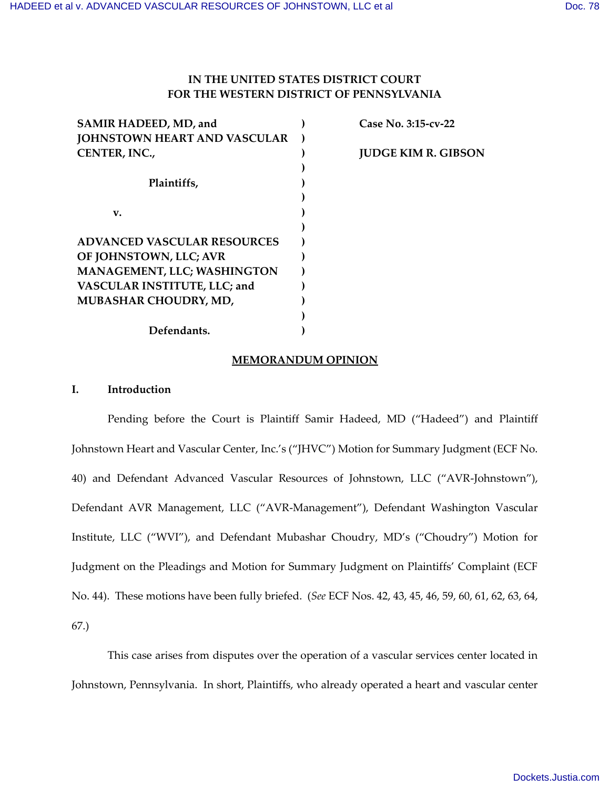# **IN THE UNITED STATES DISTRICT COURT FOR THE WESTERN DISTRICT OF PENNSYLVANIA**

| SAMIR HADEED, MD, and               | Case No. 3:15-cv-22        |
|-------------------------------------|----------------------------|
| <b>JOHNSTOWN HEART AND VASCULAR</b> |                            |
| CENTER, INC.,                       | <b>JUDGE KIM R. GIBSON</b> |
|                                     |                            |
| Plaintiffs,                         |                            |
|                                     |                            |
| v.                                  |                            |
|                                     |                            |
| <b>ADVANCED VASCULAR RESOURCES</b>  |                            |
| OF JOHNSTOWN, LLC; AVR              |                            |
| <b>MANAGEMENT, LLC; WASHINGTON</b>  |                            |
| VASCULAR INSTITUTE, LLC; and        |                            |
| MUBASHAR CHOUDRY, MD,               |                            |
|                                     |                            |
| Defendants.                         |                            |
|                                     |                            |

### **MEMORANDUM OPINION**

## **I. Introduction**

Pending before the Court is Plaintiff Samir Hadeed, MD ("Hadeed") and Plaintiff Johnstown Heart and Vascular Center, Inc.'s ("JHVC") Motion for Summary Judgment (ECF No. 40) and Defendant Advanced Vascular Resources of Johnstown, LLC ("AVR-Johnstown"), Defendant AVR Management, LLC ("AVR-Management"), Defendant Washington Vascular Institute, LLC ("WVI"), and Defendant Mubashar Choudry, MD's ("Choudry") Motion for Judgment on the Pleadings and Motion for Summary Judgment on Plaintiffs' Complaint (ECF No. 44). These motions have been fully briefed. (*See* ECF Nos. 42, 43, 45, 46, 59, 60, 61, 62, 63, 64, 67.)

This case arises from disputes over the operation of a vascular services center located in Johnstown, Pennsylvania. In short, Plaintiffs, who already operated a heart and vascular center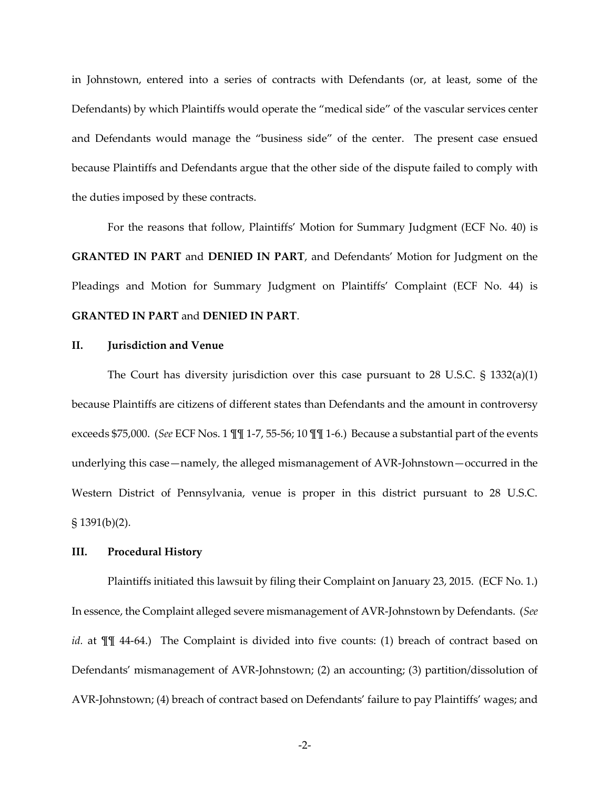in Johnstown, entered into a series of contracts with Defendants (or, at least, some of the Defendants) by which Plaintiffs would operate the "medical side" of the vascular services center and Defendants would manage the "business side" of the center. The present case ensued because Plaintiffs and Defendants argue that the other side of the dispute failed to comply with the duties imposed by these contracts.

For the reasons that follow, Plaintiffs' Motion for Summary Judgment (ECF No. 40) is **GRANTED IN PART** and **DENIED IN PART**, and Defendants' Motion for Judgment on the Pleadings and Motion for Summary Judgment on Plaintiffs' Complaint (ECF No. 44) is **GRANTED IN PART** and **DENIED IN PART**.

## **II. Jurisdiction and Venue**

The Court has diversity jurisdiction over this case pursuant to 28 U.S.C.  $\S$  1332(a)(1) because Plaintiffs are citizens of different states than Defendants and the amount in controversy exceeds \$75,000. (*See* ECF Nos. 1 ¶¶ 1-7, 55-56; 10 ¶¶ 1-6.) Because a substantial part of the events underlying this case—namely, the alleged mismanagement of AVR-Johnstown—occurred in the Western District of Pennsylvania, venue is proper in this district pursuant to 28 U.S.C.  $§ 1391(b)(2).$ 

## **III. Procedural History**

Plaintiffs initiated this lawsuit by filing their Complaint on January 23, 2015. (ECF No. 1.) In essence, the Complaint alleged severe mismanagement of AVR-Johnstown by Defendants. (*See id.* at  $\P\P$  44-64.) The Complaint is divided into five counts: (1) breach of contract based on Defendants' mismanagement of AVR-Johnstown; (2) an accounting; (3) partition/dissolution of AVR-Johnstown; (4) breach of contract based on Defendants' failure to pay Plaintiffs' wages; and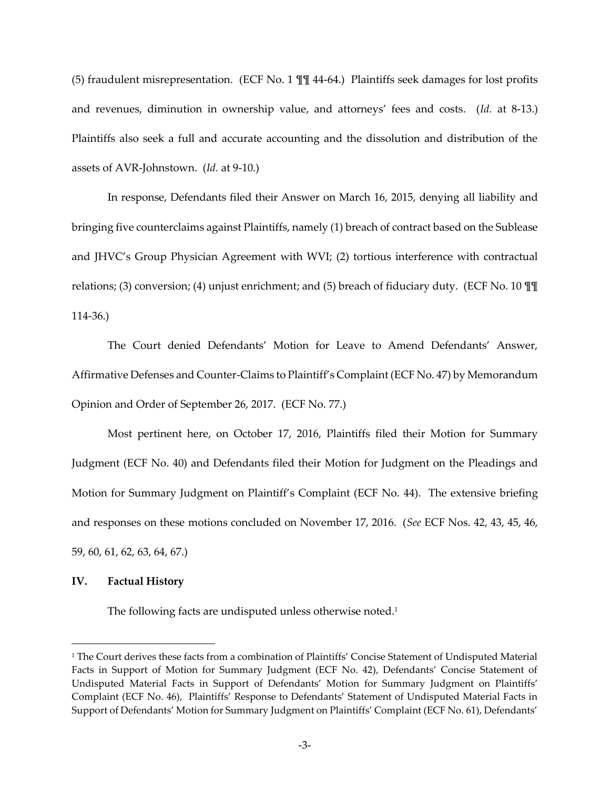(5) fraudulent misrepresentation. (ECF No. 1 ¶¶ 44-64.) Plaintiffs seek damages for lost profits and revenues, diminution in ownership value, and attorneys' fees and costs. (Id. at 8-13.) Plaintiffs also seek a full and accurate accounting and the dissolution and distribution of the assets of AVR-Johnstown. (*Id.* at 9-10.)

In response, Defendants filed their Answer on March 16, 2015, denying all liability and bringing five counterclaims against Plaintiffs, namely (1) breach of contract based on the Sublease and JHVC's Group Physician Agreement with WVI; (2) tortious interference with contractual relations; (3) conversion; (4) unjust enrichment; and (5) breach of fiduciary duty. (ECF No. 10 ¶¶ 114-36.)

The Court denied Defendants' Motion for Leave to Amend Defendants' Answer, Affirmative Defenses and Counter-Claims to Plaintiff's Complaint (ECF No. 47) by Memorandum Opinion and Order of September 26, 2017. (ECF No. 77.)

Most pertinent here, on October 17, 2016, Plaintiffs filed their Motion for Summary Judgment (ECF No. 40) and Defendants filed their Motion for Judgment on the Pleadings and Motion for Summary Judgment on Plaintiff's Complaint (ECF No. 44). The extensive briefing and responses on these motions concluded on November 17, 2016. (*See* ECF Nos. 42, 43, 45, 46, 59, 60, 61, 62, 63, 64, 67.)

### **IV. Factual History**

 $\overline{a}$ 

The following facts are undisputed unless otherwise noted.<sup>1</sup>

<sup>&</sup>lt;sup>1</sup> The Court derives these facts from a combination of Plaintiffs' Concise Statement of Undisputed Material Facts in Support of Motion for Summary Judgment (ECF No. 42), Defendants' Concise Statement of Undisputed Material Facts in Support of Defendants' Motion for Summary Judgment on Plaintiffs' Complaint (ECF No. 46), Plaintiffs' Response to Defendants' Statement of Undisputed Material Facts in Support of Defendants' Motion for Summary Judgment on Plaintiffs' Complaint (ECF No. 61), Defendants'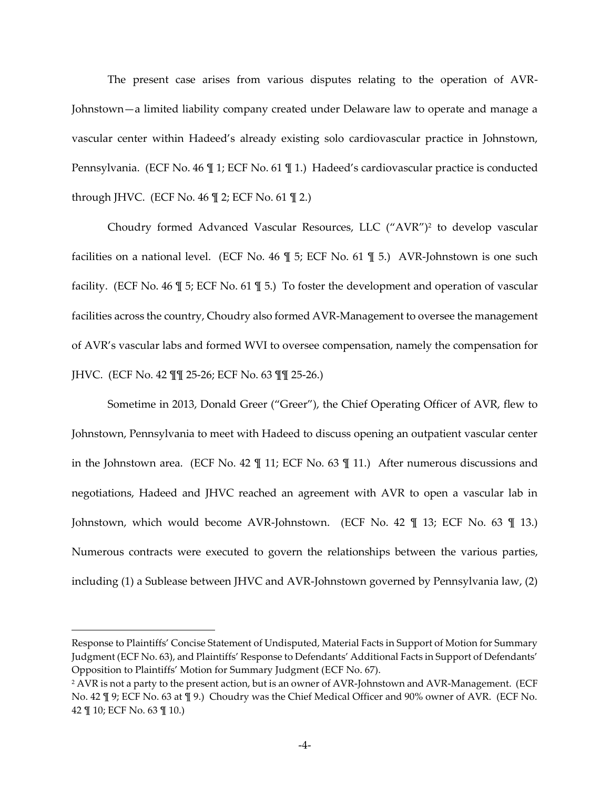The present case arises from various disputes relating to the operation of AVR-Johnstown-a limited liability company created under Delaware law to operate and manage a vascular center within Hadeed's already existing solo cardiovascular practice in Johnstown, Pennsylvania. (ECF No. 46 \leq 1; ECF No. 61 \leq 1.) Hadeed's cardiovascular practice is conducted through JHVC. (ECF No.  $46 \text{ } \frac{1}{2}$ ; ECF No.  $61 \text{ } \frac{1}{2}$ .)

Choudry formed Advanced Vascular Resources, LLC ("AVR")<sup>2</sup> to develop vascular facilities on a national level. (ECF No. 46  $\mathbb{I}$  5; ECF No. 61  $\mathbb{I}$  5.) AVR-Johnstown is one such facility. (ECF No. 46 ¶ 5; ECF No. 61 ¶ 5.) To foster the development and operation of vascular facilities across the country, Choudry also formed AVR-Management to oversee the management of AVR's vascular labs and formed WVI to oversee compensation, namely the compensation for JHVC. (ECF No. 42 ¶¶ 25-26; ECF No. 63 ¶¶ 25-26.)

Sometime in 2013, Donald Greer ("Greer"), the Chief Operating Officer of AVR, flew to Johnstown, Pennsylvania to meet with Hadeed to discuss opening an outpatient vascular center in the Johnstown area. (ECF No. 42 ¶ 11; ECF No. 63 ¶ 11.) After numerous discussions and negotiations, Hadeed and JHVC reached an agreement with AVR to open a vascular lab in Johnstown, which would become AVR-Johnstown. (ECF No. 42 ¶ 13; ECF No. 63 ¶ 13.) Numerous contracts were executed to govern the relationships between the various parties, including (1) a Sublease between JHVC and AVR-Johnstown governed by Pennsylvania law, (2)

Response to Plaintiffs' Concise Statement of Undisputed, Material Facts in Support of Motion for Summary Judgment (ECF No. 63), and Plaintiffs' Response to Defendants' Additional Facts in Support of Defendants' Opposition to Plaintiffs' Motion for Summary Judgment (ECF No. 67).

<sup>2</sup> AVR is not a party to the present action, but is an owner of AVR-Johnstown and AVR-Management. (ECF No. 42 ¶ 9; ECF No. 63 at ¶ 9.) Choudry was the Chief Medical Officer and 90% owner of AVR. (ECF No. 42 ¶ 10; ECF No. 63 ¶ 10.)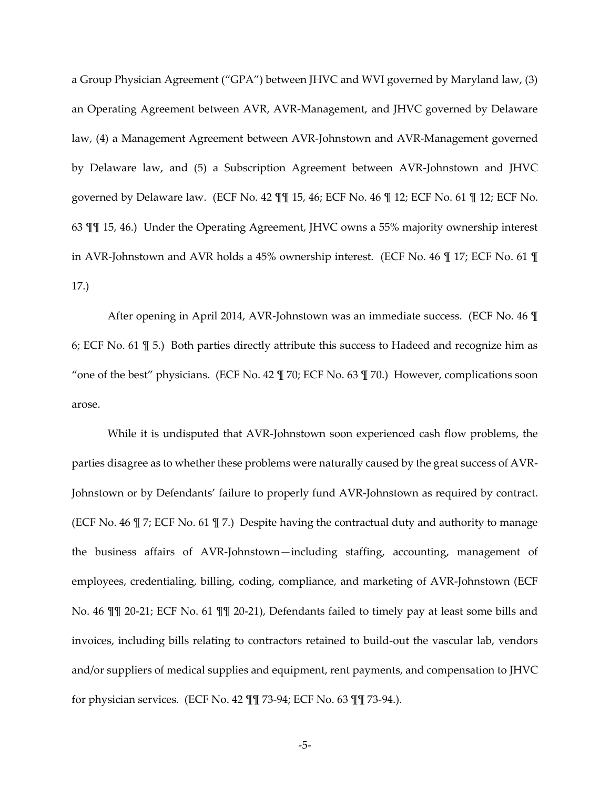a Group Physician Agreement ("GPA") between JHVC and WVI governed by Maryland law, (3) an Operating Agreement between AVR, AVR-Management, and JHVC governed by Delaware law, (4) a Management Agreement between AVR-Johnstown and AVR-Management governed by Delaware law, and (5) a Subscription Agreement between AVR-Johnstown and JHVC governed by Delaware law. (ECF No. 42 ¶¶ 15, 46; ECF No. 46 ¶ 12; ECF No. 61 ¶ 12; ECF No. 63 ¶¶ 15, 46.) Under the Operating Agreement, JHVC owns a 55% majority ownership interest in AVR-Johnstown and AVR holds a 45% ownership interest. (ECF No. 46 ¶ 17; ECF No. 61 ¶ 17.)

After opening in April 2014, AVR-Johnstown was an immediate success. (ECF No. 46 ¶ 6; ECF No. 61 ¶ 5.) Both parties directly attribute this success to Hadeed and recognize him as "one of the best" physicians. (ECF No. 42  $\P$  70; ECF No. 63  $\P$  70.) However, complications soon arose.

While it is undisputed that AVR-Johnstown soon experienced cash flow problems, the parties disagree as to whether these problems were naturally caused by the great success of AVR-Johnstown or by Defendants' failure to properly fund AVR-Johnstown as required by contract. (ECF No. 46 ¶ 7; ECF No. 61 ¶ 7.) Despite having the contractual duty and authority to manage the business affairs of AVR-Johnstown-including staffing, accounting, management of employees, credentialing, billing, coding, compliance, and marketing of AVR-Johnstown (ECF No. 46 ¶¶ 20-21; ECF No. 61 ¶¶ 20-21), Defendants failed to timely pay at least some bills and invoices, including bills relating to contractors retained to build-out the vascular lab, vendors and/or suppliers of medical supplies and equipment, rent payments, and compensation to JHVC for physician services. (ECF No. 42 ¶¶ 73-94; ECF No. 63 ¶¶ 73-94.).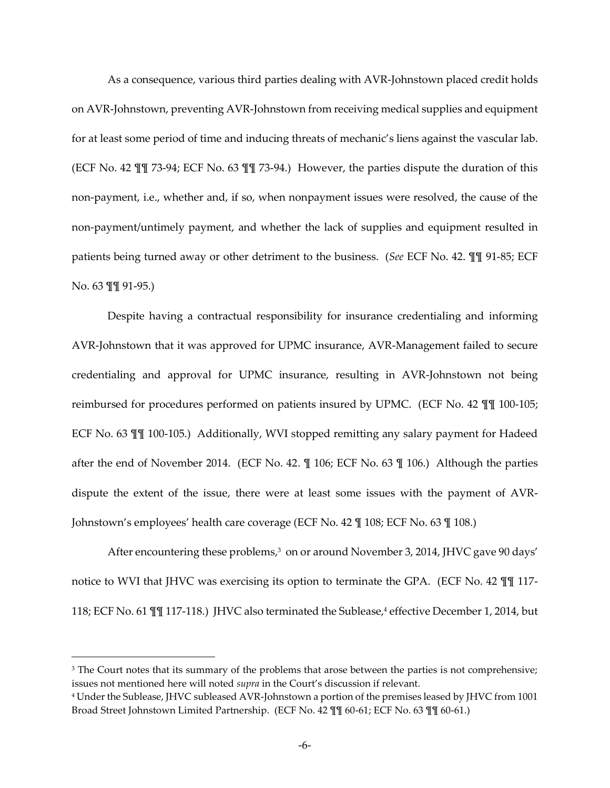As a consequence, various third parties dealing with AVR-Johnstown placed credit holds on AVR-Johnstown, preventing AVR-Johnstown from receiving medical supplies and equipment for at least some period of time and inducing threats of mechanic's liens against the vascular lab. (ECF No. 42 ¶¶ 73-94; ECF No. 63 ¶¶ 73-94.) However, the parties dispute the duration of this non-payment, i.e., whether and, if so, when nonpayment issues were resolved, the cause of the non-payment/untimely payment, and whether the lack of supplies and equipment resulted in patients being turned away or other detriment to the business. (*See* ECF No. 42. ¶¶ 91-85; ECF No. 63 ¶¶ 91-95.)

Despite having a contractual responsibility for insurance credentialing and informing AVR-Johnstown that it was approved for UPMC insurance, AVR-Management failed to secure credentialing and approval for UPMC insurance, resulting in AVR-Johnstown not being reimbursed for procedures performed on patients insured by UPMC. (ECF No. 42 ¶¶ 100-105; ECF No. 63 ¶¶ 100-105.) Additionally, WVI stopped remitting any salary payment for Hadeed after the end of November 2014. (ECF No. 42. ¶ 106; ECF No. 63 ¶ 106.) Although the parties dispute the extent of the issue, there were at least some issues with the payment of AVR-Johnstown's employees' health care coverage (ECF No. 42 ¶ 108; ECF No. 63 ¶ 108.)

After encountering these problems,<sup>3</sup> on or around November 3, 2014, JHVC gave 90 days' notice to WVI that JHVC was exercising its option to terminate the GPA. (ECF No. 42 ¶¶ 117- 118; ECF No. 61 ¶¶ 117-118.) JHVC also terminated the Sublease,<sup>4</sup> effective December 1, 2014, but

<sup>3</sup> The Court notes that its summary of the problems that arose between the parties is not comprehensive; issues not mentioned here will noted *supra* in the Court's discussion if relevant.

<sup>4</sup> Under the Sublease, JHVC subleased AVR-Johnstown a portion of the premises leased by JHVC from 1001 Broad Street Johnstown Limited Partnership. (ECF No. 42 ¶¶ 60-61; ECF No. 63 ¶¶ 60-61.)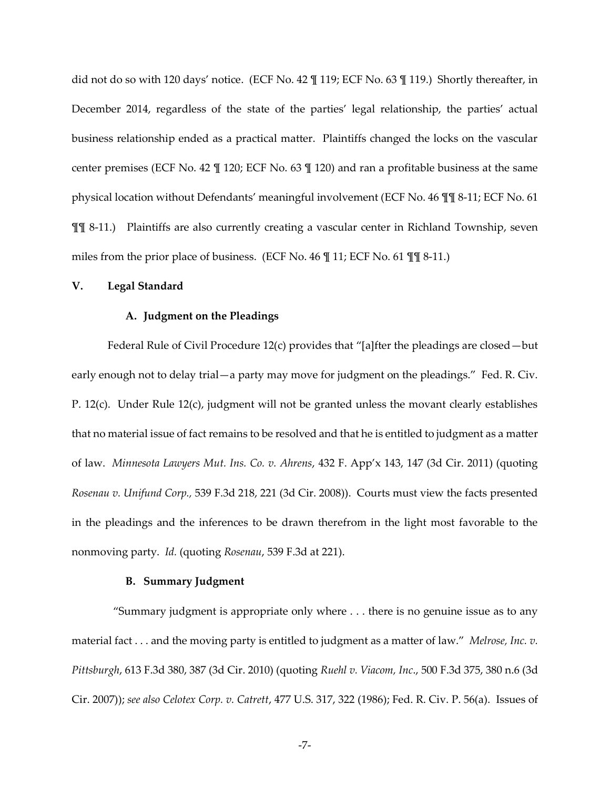did not do so with 120 days' notice. (ECF No. 42  $\P$  119; ECF No. 63  $\P$  119.) Shortly thereafter, in December 2014, regardless of the state of the parties' legal relationship, the parties' actual business relationship ended as a practical matter. Plaintiffs changed the locks on the vascular center premises (ECF No. 42 ¶ 120; ECF No. 63 ¶ 120) and ran a profitable business at the same physical location without Defendants' meaningful involvement (ECF No. 46  $\P$  ¶ 8-11; ECF No. 61 ¶¶ 8-11.) Plaintiffs are also currently creating a vascular center in Richland Township, seven miles from the prior place of business. (ECF No. 46 ¶ 11; ECF No. 61 ¶¶ 8-11.)

## **V. Legal Standard**

### **A. Judgment on the Pleadings**

Federal Rule of Civil Procedure 12(c) provides that "[a]fter the pleadings are closed - but early enough not to delay trial  $-a$  party may move for judgment on the pleadings." Fed. R. Civ. P. 12(c). Under Rule 12(c), judgment will not be granted unless the movant clearly establishes that no material issue of fact remains to be resolved and that he is entitled to judgment as a matter of law. *Minnesota Lawyers Mut. Ins. Co. v. Ahrens*, 432 F. App'x 143, 147 (3d Cir. 2011) (quoting *Rosenau v. Unifund Corp.,* 539 F.3d 218, 221 (3d Cir. 2008)). Courts must view the facts presented in the pleadings and the inferences to be drawn therefrom in the light most favorable to the nonmoving party. *Id.* (quoting *Rosenau*, 539 F.3d at 221).

# **B. Summary Judgment**

 ⦆Summary judgment is appropriate only where . . . there is no genuine issue as to any material fact . . . and the moving party is entitled to judgment as a matter of law." Melrose, Inc. v. *Pittsburgh*, 613 F.3d 380, 387 (3d Cir. 2010) (quoting *Ruehl v. Viacom, Inc*., 500 F.3d 375, 380 n.6 (3d Cir. 2007)); *see also Celotex Corp. v. Catrett*, 477 U.S. 317, 322 (1986); Fed. R. Civ. P. 56(a). Issues of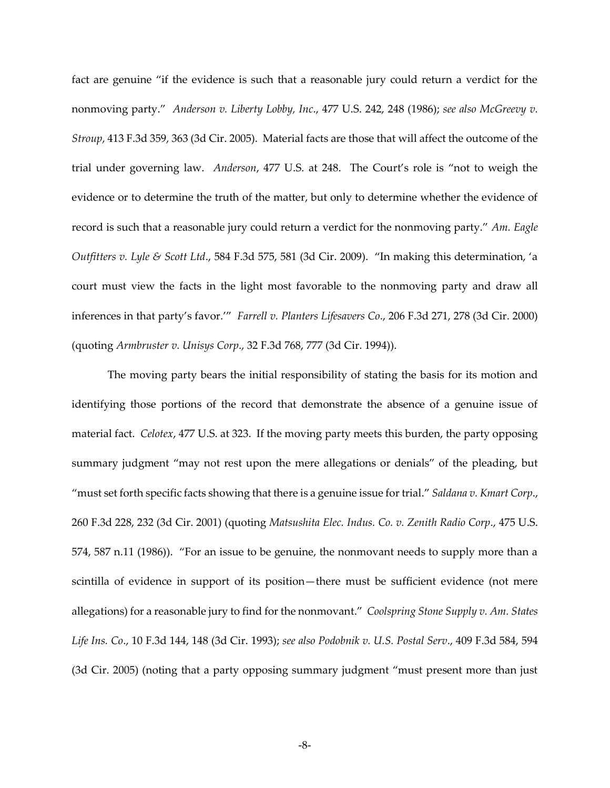fact are genuine "if the evidence is such that a reasonable jury could return a verdict for the nonmoving party." Anderson v. Liberty Lobby, Inc., 477 U.S. 242, 248 (1986); see also McGreevy v. *Stroup*, 413 F.3d 359, 363 (3d Cir. 2005). Material facts are those that will affect the outcome of the trial under governing law. *Anderson,* 477 U.S. at 248. The Court's role is "not to weigh the evidence or to determine the truth of the matter, but only to determine whether the evidence of record is such that a reasonable jury could return a verdict for the nonmoving party." Am. Eagle *Outfitters v. Lyle & Scott Ltd., 584 F.3d 575, 581 (3d Cir. 2009).* "In making this determination, 'a court must view the facts in the light most favorable to the nonmoving party and draw all inferences in that party's favor." Farrell v. Planters Lifesavers Co., 206 F.3d 271, 278 (3d Cir. 2000) (quoting *Armbruster v. Unisys Corp*., 32 F.3d 768, 777 (3d Cir. 1994)).

The moving party bears the initial responsibility of stating the basis for its motion and identifying those portions of the record that demonstrate the absence of a genuine issue of material fact. *Celotex*, 477 U.S. at 323. If the moving party meets this burden, the party opposing summary judgment "may not rest upon the mere allegations or denials" of the pleading, but "must set forth specific facts showing that there is a genuine issue for trial." *Saldana v. Kmart Corp.*, 260 F.3d 228, 232 (3d Cir. 2001) (quoting *Matsushita Elec. Indus. Co. v. Zenith Radio Corp*., 475 U.S. 574, 587 n.11 (1986)). "For an issue to be genuine, the nonmovant needs to supply more than a scintilla of evidence in support of its position-there must be sufficient evidence (not mere allegations) for a reasonable jury to find for the nonmovant." Coolspring Stone Supply v. Am. States *Life Ins. Co*., 10 F.3d 144, 148 (3d Cir. 1993); *see also Podobnik v. U.S. Postal Serv*., 409 F.3d 584, 594 (3d Cir. 2005) (noting that a party opposing summary judgment "must present more than just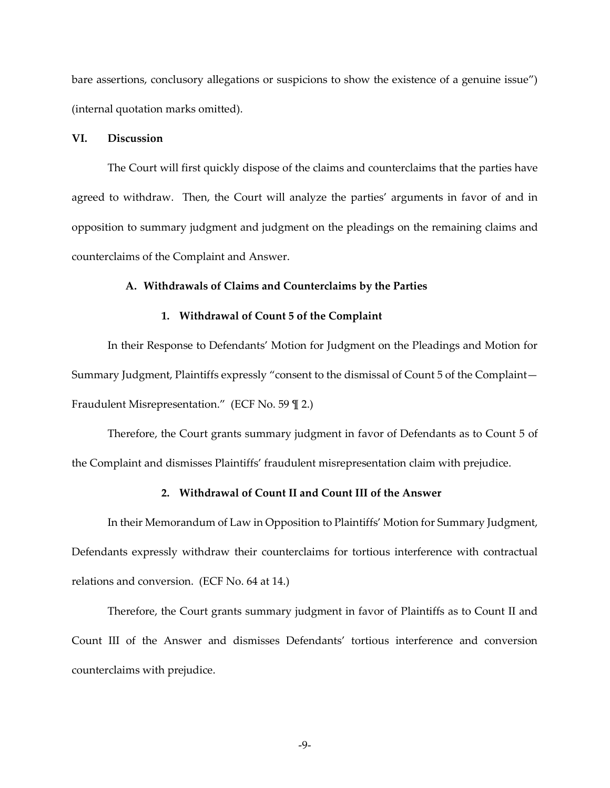bare assertions, conclusory allegations or suspicions to show the existence of a genuine issue") (internal quotation marks omitted).

# **VI. Discussion**

The Court will first quickly dispose of the claims and counterclaims that the parties have agreed to withdraw. Then, the Court will analyze the parties' arguments in favor of and in opposition to summary judgment and judgment on the pleadings on the remaining claims and counterclaims of the Complaint and Answer.

## **A. Withdrawals of Claims and Counterclaims by the Parties**

### **1. Withdrawal of Count 5 of the Complaint**

In their Response to Defendants' Motion for Judgment on the Pleadings and Motion for Summary Judgment, Plaintiffs expressly "consent to the dismissal of Count 5 of the Complaint-Fraudulent Misrepresentation." (ECF No. 59  $\mathbb{I}$  2.)

Therefore, the Court grants summary judgment in favor of Defendants as to Count 5 of the Complaint and dismisses Plaintiffs' fraudulent misrepresentation claim with prejudice.

# **2. Withdrawal of Count II and Count III of the Answer**

In their Memorandum of Law in Opposition to Plaintiffs' Motion for Summary Judgment, Defendants expressly withdraw their counterclaims for tortious interference with contractual relations and conversion. (ECF No. 64 at 14.)

Therefore, the Court grants summary judgment in favor of Plaintiffs as to Count II and Count III of the Answer and dismisses Defendants' tortious interference and conversion counterclaims with prejudice.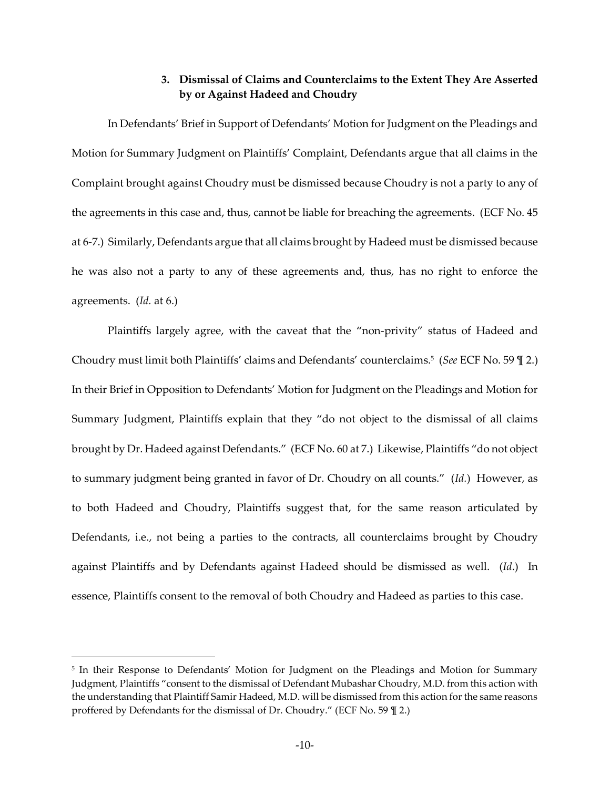# **3. Dismissal of Claims and Counterclaims to the Extent They Are Asserted by or Against Hadeed and Choudry**

In Defendants' Brief in Support of Defendants' Motion for Judgment on the Pleadings and Motion for Summary Judgment on Plaintiffs' Complaint, Defendants argue that all claims in the Complaint brought against Choudry must be dismissed because Choudry is not a party to any of the agreements in this case and, thus, cannot be liable for breaching the agreements. (ECF No. 45 at 6-7.) Similarly, Defendants argue that all claims brought by Hadeed must be dismissed because he was also not a party to any of these agreements and, thus, has no right to enforce the agreements. (*Id.* at 6.)

Plaintiffs largely agree, with the caveat that the "non-privity" status of Hadeed and Choudry must limit both Plaintiffs' claims and Defendants' counterclaims.<sup>5</sup> (See ECF No. 59 \mumbers 2.) In their Brief in Opposition to Defendants' Motion for Judgment on the Pleadings and Motion for Summary Judgment, Plaintiffs explain that they "do not object to the dismissal of all claims brought by Dr. Hadeed against Defendants." (ECF No. 60 at 7.) Likewise, Plaintiffs "do not object to summary judgment being granted in favor of Dr. Choudry on all counts." (Id.) However, as to both Hadeed and Choudry, Plaintiffs suggest that, for the same reason articulated by Defendants, i.e., not being a parties to the contracts, all counterclaims brought by Choudry against Plaintiffs and by Defendants against Hadeed should be dismissed as well. (*Id*.) In essence, Plaintiffs consent to the removal of both Choudry and Hadeed as parties to this case.

<sup>&</sup>lt;sup>5</sup> In their Response to Defendants' Motion for Judgment on the Pleadings and Motion for Summary Judgment, Plaintiffs "consent to the dismissal of Defendant Mubashar Choudry, M.D. from this action with the understanding that Plaintiff Samir Hadeed, M.D. will be dismissed from this action for the same reasons proffered by Defendants for the dismissal of Dr. Choudry." (ECF No.  $59$   $\parallel$  2.)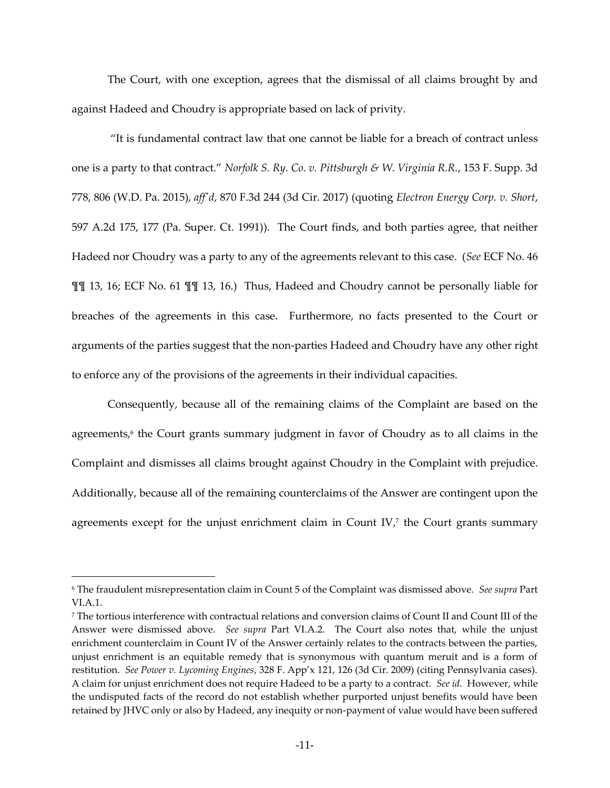The Court, with one exception, agrees that the dismissal of all claims brought by and against Hadeed and Choudry is appropriate based on lack of privity.

⦆It is fundamental contract law that one cannot be liable for a breach of contract unless one is a party to that contract." *Norfolk S. Ry. Co. v. Pittsburgh & W. Virginia R.R.*, 153 F. Supp. 3d 778, 806 (W.D. Pa. 2015), *aff'd*, 870 F.3d 244 (3d Cir. 2017) (quoting *Electron Energy Corp. v. Short*, 597 A.2d 175, 177 (Pa. Super. Ct. 1991)). The Court finds, and both parties agree, that neither Hadeed nor Choudry was a party to any of the agreements relevant to this case. (*See* ECF No. 46 ¶¶ 13, 16; ECF No. 61 ¶¶ 13, 16.) Thus, Hadeed and Choudry cannot be personally liable for breaches of the agreements in this case. Furthermore, no facts presented to the Court or arguments of the parties suggest that the non-parties Hadeed and Choudry have any other right to enforce any of the provisions of the agreements in their individual capacities.

Consequently, because all of the remaining claims of the Complaint are based on the agreements,<sup>6</sup> the Court grants summary judgment in favor of Choudry as to all claims in the Complaint and dismisses all claims brought against Choudry in the Complaint with prejudice. Additionally, because all of the remaining counterclaims of the Answer are contingent upon the agreements except for the unjust enrichment claim in Count IV,<sup>7</sup> the Court grants summary

<sup>6</sup> The fraudulent misrepresentation claim in Count 5 of the Complaint was dismissed above. *See supra* Part VI.A.1.

<sup>7</sup> The tortious interference with contractual relations and conversion claims of Count II and Count III of the Answer were dismissed above. *See supra* Part VI.A.2. The Court also notes that, while the unjust enrichment counterclaim in Count IV of the Answer certainly relates to the contracts between the parties, unjust enrichment is an equitable remedy that is synonymous with quantum meruit and is a form of restitution. *See Power v. Lycoming Engines*, 328 F. App'x 121, 126 (3d Cir. 2009) (citing Pennsylvania cases). A claim for unjust enrichment does not require Hadeed to be a party to a contract. *See id.* However, while the undisputed facts of the record do not establish whether purported unjust benefits would have been retained by JHVC only or also by Hadeed, any inequity or non-payment of value would have been suffered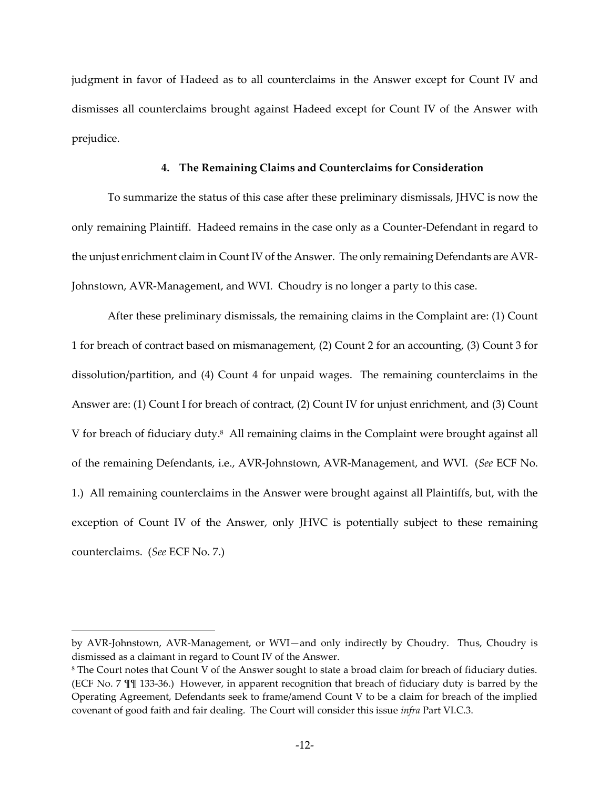judgment in favor of Hadeed as to all counterclaims in the Answer except for Count IV and dismisses all counterclaims brought against Hadeed except for Count IV of the Answer with prejudice.

#### **4. The Remaining Claims and Counterclaims for Consideration**

To summarize the status of this case after these preliminary dismissals, JHVC is now the only remaining Plaintiff. Hadeed remains in the case only as a Counter-Defendant in regard to the unjust enrichment claim in Count IV of the Answer. The only remaining Defendants are AVR-Johnstown, AVR-Management, and WVI. Choudry is no longer a party to this case.

After these preliminary dismissals, the remaining claims in the Complaint are: (1) Count 1 for breach of contract based on mismanagement, (2) Count 2 for an accounting, (3) Count 3 for dissolution/partition, and (4) Count 4 for unpaid wages. The remaining counterclaims in the Answer are: (1) Count I for breach of contract, (2) Count IV for unjust enrichment, and (3) Count V for breach of fiduciary duty.<sup>8</sup> All remaining claims in the Complaint were brought against all of the remaining Defendants, i.e., AVR-Johnstown, AVR-Management, and WVI. (*See* ECF No. 1.) All remaining counterclaims in the Answer were brought against all Plaintiffs, but, with the exception of Count IV of the Answer, only JHVC is potentially subject to these remaining counterclaims. (*See* ECF No. 7.)

by AVR-Johnstown, AVR-Management, or WVI-and only indirectly by Choudry. Thus, Choudry is dismissed as a claimant in regard to Count IV of the Answer.

<sup>8</sup> The Court notes that Count V of the Answer sought to state a broad claim for breach of fiduciary duties. (ECF No. 7 ¶¶ 133-36.) However, in apparent recognition that breach of fiduciary duty is barred by the Operating Agreement, Defendants seek to frame/amend Count V to be a claim for breach of the implied covenant of good faith and fair dealing. The Court will consider this issue *infra* Part VI.C.3.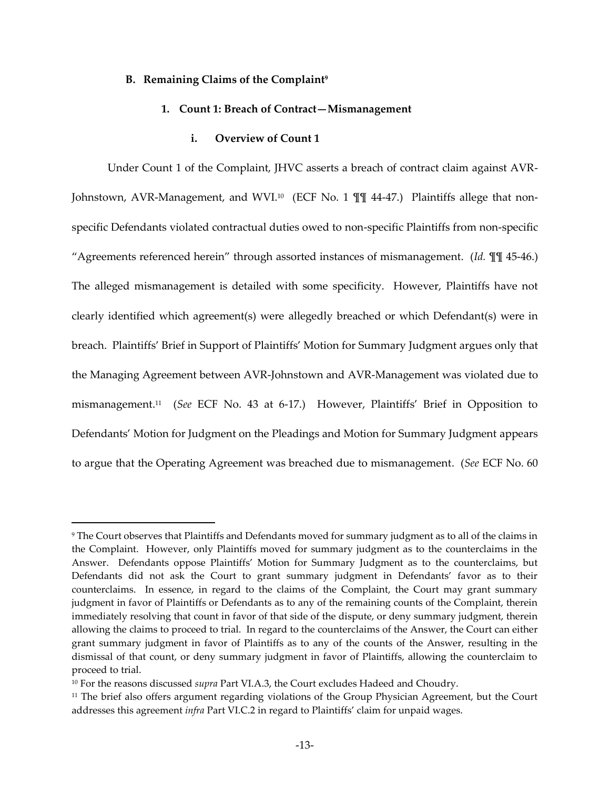### **B. Remaining Claims of the Complaint<sup>9</sup>**

# **1. Count 1: Breach of Contract—Mismanagement**

### **i. Overview of Count 1**

Under Count 1 of the Complaint, JHVC asserts a breach of contract claim against AVR-Johnstown, AVR-Management, and WVI.10 (ECF No. 1 ¶¶ 44-47.) Plaintiffs allege that nonspecific Defendants violated contractual duties owed to non-specific Plaintiffs from non-specific "Agreements referenced herein" through assorted instances of mismanagement. (*Id. ¶¶ 45-46.*) The alleged mismanagement is detailed with some specificity. However, Plaintiffs have not clearly identified which agreement(s) were allegedly breached or which Defendant(s) were in breach. Plaintiffs' Brief in Support of Plaintiffs' Motion for Summary Judgment argues only that the Managing Agreement between AVR-Johnstown and AVR-Management was violated due to mismanagement.<sup>11</sup> (See ECF No. 43 at 6-17.) However, Plaintiffs' Brief in Opposition to Defendants' Motion for Judgment on the Pleadings and Motion for Summary Judgment appears to argue that the Operating Agreement was breached due to mismanagement. (*See* ECF No. 60

 $^9$  The Court observes that Plaintiffs and Defendants moved for summary judgment as to all of the claims in  $\,$ the Complaint. However, only Plaintiffs moved for summary judgment as to the counterclaims in the Answer. Defendants oppose Plaintiffs' Motion for Summary Judgment as to the counterclaims, but Defendants did not ask the Court to grant summary judgment in Defendants' favor as to their counterclaims. In essence, in regard to the claims of the Complaint, the Court may grant summary judgment in favor of Plaintiffs or Defendants as to any of the remaining counts of the Complaint, therein immediately resolving that count in favor of that side of the dispute, or deny summary judgment, therein allowing the claims to proceed to trial. In regard to the counterclaims of the Answer, the Court can either grant summary judgment in favor of Plaintiffs as to any of the counts of the Answer, resulting in the dismissal of that count, or deny summary judgment in favor of Plaintiffs, allowing the counterclaim to proceed to trial.

<sup>10</sup> For the reasons discussed *supra* Part VI.A.3, the Court excludes Hadeed and Choudry.

<sup>11</sup> The brief also offers argument regarding violations of the Group Physician Agreement, but the Court addresses this agreement *infra* Part VI.C.2 in regard to Plaintiffs' claim for unpaid wages.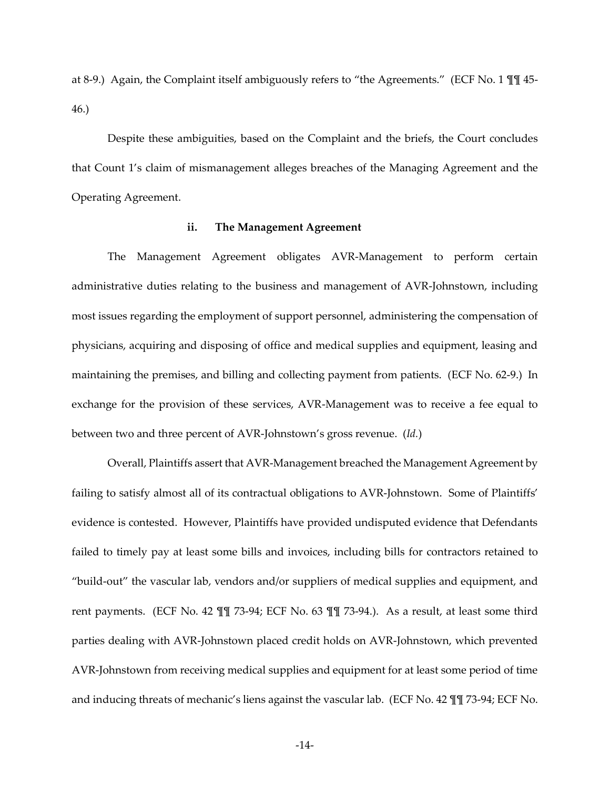at 8-9.) Again, the Complaint itself ambiguously refers to "the Agreements." (ECF No. 1  $\P$  ¶ 45-46.)

Despite these ambiguities, based on the Complaint and the briefs, the Court concludes that Count 1's claim of mismanagement alleges breaches of the Managing Agreement and the Operating Agreement.

## **ii. The Management Agreement**

The Management Agreement obligates AVR-Management to perform certain administrative duties relating to the business and management of AVR-Johnstown, including most issues regarding the employment of support personnel, administering the compensation of physicians, acquiring and disposing of office and medical supplies and equipment, leasing and maintaining the premises, and billing and collecting payment from patients. (ECF No. 62-9.) In exchange for the provision of these services, AVR-Management was to receive a fee equal to between two and three percent of AVR-Johnstown's gross revenue. (*Id.*)

Overall, Plaintiffs assert that AVR-Management breached the Management Agreement by failing to satisfy almost all of its contractual obligations to AVR-Johnstown. Some of Plaintiffs' evidence is contested. However, Plaintiffs have provided undisputed evidence that Defendants failed to timely pay at least some bills and invoices, including bills for contractors retained to "build-out" the vascular lab, vendors and/or suppliers of medical supplies and equipment, and rent payments. (ECF No. 42 ¶¶ 73-94; ECF No. 63 ¶¶ 73-94.). As a result, at least some third parties dealing with AVR-Johnstown placed credit holds on AVR-Johnstown, which prevented AVR-Johnstown from receiving medical supplies and equipment for at least some period of time and inducing threats of mechanic's liens against the vascular lab. (ECF No. 42 TT 73-94; ECF No.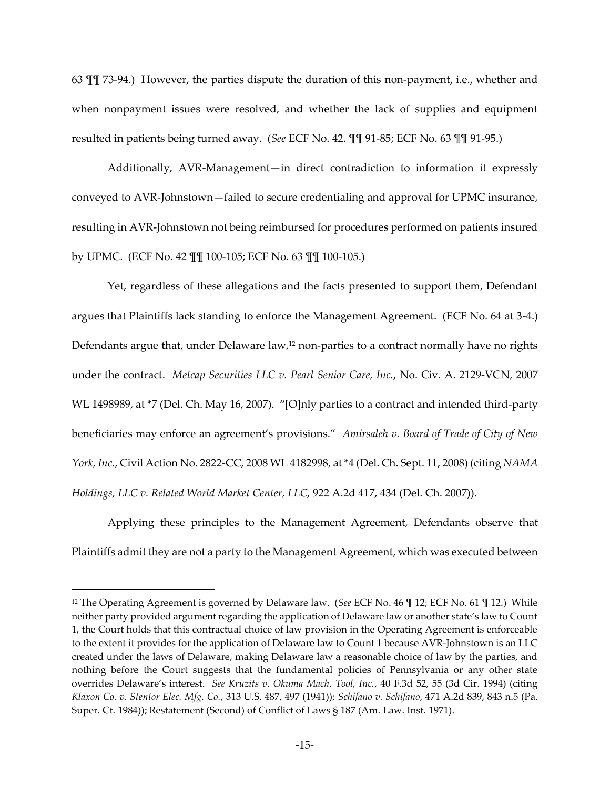63 ¶¶ 73-94.) However, the parties dispute the duration of this non-payment, i.e., whether and when nonpayment issues were resolved, and whether the lack of supplies and equipment resulted in patients being turned away. (*See* ECF No. 42. ¶¶ 91-85; ECF No. 63 ¶¶ 91-95.)

Additionally, AVR-Management-in direct contradiction to information it expressly conveyed to AVR-Johnstown-failed to secure credentialing and approval for UPMC insurance, resulting in AVR-Johnstown not being reimbursed for procedures performed on patients insured by UPMC. (ECF No. 42 ¶¶ 100-105; ECF No. 63 ¶¶ 100-105.)

Yet, regardless of these allegations and the facts presented to support them, Defendant argues that Plaintiffs lack standing to enforce the Management Agreement. (ECF No. 64 at 3-4.) Defendants argue that, under Delaware law,<sup>12</sup> non-parties to a contract normally have no rights under the contract. *Metcap Securities LLC v. Pearl Senior Care, Inc.*, No. Civ. A. 2129-VCN, 2007 WL 1498989, at \*7 (Del. Ch. May 16, 2007). "[O]nly parties to a contract and intended third-party beneficiaries may enforce an agreement's provisions." Amirsaleh v. Board of Trade of City of New *York, Inc.*, Civil Action No. 2822-CC, 2008 WL 4182998, at \*4 (Del. Ch. Sept. 11, 2008) (citing *NAMA Holdings, LLC v. Related World Market Center, LLC*, 922 A.2d 417, 434 (Del. Ch. 2007)).

Applying these principles to the Management Agreement, Defendants observe that Plaintiffs admit they are not a party to the Management Agreement, which was executed between

<sup>12</sup> The Operating Agreement is governed by Delaware law. (*See* ECF No. 46 ¶ 12; ECF No. 61 ¶ 12.) While neither party provided argument regarding the application of Delaware law or another state's law to Count 1, the Court holds that this contractual choice of law provision in the Operating Agreement is enforceable to the extent it provides for the application of Delaware law to Count 1 because AVR-Johnstown is an LLC created under the laws of Delaware, making Delaware law a reasonable choice of law by the parties, and nothing before the Court suggests that the fundamental policies of Pennsylvania or any other state overrides Delaware's interest. *See Kruzits v. Okuma Mach. Tool, Inc.*, 40 F.3d 52, 55 (3d Cir. 1994) (citing *Klaxon Co. v. Stentor Elec. Mfg. Co.*, 313 U.S. 487, 497 (1941)); *Schifano v. Schifano*, 471 A.2d 839, 843 n.5 (Pa. Super. Ct. 1984)); Restatement (Second) of Conflict of Laws § 187 (Am. Law. Inst. 1971).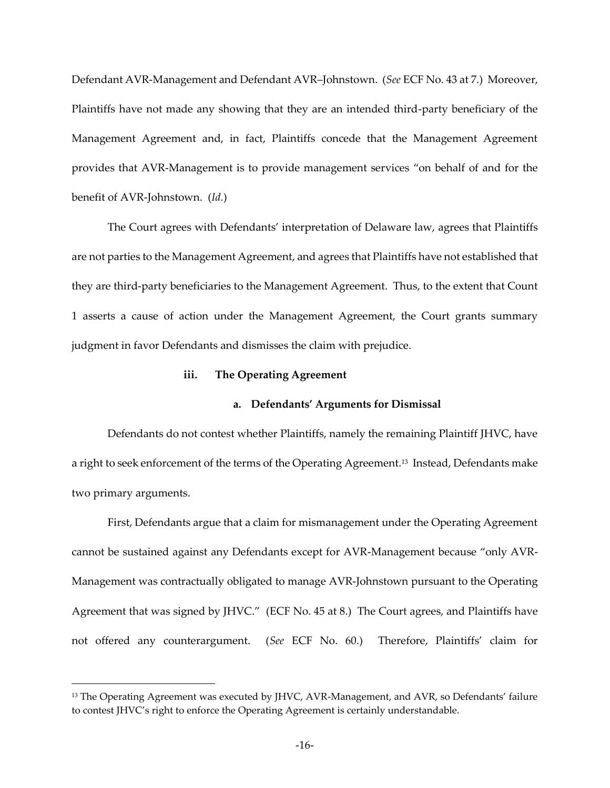Defendant AVR-Management and Defendant AVR-Johnstown. (*See* ECF No. 43 at 7.) Moreover, Plaintiffs have not made any showing that they are an intended third-party beneficiary of the Management Agreement and, in fact, Plaintiffs concede that the Management Agreement provides that AVR-Management is to provide management services ⦆on behalf of and for the benefit of AVR-Johnstown. (*Id.*)

The Court agrees with Defendants' interpretation of Delaware law, agrees that Plaintiffs are not parties to the Management Agreement, and agrees that Plaintiffs have not established that they are third-party beneficiaries to the Management Agreement. Thus, to the extent that Count 1 asserts a cause of action under the Management Agreement, the Court grants summary judgment in favor Defendants and dismisses the claim with prejudice.

### **iii. The Operating Agreement**

## **a. Defendants' Arguments for Dismissal**

Defendants do not contest whether Plaintiffs, namely the remaining Plaintiff JHVC, have a right to seek enforcement of the terms of the Operating Agreement.<sup>13</sup> Instead, Defendants make two primary arguments.

First, Defendants argue that a claim for mismanagement under the Operating Agreement cannot be sustained against any Defendants except for AVR-Management because "only AVR-Management was contractually obligated to manage AVR-Johnstown pursuant to the Operating Agreement that was signed by JHVC." (ECF No. 45 at 8.) The Court agrees, and Plaintiffs have not offered any counterargument. (*See* ECF No. 60.) Therefore, Plaintiffs' claim for

<sup>&</sup>lt;sup>13</sup> The Operating Agreement was executed by JHVC, AVR-Management, and AVR, so Defendants' failure to contest JHVC's right to enforce the Operating Agreement is certainly understandable.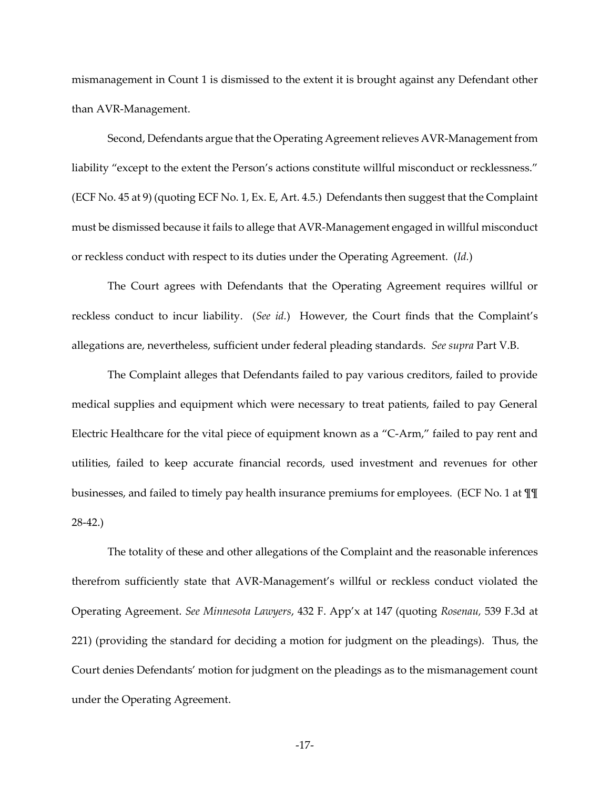mismanagement in Count 1 is dismissed to the extent it is brought against any Defendant other than AVR-Management.

Second, Defendants argue that the Operating Agreement relieves AVR-Management from liability "except to the extent the Person's actions constitute willful misconduct or recklessness." (ECF No. 45 at 9) (quoting ECF No. 1, Ex. E, Art. 4.5.) Defendants then suggest that the Complaint must be dismissed because it fails to allege that AVR-Management engaged in willful misconduct or reckless conduct with respect to its duties under the Operating Agreement. (*Id.*)

The Court agrees with Defendants that the Operating Agreement requires willful or reckless conduct to incur liability. (*See id.*) However, the Court finds that the Complaint's allegations are, nevertheless, sufficient under federal pleading standards. *See supra* Part V.B.

The Complaint alleges that Defendants failed to pay various creditors, failed to provide medical supplies and equipment which were necessary to treat patients, failed to pay General Electric Healthcare for the vital piece of equipment known as a  $\textdegree$ C-Arm, $\textdegree$  failed to pay rent and utilities, failed to keep accurate financial records, used investment and revenues for other businesses, and failed to timely pay health insurance premiums for employees. (ECF No. 1 at ¶¶ 28-42.)

The totality of these and other allegations of the Complaint and the reasonable inferences therefrom sufficiently state that AVR-Management's willful or reckless conduct violated the Operating Agreement. See Minnesota Lawyers, 432 F. App'x at 147 (quoting *Rosenau*, 539 F.3d at 221) (providing the standard for deciding a motion for judgment on the pleadings). Thus, the Court denies Defendants' motion for judgment on the pleadings as to the mismanagement count under the Operating Agreement.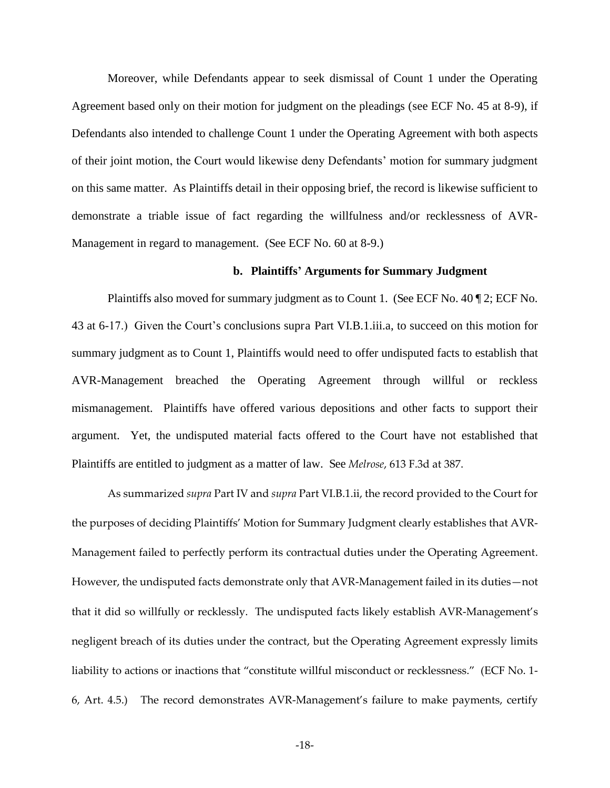Moreover, while Defendants appear to seek dismissal of Count 1 under the Operating Agreement based only on their motion for judgment on the pleadings (see ECF No. 45 at 8-9), if Defendants also intended to challenge Count 1 under the Operating Agreement with both aspects of their joint motion, the Court would likewise deny Defendants' motion for summary judgment on this same matter. As Plaintiffs detail in their opposing brief, the record is likewise sufficient to demonstrate a triable issue of fact regarding the willfulness and/or recklessness of AVR-Management in regard to management. (See ECF No. 60 at 8-9.)

### **b. Plaintiffs' Arguments for Summary Judgment**

Plaintiffs also moved for summary judgment as to Count 1. (See ECF No. 40 ¶ 2; ECF No. 43 at 6-17.) Given the Court's conclusions supra Part VI.B.1.iii.a, to succeed on this motion for summary judgment as to Count 1, Plaintiffs would need to offer undisputed facts to establish that AVR-Management breached the Operating Agreement through willful or reckless mismanagement. Plaintiffs have offered various depositions and other facts to support their argument. Yet, the undisputed material facts offered to the Court have not established that Plaintiffs are entitled to judgment as a matter of law. See *Melrose*, 613 F.3d at 387.

As summarized *supra* Part IV and *supra* Part VI.B.1.ii, the record provided to the Court for the purposes of deciding Plaintiffs' Motion for Summary Judgment clearly establishes that AVR-Management failed to perfectly perform its contractual duties under the Operating Agreement. However, the undisputed facts demonstrate only that AVR-Management failed in its duties - not that it did so willfully or recklessly. The undisputed facts likely establish AVR-Management's negligent breach of its duties under the contract, but the Operating Agreement expressly limits liability to actions or inactions that "constitute willful misconduct or recklessness." (ECF No. 1- $6$ , Art. 4.5.) The record demonstrates AVR-Management's failure to make payments, certify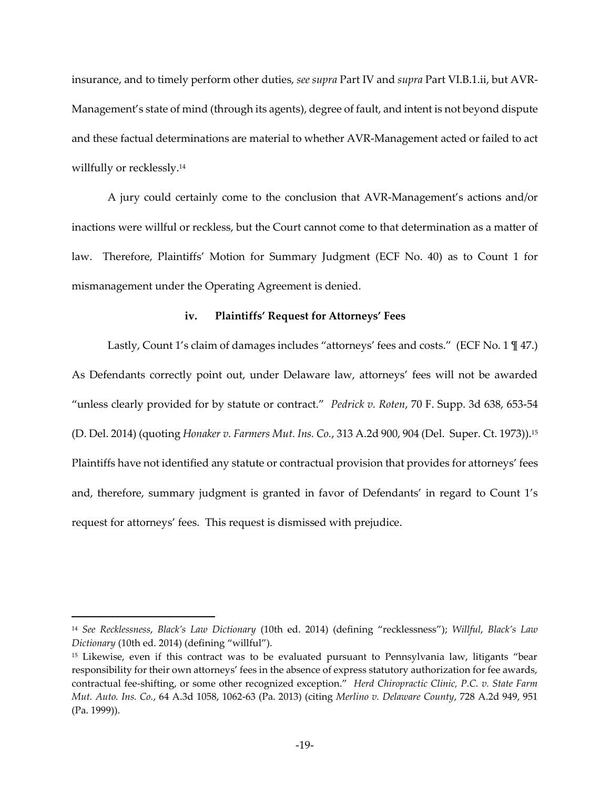insurance, and to timely perform other duties, *see supra* Part IV and *supra* Part VI.B.1.ii, but AVR-Management's state of mind (through its agents), degree of fault, and intent is not beyond dispute and these factual determinations are material to whether AVR-Management acted or failed to act willfully or recklessly.<sup>14</sup>

A jury could certainly come to the conclusion that AVR-Management's actions and/or inactions were willful or reckless, but the Court cannot come to that determination as a matter of law. Therefore, Plaintiffs' Motion for Summary Judgment (ECF No. 40) as to Count 1 for mismanagement under the Operating Agreement is denied.

### **iv. Plaintiffs' Request for Attorneys' Fees**

Lastly, Count 1's claim of damages includes "attorneys' fees and costs." (ECF No. 1 \frac{1}{47.) As Defendants correctly point out, under Delaware law, attorneys' fees will not be awarded "unless clearly provided for by statute or contract." Pedrick v. Roten, 70 F. Supp. 3d 638, 653-54 (D. Del. 2014) (quoting *Honaker v. Farmers Mut. Ins. Co.*, 313 A.2d 900, 904 (Del. Super. Ct. 1973)).<sup>15</sup> Plaintiffs have not identified any statute or contractual provision that provides for attorneys' fees and, therefore, summary judgment is granted in favor of Defendants' in regard to Count 1's request for attorneys' fees. This request is dismissed with prejudice.

<sup>14</sup> See Recklessness, Black's Law Dictionary (10th ed. 2014) (defining "recklessness"); Willful, Black's Law *Dictionary* (10th ed. 2014) (defining "willful").

<sup>&</sup>lt;sup>15</sup> Likewise, even if this contract was to be evaluated pursuant to Pennsylvania law, litigants "bear responsibility for their own attorneys' fees in the absence of express statutory authorization for fee awards, contractual fee-shifting, or some other recognized exception." Herd Chiropractic Clinic, P.C. v. State Farm *Mut. Auto. Ins. Co.*, 64 A.3d 1058, 1062-63 (Pa. 2013) (citing *Merlino v. Delaware County*, 728 A.2d 949, 951 (Pa. 1999)).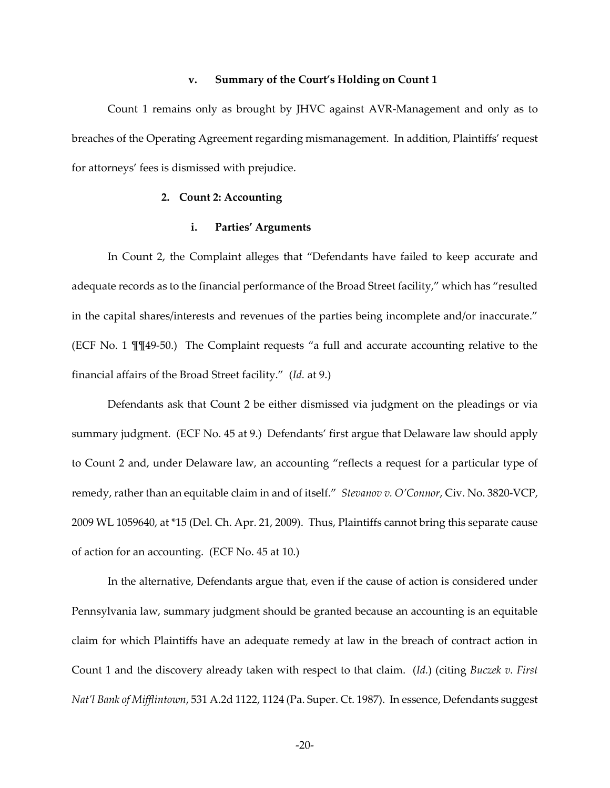#### **v.** Summary of the Court's Holding on Count 1

Count 1 remains only as brought by JHVC against AVR-Management and only as to breaches of the Operating Agreement regarding mismanagement. In addition, Plaintiffs' request for attorneys' fees is dismissed with prejudice.

## **2. Count 2: Accounting**

# **i. Parties' Arguments**

In Count 2, the Complaint alleges that "Defendants have failed to keep accurate and adequate records as to the financial performance of the Broad Street facility," which has "resulted in the capital shares/interests and revenues of the parties being incomplete and/or inaccurate." (ECF No. 1 ¶¶49-50.) The Complaint requests ⦆a full and accurate accounting relative to the financial affairs of the Broad Street facility." (Id. at 9.)

Defendants ask that Count 2 be either dismissed via judgment on the pleadings or via summary judgment. (ECF No. 45 at 9.) Defendants' first argue that Delaware law should apply to Count 2 and, under Delaware law, an accounting "reflects a request for a particular type of remedy, rather than an equitable claim in and of itself." Stevanov v. O'Connor, Civ. No. 3820-VCP, 2009 WL 1059640, at \*15 (Del. Ch. Apr. 21, 2009). Thus, Plaintiffs cannot bring this separate cause of action for an accounting. (ECF No. 45 at 10.)

In the alternative, Defendants argue that, even if the cause of action is considered under Pennsylvania law, summary judgment should be granted because an accounting is an equitable claim for which Plaintiffs have an adequate remedy at law in the breach of contract action in Count 1 and the discovery already taken with respect to that claim. (*Id.*) (citing *Buczek v. First Nat'l Bank of Mifflintown*, 531 A.2d 1122, 1124 (Pa. Super. Ct. 1987). In essence, Defendants suggest

-20-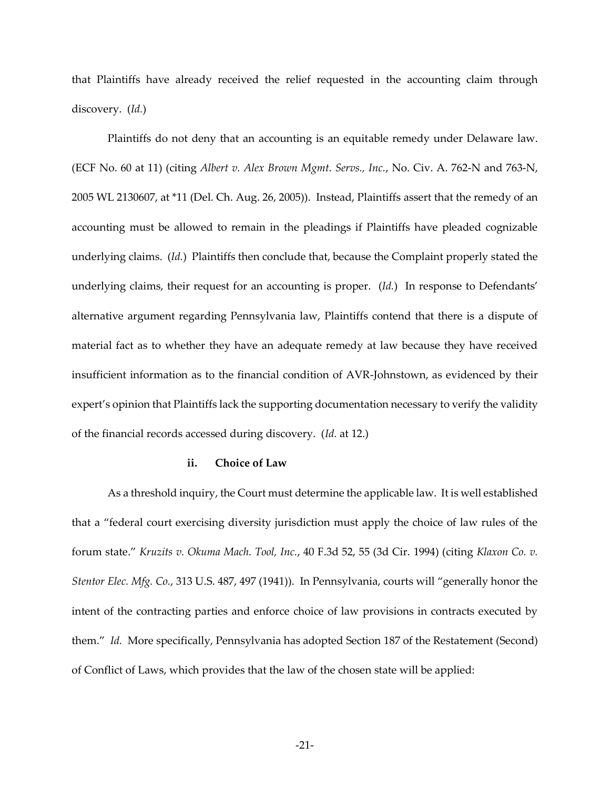that Plaintiffs have already received the relief requested in the accounting claim through discovery. (*Id.*)

Plaintiffs do not deny that an accounting is an equitable remedy under Delaware law. (ECF No. 60 at 11) (citing *Albert v. Alex Brown Mgmt. Servs., Inc.*, No. Civ. A. 762-N and 763-N, 2005 WL 2130607, at \*11 (Del. Ch. Aug. 26, 2005)). Instead, Plaintiffs assert that the remedy of an accounting must be allowed to remain in the pleadings if Plaintiffs have pleaded cognizable underlying claims. (*Id.*) Plaintiffs then conclude that, because the Complaint properly stated the underlying claims, their request for an accounting is proper.  $(Id.)$  In response to Defendants' alternative argument regarding Pennsylvania law, Plaintiffs contend that there is a dispute of material fact as to whether they have an adequate remedy at law because they have received insufficient information as to the financial condition of AVR-Johnstown, as evidenced by their expert's opinion that Plaintiffs lack the supporting documentation necessary to verify the validity of the financial records accessed during discovery. (*Id.* at 12.)

### **ii. Choice of Law**

As a threshold inquiry, the Court must determine the applicable law. It is well established that a "federal court exercising diversity jurisdiction must apply the choice of law rules of the forum state." Kruzits v. Okuma Mach. Tool, Inc., 40 F.3d 52, 55 (3d Cir. 1994) (citing *Klaxon Co. v. Stentor Elec. Mfg. Co.,* 313 U.S. 487, 497 (1941)). In Pennsylvania, courts will "generally honor the intent of the contracting parties and enforce choice of law provisions in contracts executed by them." *Id.* More specifically, Pennsylvania has adopted Section 187 of the Restatement (Second) of Conflict of Laws, which provides that the law of the chosen state will be applied: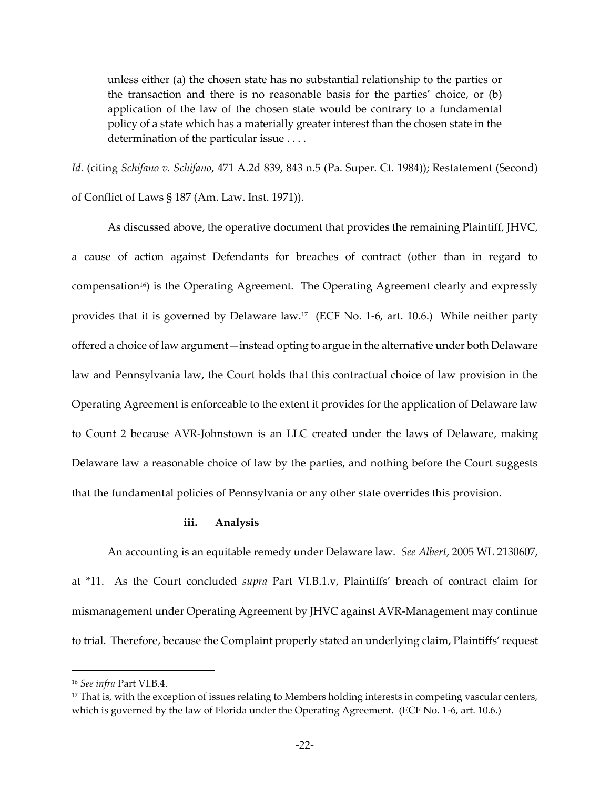unless either (a) the chosen state has no substantial relationship to the parties or the transaction and there is no reasonable basis for the parties' choice, or  $(b)$ application of the law of the chosen state would be contrary to a fundamental policy of a state which has a materially greater interest than the chosen state in the determination of the particular issue . . . .

*Id.* (citing *Schifano v. Schifano*, 471 A.2d 839, 843 n.5 (Pa. Super. Ct. 1984)); Restatement (Second) of Conflict of Laws § 187 (Am. Law. Inst. 1971)).

As discussed above, the operative document that provides the remaining Plaintiff, JHVC, a cause of action against Defendants for breaches of contract (other than in regard to compensation16) is the Operating Agreement. The Operating Agreement clearly and expressly provides that it is governed by Delaware law.<sup>17</sup> (ECF No. 1-6, art. 10.6.) While neither party offered a choice of law argument-instead opting to argue in the alternative under both Delaware law and Pennsylvania law, the Court holds that this contractual choice of law provision in the Operating Agreement is enforceable to the extent it provides for the application of Delaware law to Count 2 because AVR-Johnstown is an LLC created under the laws of Delaware, making Delaware law a reasonable choice of law by the parties, and nothing before the Court suggests that the fundamental policies of Pennsylvania or any other state overrides this provision.

### **iii. Analysis**

An accounting is an equitable remedy under Delaware law. *See Albert*, 2005 WL 2130607, at \*11. As the Court concluded *supra* Part VI.B.1.v, Plaintiffs' breach of contract claim for mismanagement under Operating Agreement by JHVC against AVR-Management may continue to trial. Therefore, because the Complaint properly stated an underlying claim, Plaintiffs' request

<sup>16</sup> *See infra* Part VI.B.4.

<sup>&</sup>lt;sup>17</sup> That is, with the exception of issues relating to Members holding interests in competing vascular centers, which is governed by the law of Florida under the Operating Agreement. (ECF No. 1-6, art. 10.6.)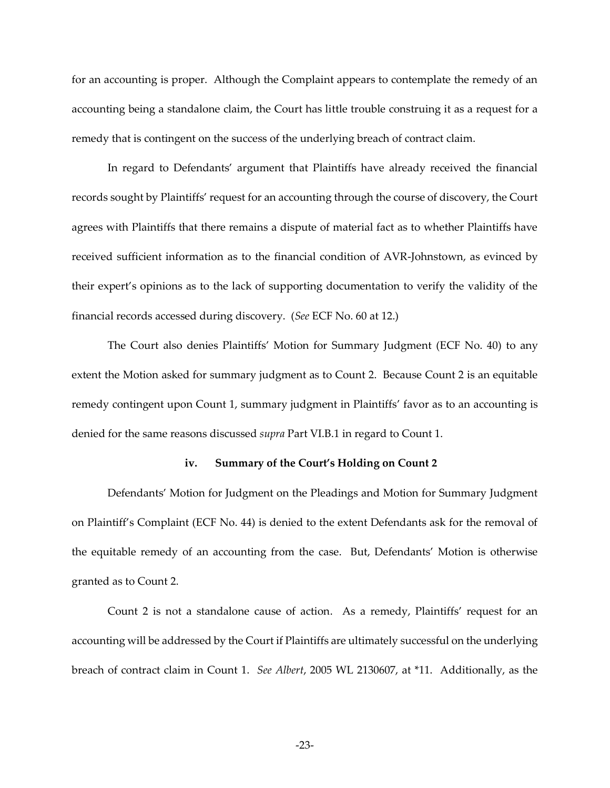for an accounting is proper. Although the Complaint appears to contemplate the remedy of an accounting being a standalone claim, the Court has little trouble construing it as a request for a remedy that is contingent on the success of the underlying breach of contract claim.

In regard to Defendants' argument that Plaintiffs have already received the financial records sought by Plaintiffs' request for an accounting through the course of discovery, the Court agrees with Plaintiffs that there remains a dispute of material fact as to whether Plaintiffs have received sufficient information as to the financial condition of AVR-Johnstown, as evinced by their expert's opinions as to the lack of supporting documentation to verify the validity of the financial records accessed during discovery. (*See* ECF No. 60 at 12.)

The Court also denies Plaintiffs' Motion for Summary Judgment (ECF No. 40) to any extent the Motion asked for summary judgment as to Count 2. Because Count 2 is an equitable remedy contingent upon Count 1, summary judgment in Plaintiffs' favor as to an accounting is denied for the same reasons discussed *supra* Part VI.B.1 in regard to Count 1.

#### **iv.** Summary of the Court's Holding on Count 2

Defendants' Motion for Judgment on the Pleadings and Motion for Summary Judgment on Plaintiff's Complaint (ECF No. 44) is denied to the extent Defendants ask for the removal of the equitable remedy of an accounting from the case. But, Defendants' Motion is otherwise granted as to Count 2.

Count 2 is not a standalone cause of action. As a remedy, Plaintiffs' request for an accounting will be addressed by the Court if Plaintiffs are ultimately successful on the underlying breach of contract claim in Count 1. *See Albert*, 2005 WL 2130607, at \*11. Additionally, as the

-23-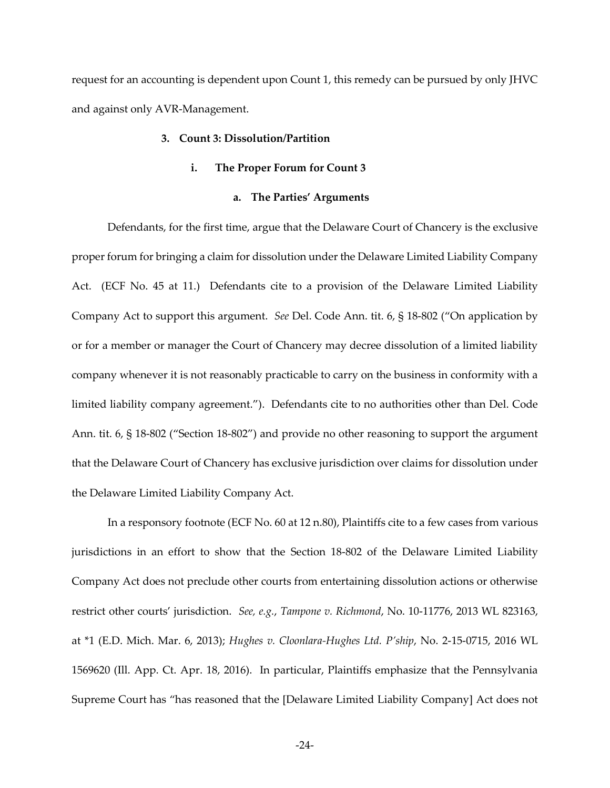request for an accounting is dependent upon Count 1, this remedy can be pursued by only JHVC and against only AVR-Management.

## **3. Count 3: Dissolution/Partition**

#### **i. The Proper Forum for Count 3**

## **a. The Parties' Arguments**

Defendants, for the first time, argue that the Delaware Court of Chancery is the exclusive proper forum for bringing a claim for dissolution under the Delaware Limited Liability Company Act. (ECF No. 45 at 11.) Defendants cite to a provision of the Delaware Limited Liability Company Act to support this argument. *See* Del. Code Ann. tit. 6, § 18-802 ("On application by or for a member or manager the Court of Chancery may decree dissolution of a limited liability company whenever it is not reasonably practicable to carry on the business in conformity with a limited liability company agreement."). Defendants cite to no authorities other than Del. Code Ann. tit.  $6, \frac{6}{5}$  18-802 ("Section 18-802") and provide no other reasoning to support the argument that the Delaware Court of Chancery has exclusive jurisdiction over claims for dissolution under the Delaware Limited Liability Company Act.

In a responsory footnote (ECF No. 60 at 12 n.80), Plaintiffs cite to a few cases from various jurisdictions in an effort to show that the Section 18-802 of the Delaware Limited Liability Company Act does not preclude other courts from entertaining dissolution actions or otherwise restrict other courts‒ jurisdiction. *See, e.g.*, *Tampone v. Richmond*, No. 10-11776, 2013 WL 823163, at \*1 (E.D. Mich. Mar. 6, 2013); *Hughes v. Cloonlara-Hughes Ltd. P'ship*, No. 2-15-0715, 2016 WL 1569620 (Ill. App. Ct. Apr. 18, 2016). In particular, Plaintiffs emphasize that the Pennsylvania Supreme Court has "has reasoned that the [Delaware Limited Liability Company] Act does not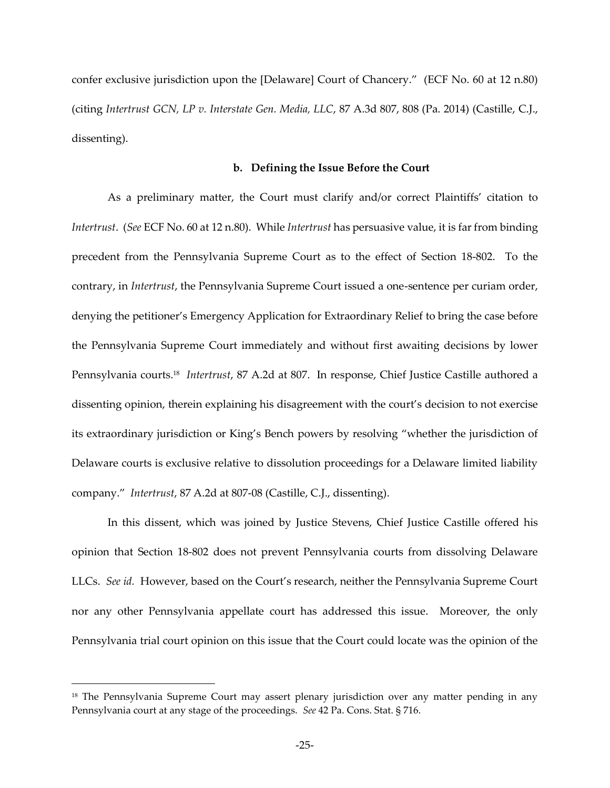confer exclusive jurisdiction upon the [Delaware] Court of Chancery." (ECF No. 60 at 12 n.80) (citing *Intertrust GCN, LP v. Interstate Gen. Media, LLC*, 87 A.3d 807, 808 (Pa. 2014) (Castille, C.J., dissenting).

#### **b. Defining the Issue Before the Court**

As a preliminary matter, the Court must clarify and/or correct Plaintiffs' citation to *Intertrust*. (*See* ECF No. 60 at 12 n.80). While *Intertrust* has persuasive value, it is far from binding precedent from the Pennsylvania Supreme Court as to the effect of Section 18-802. To the contrary, in *Intertrust*, the Pennsylvania Supreme Court issued a one-sentence per curiam order, denying the petitioner's Emergency Application for Extraordinary Relief to bring the case before the Pennsylvania Supreme Court immediately and without first awaiting decisions by lower Pennsylvania courts.<sup>18</sup> *Intertrust*, 87 A.2d at 807. In response, Chief Justice Castille authored a dissenting opinion, therein explaining his disagreement with the court's decision to not exercise its extraordinary jurisdiction or King's Bench powers by resolving "whether the jurisdiction of Delaware courts is exclusive relative to dissolution proceedings for a Delaware limited liability company." *Intertrust*, 87 A.2d at 807-08 (Castille, C.J., dissenting).

In this dissent, which was joined by Justice Stevens, Chief Justice Castille offered his opinion that Section 18-802 does not prevent Pennsylvania courts from dissolving Delaware LLCs. *See id.* However, based on the Court's research, neither the Pennsylvania Supreme Court nor any other Pennsylvania appellate court has addressed this issue. Moreover, the only Pennsylvania trial court opinion on this issue that the Court could locate was the opinion of the

<sup>&</sup>lt;sup>18</sup> The Pennsylvania Supreme Court may assert plenary jurisdiction over any matter pending in any Pennsylvania court at any stage of the proceedings. *See* 42 Pa. Cons. Stat. § 716.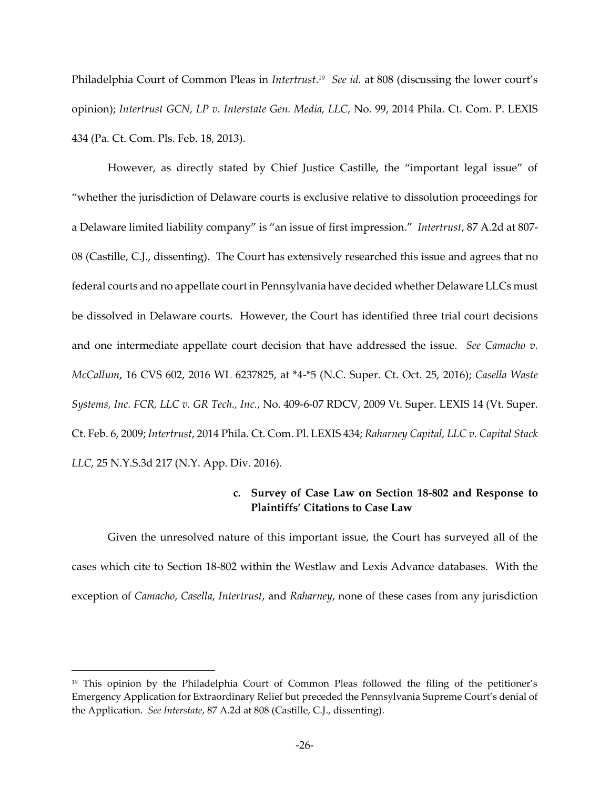Philadelphia Court of Common Pleas in *Intertrust*.<sup>19</sup> See id. at 808 (discussing the lower court's opinion); *Intertrust GCN, LP v. Interstate Gen. Media, LLC*, No. 99, 2014 Phila. Ct. Com. P. LEXIS 434 (Pa. Ct. Com. Pls. Feb. 18, 2013).

However, as directly stated by Chief Justice Castille, the "important legal issue" of ⦆whether the jurisdiction of Delaware courts is exclusive relative to dissolution proceedings for a Delaware limited liability company" is "an issue of first impression." *Intertrust*, 87 A.2d at 807-08 (Castille, C.J., dissenting). The Court has extensively researched this issue and agrees that no federal courts and no appellate court in Pennsylvania have decided whether Delaware LLCs must be dissolved in Delaware courts. However, the Court has identified three trial court decisions and one intermediate appellate court decision that have addressed the issue. *See Camacho v. McCallum*, 16 CVS 602, 2016 WL 6237825, at \*4-\*5 (N.C. Super. Ct. Oct. 25, 2016); *Casella Waste Systems, Inc. FCR, LLC v. GR Tech., Inc.*, No. 409-6-07 RDCV, 2009 Vt. Super. LEXIS 14 (Vt. Super. Ct. Feb. 6, 2009; *Intertrust*, 2014 Phila. Ct. Com. Pl. LEXIS 434; *Raharney Capital, LLC v. Capital Stack LLC*, 25 N.Y.S.3d 217 (N.Y. App. Div. 2016).

# **c. Survey of Case Law on Section 18-802 and Response to Plaintiffs' Citations to Case Law**

Given the unresolved nature of this important issue, the Court has surveyed all of the cases which cite to Section 18-802 within the Westlaw and Lexis Advance databases. With the exception of *Camacho*, *Casella*, *Intertrust*, and *Raharney*, none of these cases from any jurisdiction

 $19$  This opinion by the Philadelphia Court of Common Pleas followed the filing of the petitioner's Emergency Application for Extraordinary Relief but preceded the Pennsylvania Supreme Court's denial of the Application. *See Interstate*, 87 A.2d at 808 (Castille, C.J., dissenting).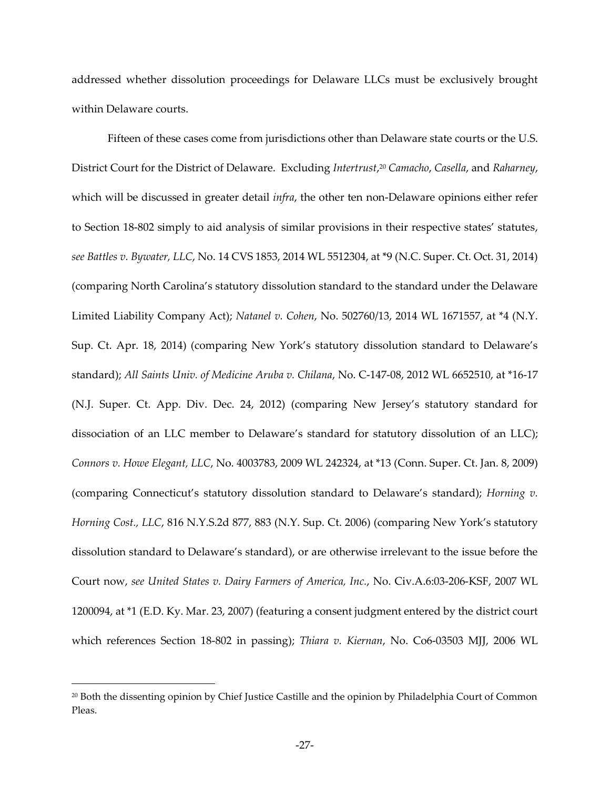addressed whether dissolution proceedings for Delaware LLCs must be exclusively brought within Delaware courts.

Fifteen of these cases come from jurisdictions other than Delaware state courts or the U.S. District Court for the District of Delaware. Excluding *Intertrust*, <sup>20</sup> *Camacho*, *Casella*, and *Raharney*, which will be discussed in greater detail *infra*, the other ten non-Delaware opinions either refer to Section 18-802 simply to aid analysis of similar provisions in their respective states' statutes, *see Battles v. Bywater, LLC*, No. 14 CVS 1853, 2014 WL 5512304, at \*9 (N.C. Super. Ct. Oct. 31, 2014) (comparing North Carolina's statutory dissolution standard to the standard under the Delaware Limited Liability Company Act); *Natanel v. Cohen*, No. 502760/13, 2014 WL 1671557, at \*4 (N.Y. Sup. Ct. Apr. 18, 2014) (comparing New York's statutory dissolution standard to Delaware's standard); *All Saints Univ. of Medicine Aruba v. Chilana*, No. C-147-08, 2012 WL 6652510, at \*16-17 (N.J. Super. Ct. App. Div. Dec. 24, 2012) (comparing New Jersey's statutory standard for dissociation of an LLC member to Delaware's standard for statutory dissolution of an LLC); *Connors v. Howe Elegant, LLC*, No. 4003783, 2009 WL 242324, at \*13 (Conn. Super. Ct. Jan. 8, 2009) (comparing Connecticut's statutory dissolution standard to Delaware's standard); *Horning v. Horning Cost., LLC, 816 N.Y.S.2d 877, 883 (N.Y. Sup. Ct. 2006) (comparing New York's statutory* dissolution standard to Delaware's standard), or are otherwise irrelevant to the issue before the Court now, *see United States v. Dairy Farmers of America, Inc.*, No. Civ.A.6:03-206-KSF, 2007 WL 1200094, at \*1 (E.D. Ky. Mar. 23, 2007) (featuring a consent judgment entered by the district court which references Section 18-802 in passing); *Thiara v. Kiernan*, No. Co6-03503 MJJ, 2006 WL

<sup>20</sup> Both the dissenting opinion by Chief Justice Castille and the opinion by Philadelphia Court of Common Pleas.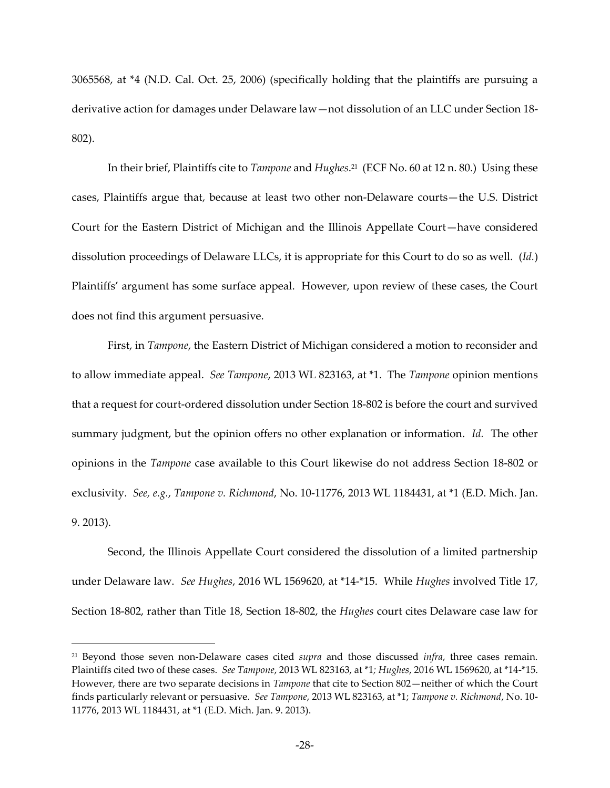3065568, at \*4 (N.D. Cal. Oct. 25, 2006) (specifically holding that the plaintiffs are pursuing a derivative action for damages under Delaware law-not dissolution of an LLC under Section 18-802).

In their brief, Plaintiffs cite to *Tampone* and *Hughes*. <sup>21</sup> (ECF No. 60 at 12 n. 80.) Using these cases, Plaintiffs argue that, because at least two other non-Delaware courts—the U.S. District Court for the Eastern District of Michigan and the Illinois Appellate Court-have considered dissolution proceedings of Delaware LLCs, it is appropriate for this Court to do so as well. (*Id.*) Plaintiffs' argument has some surface appeal. However, upon review of these cases, the Court does not find this argument persuasive.

First, in *Tampone*, the Eastern District of Michigan considered a motion to reconsider and to allow immediate appeal. *See Tampone*, 2013 WL 823163, at \*1. The *Tampone* opinion mentions that a request for court-ordered dissolution under Section 18-802 is before the court and survived summary judgment, but the opinion offers no other explanation or information. *Id.* The other opinions in the *Tampone* case available to this Court likewise do not address Section 18-802 or exclusivity. *See, e.g.*, *Tampone v. Richmond*, No. 10-11776, 2013 WL 1184431, at \*1 (E.D. Mich. Jan. 9. 2013).

Second, the Illinois Appellate Court considered the dissolution of a limited partnership under Delaware law. *See Hughes*, 2016 WL 1569620, at \*14-\*15. While *Hughes* involved Title 17, Section 18-802, rather than Title 18, Section 18-802, the *Hughes* court cites Delaware case law for

<sup>21</sup> Beyond those seven non-Delaware cases cited *supra* and those discussed *infra*, three cases remain. Plaintiffs cited two of these cases. *See Tampone*, 2013 WL 823163, at \*1*; Hughes*, 2016 WL 1569620, at \*14-\*15. However, there are two separate decisions in *Tampone* that cite to Section 802—neither of which the Court finds particularly relevant or persuasive. *See Tampone*, 2013 WL 823163, at \*1; *Tampone v. Richmond*, No. 10- 11776, 2013 WL 1184431, at \*1 (E.D. Mich. Jan. 9. 2013).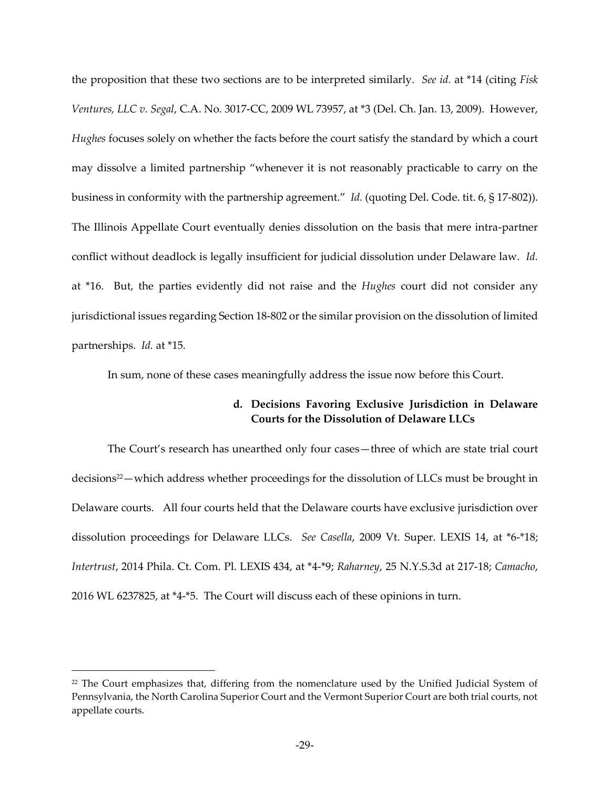the proposition that these two sections are to be interpreted similarly. *See id.* at \*14 (citing *Fisk Ventures, LLC v. Segal*, C.A. No. 3017-CC, 2009 WL 73957, at \*3 (Del. Ch. Jan. 13, 2009). However, *Hughes* focuses solely on whether the facts before the court satisfy the standard by which a court may dissolve a limited partnership "whenever it is not reasonably practicable to carry on the business in conformity with the partnership agreement." *Id.* (quoting Del. Code. tit. 6, § 17-802)). The Illinois Appellate Court eventually denies dissolution on the basis that mere intra-partner conflict without deadlock is legally insufficient for judicial dissolution under Delaware law. *Id.*  at \*16. But, the parties evidently did not raise and the *Hughes* court did not consider any jurisdictional issues regarding Section 18-802 or the similar provision on the dissolution of limited partnerships. *Id.* at \*15.

In sum, none of these cases meaningfully address the issue now before this Court.

# **d. Decisions Favoring Exclusive Jurisdiction in Delaware Courts for the Dissolution of Delaware LLCs**

The Court's research has unearthed only four cases—three of which are state trial court decisions<sup>22</sup> – which address whether proceedings for the dissolution of LLCs must be brought in Delaware courts. All four courts held that the Delaware courts have exclusive jurisdiction over dissolution proceedings for Delaware LLCs. *See Casella*, 2009 Vt. Super. LEXIS 14, at \*6-\*18; *Intertrust*, 2014 Phila. Ct. Com. Pl. LEXIS 434, at \*4-\*9; *Raharney*, 25 N.Y.S.3d at 217-18; *Camacho*, 2016 WL 6237825, at \*4-\*5. The Court will discuss each of these opinions in turn.

<sup>&</sup>lt;sup>22</sup> The Court emphasizes that, differing from the nomenclature used by the Unified Judicial System of Pennsylvania, the North Carolina Superior Court and the Vermont Superior Court are both trial courts, not appellate courts.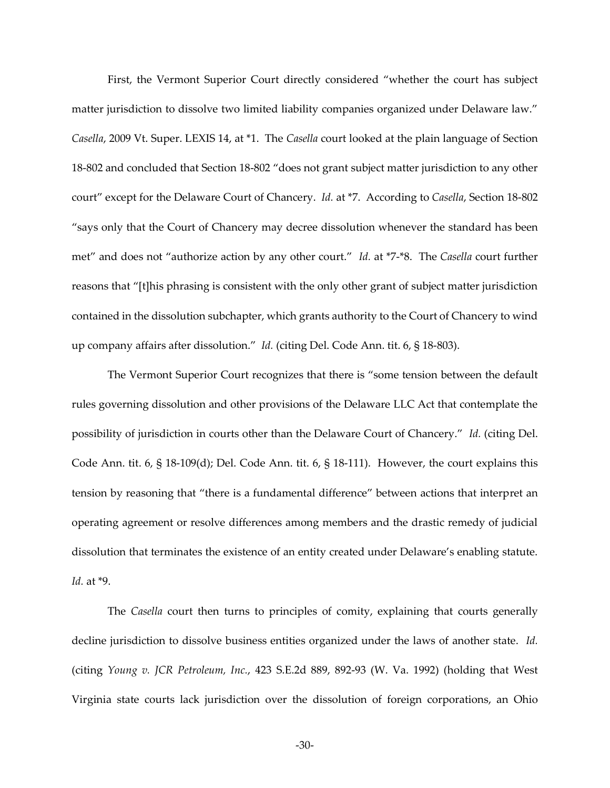First, the Vermont Superior Court directly considered "whether the court has subject matter jurisdiction to dissolve two limited liability companies organized under Delaware law." *Casella*, 2009 Vt. Super. LEXIS 14, at \*1. The *Casella* court looked at the plain language of Section 18-802 and concluded that Section 18-802 "does not grant subject matter jurisdiction to any other court" except for the Delaware Court of Chancery. *Id.* at \*7. According to *Casella*, Section 18-802 ⦆says only that the Court of Chancery may decree dissolution whenever the standard has been met" and does not "authorize action by any other court." *Id.* at \*7-\*8. The *Casella* court further reasons that ⦆[t]his phrasing is consistent with the only other grant of subject matter jurisdiction contained in the dissolution subchapter, which grants authority to the Court of Chancery to wind up company affairs after dissolution." *Id.* (citing Del. Code Ann. tit. 6, § 18-803).

The Vermont Superior Court recognizes that there is "some tension between the default rules governing dissolution and other provisions of the Delaware LLC Act that contemplate the possibility of jurisdiction in courts other than the Delaware Court of Chancery." *Id.* (citing Del. Code Ann. tit. 6, § 18-109(d); Del. Code Ann. tit. 6, § 18-111). However, the court explains this tension by reasoning that "there is a fundamental difference" between actions that interpret an operating agreement or resolve differences among members and the drastic remedy of judicial dissolution that terminates the existence of an entity created under Delaware's enabling statute. *Id.* at \*9.

The *Casella* court then turns to principles of comity, explaining that courts generally decline jurisdiction to dissolve business entities organized under the laws of another state. *Id.*  (citing *Young v. JCR Petroleum, Inc.*, 423 S.E.2d 889, 892-93 (W. Va. 1992) (holding that West Virginia state courts lack jurisdiction over the dissolution of foreign corporations, an Ohio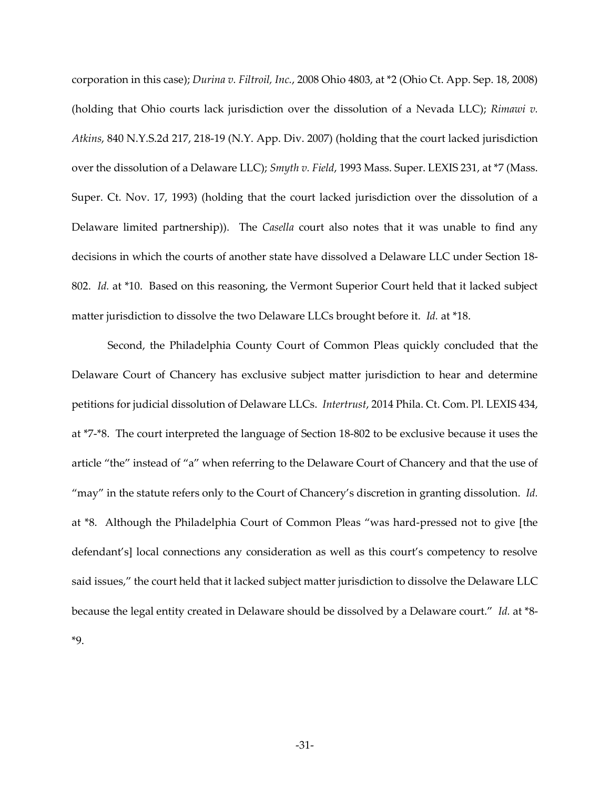corporation in this case); *Durina v. Filtroil, Inc.*, 2008 Ohio 4803, at \*2 (Ohio Ct. App. Sep. 18, 2008) (holding that Ohio courts lack jurisdiction over the dissolution of a Nevada LLC); *Rimawi v. Atkins*, 840 N.Y.S.2d 217, 218-19 (N.Y. App. Div. 2007) (holding that the court lacked jurisdiction over the dissolution of a Delaware LLC); *Smyth v. Field*, 1993 Mass. Super. LEXIS 231, at \*7 (Mass. Super. Ct. Nov. 17, 1993) (holding that the court lacked jurisdiction over the dissolution of a Delaware limited partnership)). The *Casella* court also notes that it was unable to find any decisions in which the courts of another state have dissolved a Delaware LLC under Section 18- 802. *Id.* at \*10. Based on this reasoning, the Vermont Superior Court held that it lacked subject matter jurisdiction to dissolve the two Delaware LLCs brought before it. *Id.* at \*18.

Second, the Philadelphia County Court of Common Pleas quickly concluded that the Delaware Court of Chancery has exclusive subject matter jurisdiction to hear and determine petitions for judicial dissolution of Delaware LLCs. *Intertrust*, 2014 Phila. Ct. Com. Pl. LEXIS 434, at \*7-\*8. The court interpreted the language of Section 18-802 to be exclusive because it uses the article "the" instead of "a" when referring to the Delaware Court of Chancery and that the use of "may" in the statute refers only to the Court of Chancery's discretion in granting dissolution. *Id.* at \*8. Although the Philadelphia Court of Common Pleas "was hard-pressed not to give [the defendant's] local connections any consideration as well as this court's competency to resolve said issues," the court held that it lacked subject matter jurisdiction to dissolve the Delaware LLC because the legal entity created in Delaware should be dissolved by a Delaware court." *Id.* at \*8-\*9.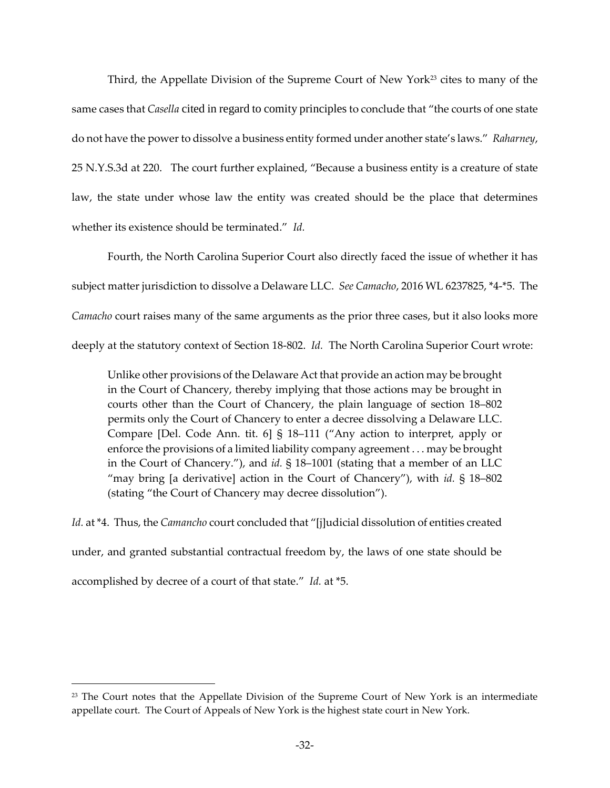Third, the Appellate Division of the Supreme Court of New York<sup>23</sup> cites to many of the same cases that *Casella* cited in regard to comity principles to conclude that "the courts of one state do not have the power to dissolve a business entity formed under another state's laws." *Raharney*, 25 N.Y.S.3d at 220. The court further explained, "Because a business entity is a creature of state law, the state under whose law the entity was created should be the place that determines whether its existence should be terminated." *Id.* 

 Fourth, the North Carolina Superior Court also directly faced the issue of whether it has subject matter jurisdiction to dissolve a Delaware LLC. *See Camacho*, 2016 WL 6237825, \*4-\*5. The *Camacho* court raises many of the same arguments as the prior three cases, but it also looks more deeply at the statutory context of Section 18-802. *Id.* The North Carolina Superior Court wrote:

Unlike other provisions of the Delaware Act that provide an action may be brought in the Court of Chancery, thereby implying that those actions may be brought in courts other than the Court of Chancery, the plain language of section 18-802 permits only the Court of Chancery to enter a decree dissolving a Delaware LLC. Compare [Del. Code Ann. tit. 6]  $\S$  18–111 ("Any action to interpret, apply or enforce the provisions of a limited liability company agreement . . . may be brought in the Court of Chancery."), and *id.* § 18–1001 (stating that a member of an LLC "may bring [a derivative] action in the Court of Chancery"), with  $id. \S$  18–802 (stating "the Court of Chancery may decree dissolution").

*Id.* at \*4. Thus, the *Camancho* court concluded that "[j]udicial dissolution of entities created under, and granted substantial contractual freedom by, the laws of one state should be accomplished by decree of a court of that state." *Id.* at \*5.

<sup>&</sup>lt;sup>23</sup> The Court notes that the Appellate Division of the Supreme Court of New York is an intermediate appellate court. The Court of Appeals of New York is the highest state court in New York.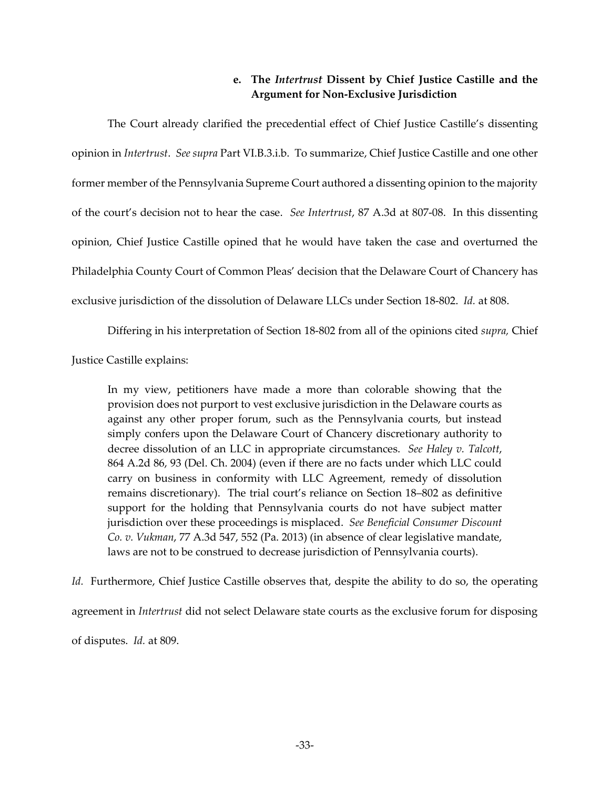# **e. The** *Intertrust* **Dissent by Chief Justice Castille and the Argument for Non-Exclusive Jurisdiction**

The Court already clarified the precedential effect of Chief Justice Castille's dissenting opinion in *Intertrust*. *See supra* Part VI.B.3.i.b. To summarize, Chief Justice Castille and one other former member of the Pennsylvania Supreme Court authored a dissenting opinion to the majority of the court‒s decision not to hear the case. *See Intertrust*, 87 A.3d at 807-08. In this dissenting opinion, Chief Justice Castille opined that he would have taken the case and overturned the Philadelphia County Court of Common Pleas' decision that the Delaware Court of Chancery has exclusive jurisdiction of the dissolution of Delaware LLCs under Section 18-802. *Id.* at 808.

Differing in his interpretation of Section 18-802 from all of the opinions cited *supra,* Chief

Justice Castille explains:

In my view, petitioners have made a more than colorable showing that the provision does not purport to vest exclusive jurisdiction in the Delaware courts as against any other proper forum, such as the Pennsylvania courts, but instead simply confers upon the Delaware Court of Chancery discretionary authority to decree dissolution of an LLC in appropriate circumstances. *See Haley v. Talcott*, 864 A.2d 86, 93 (Del. Ch. 2004) (even if there are no facts under which LLC could carry on business in conformity with LLC Agreement, remedy of dissolution remains discretionary). The trial court's reliance on Section 18–802 as definitive support for the holding that Pennsylvania courts do not have subject matter jurisdiction over these proceedings is misplaced. *See Beneficial Consumer Discount Co. v. Vukman*, 77 A.3d 547, 552 (Pa. 2013) (in absence of clear legislative mandate, laws are not to be construed to decrease jurisdiction of Pennsylvania courts).

*Id.* Furthermore, Chief Justice Castille observes that, despite the ability to do so, the operating agreement in *Intertrust* did not select Delaware state courts as the exclusive forum for disposing of disputes. *Id.* at 809.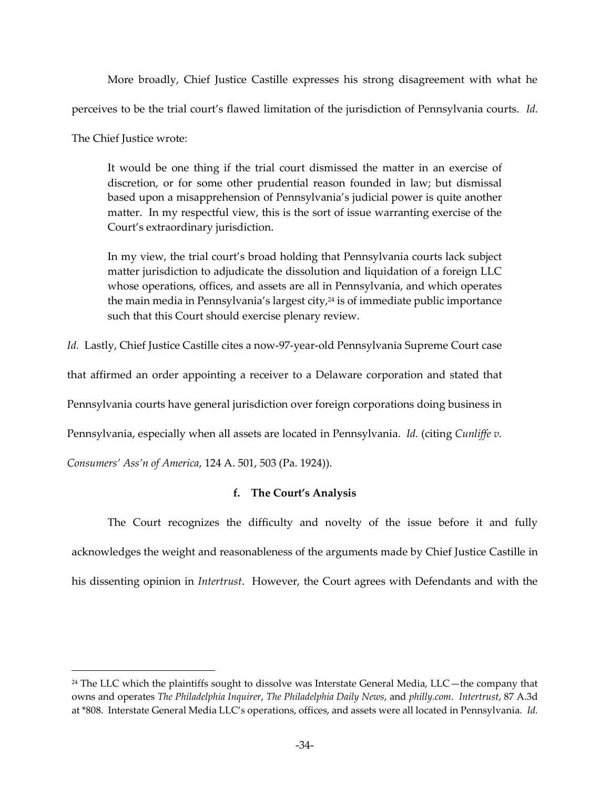More broadly, Chief Justice Castille expresses his strong disagreement with what he perceives to be the trial court's flawed limitation of the jurisdiction of Pennsylvania courts. *Id.* 

The Chief Justice wrote:

 $\overline{a}$ 

It would be one thing if the trial court dismissed the matter in an exercise of discretion, or for some other prudential reason founded in law; but dismissal based upon a misapprehension of Pennsylvania's judicial power is quite another matter. In my respectful view, this is the sort of issue warranting exercise of the Court's extraordinary jurisdiction.

In my view, the trial court's broad holding that Pennsylvania courts lack subject matter jurisdiction to adjudicate the dissolution and liquidation of a foreign LLC whose operations, offices, and assets are all in Pennsylvania, and which operates the main media in Pennsylvania's largest city, $24$  is of immediate public importance such that this Court should exercise plenary review.

*Id.* Lastly, Chief Justice Castille cites a now-97-year-old Pennsylvania Supreme Court case

that affirmed an order appointing a receiver to a Delaware corporation and stated that

Pennsylvania courts have general jurisdiction over foreign corporations doing business in

Pennsylvania, especially when all assets are located in Pennsylvania. *Id.* (citing *Cunliffe v.* 

*Consumers' Ass'n of America*, 124 A. 501, 503 (Pa. 1924)).

# **f. The Court's Analysis**

The Court recognizes the difficulty and novelty of the issue before it and fully acknowledges the weight and reasonableness of the arguments made by Chief Justice Castille in his dissenting opinion in *Intertrust*. However, the Court agrees with Defendants and with the

 $24$  The LLC which the plaintiffs sought to dissolve was Interstate General Media, LLC $-$ the company that owns and operates *The Philadelphia Inquirer*, *The Philadelphia Daily News*, and *philly.com*. *Intertrust*, 87 A.3d at \*808. Interstate General Media LLC's operations, offices, and assets were all located in Pennsylvania. *Id.*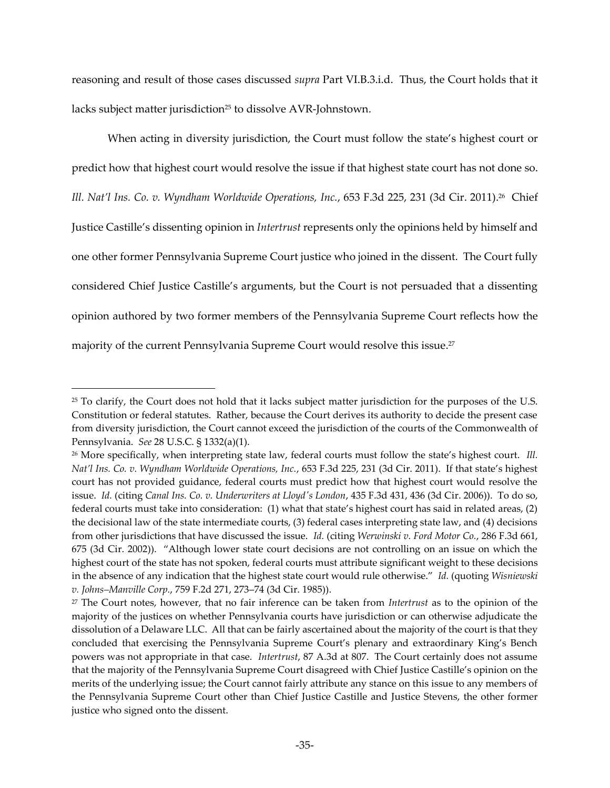reasoning and result of those cases discussed *supra* Part VI.B.3.i.d. Thus, the Court holds that it lacks subject matter jurisdiction<sup>25</sup> to dissolve AVR-Johnstown.

When acting in diversity jurisdiction, the Court must follow the state's highest court or predict how that highest court would resolve the issue if that highest state court has not done so. *Ill. Nat'l Ins. Co. v. Wyndham Worldwide Operations, Inc.*, 653 F.3d 225, 231 (3d Cir. 2011).<sup>26</sup> Chief Justice Castille's dissenting opinion in *Intertrust* represents only the opinions held by himself and one other former Pennsylvania Supreme Court justice who joined in the dissent. The Court fully considered Chief Justice Castille's arguments, but the Court is not persuaded that a dissenting opinion authored by two former members of the Pennsylvania Supreme Court reflects how the majority of the current Pennsylvania Supreme Court would resolve this issue.<sup>27</sup>

<sup>&</sup>lt;sup>25</sup> To clarify, the Court does not hold that it lacks subject matter jurisdiction for the purposes of the U.S. Constitution or federal statutes. Rather, because the Court derives its authority to decide the present case from diversity jurisdiction, the Court cannot exceed the jurisdiction of the courts of the Commonwealth of Pennsylvania. *See* 28 U.S.C. § 1332(a)(1).

<sup>&</sup>lt;sup>26</sup> More specifically, when interpreting state law, federal courts must follow the state's highest court. *Ill. Nat'l Ins. Co. v. Wyndham Worldwide Operations, Inc., 653 F.3d 225, 231 (3d Cir. 2011). If that state's highest* court has not provided guidance, federal courts must predict how that highest court would resolve the issue. *Id.* (citing *Canal Ins. Co. v. Underwriters at Lloyd's London*, 435 F.3d 431, 436 (3d Cir. 2006)). To do so, federal courts must take into consideration:  $(1)$  what that state's highest court has said in related areas,  $(2)$ the decisional law of the state intermediate courts, (3) federal cases interpreting state law, and (4) decisions from other jurisdictions that have discussed the issue. *Id.* (citing *Werwinski v. Ford Motor Co.*, 286 F.3d 661,  $675$  (3d Cir. 2002)). "Although lower state court decisions are not controlling on an issue on which the highest court of the state has not spoken, federal courts must attribute significant weight to these decisions in the absence of any indication that the highest state court would rule otherwise." Id. (quoting *Wisniewski v. Johns-Manville Corp., 759 F.2d 271, 273-74 (3d Cir. 1985)).* 

<sup>27</sup> The Court notes, however, that no fair inference can be taken from *Intertrust* as to the opinion of the majority of the justices on whether Pennsylvania courts have jurisdiction or can otherwise adjudicate the dissolution of a Delaware LLC. All that can be fairly ascertained about the majority of the court is that they concluded that exercising the Pennsylvania Supreme Court's plenary and extraordinary King's Bench powers was not appropriate in that case. *Intertrust*, 87 A.3d at 807. The Court certainly does not assume that the majority of the Pennsylvania Supreme Court disagreed with Chief Justice Castille's opinion on the merits of the underlying issue; the Court cannot fairly attribute any stance on this issue to any members of the Pennsylvania Supreme Court other than Chief Justice Castille and Justice Stevens, the other former justice who signed onto the dissent.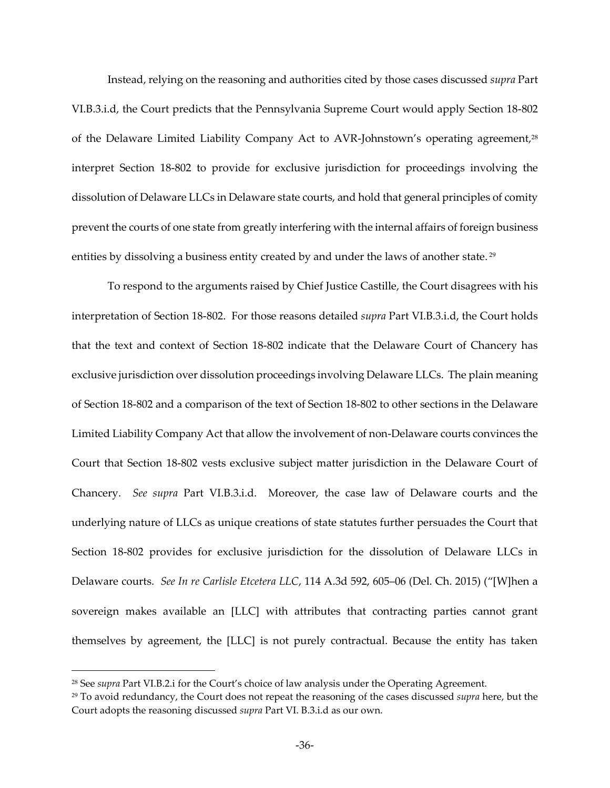Instead, relying on the reasoning and authorities cited by those cases discussed *supra* Part VI.B.3.i.d, the Court predicts that the Pennsylvania Supreme Court would apply Section 18-802 of the Delaware Limited Liability Company Act to AVR-Johnstown's operating agreement,<sup>28</sup> interpret Section 18-802 to provide for exclusive jurisdiction for proceedings involving the dissolution of Delaware LLCs in Delaware state courts, and hold that general principles of comity prevent the courts of one state from greatly interfering with the internal affairs of foreign business entities by dissolving a business entity created by and under the laws of another state.<sup>29</sup>

To respond to the arguments raised by Chief Justice Castille, the Court disagrees with his interpretation of Section 18-802. For those reasons detailed *supra* Part VI.B.3.i.d, the Court holds that the text and context of Section 18-802 indicate that the Delaware Court of Chancery has exclusive jurisdiction over dissolution proceedings involving Delaware LLCs. The plain meaning of Section 18-802 and a comparison of the text of Section 18-802 to other sections in the Delaware Limited Liability Company Act that allow the involvement of non-Delaware courts convinces the Court that Section 18-802 vests exclusive subject matter jurisdiction in the Delaware Court of Chancery. *See supra* Part VI.B.3.i.d. Moreover, the case law of Delaware courts and the underlying nature of LLCs as unique creations of state statutes further persuades the Court that Section 18-802 provides for exclusive jurisdiction for the dissolution of Delaware LLCs in Delaware courts. *See In re Carlisle Etcetera LLC*, 114 A.3d 592, 605-06 (Del. Ch. 2015) ("[W]hen a sovereign makes available an [LLC] with attributes that contracting parties cannot grant themselves by agreement, the [LLC] is not purely contractual. Because the entity has taken

<sup>&</sup>lt;sup>28</sup> See *supra* Part VI.B.2.i for the Court's choice of law analysis under the Operating Agreement.

<sup>29</sup> To avoid redundancy, the Court does not repeat the reasoning of the cases discussed *supra* here, but the Court adopts the reasoning discussed *supra* Part VI. B.3.i.d as our own.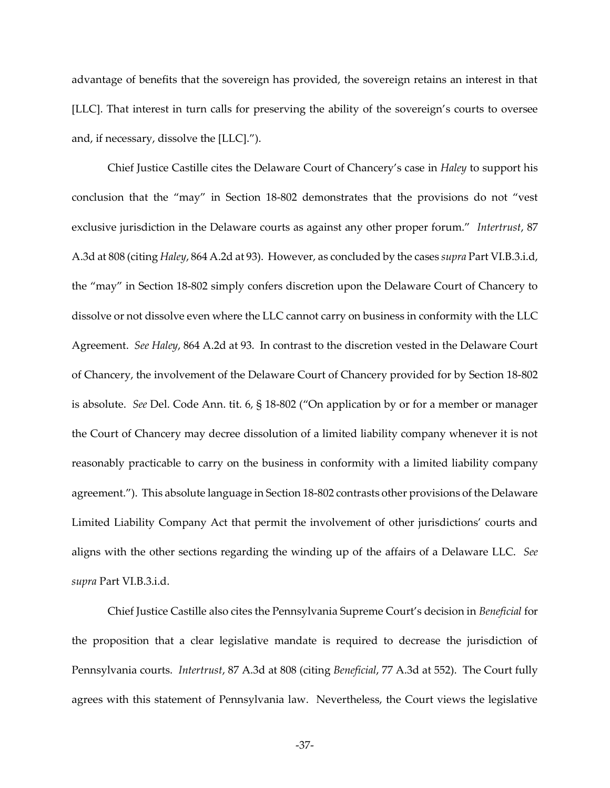advantage of benefits that the sovereign has provided, the sovereign retains an interest in that [LLC]. That interest in turn calls for preserving the ability of the sovereign's courts to oversee and, if necessary, dissolve the  $[LLC].$ ").

Chief Justice Castille cites the Delaware Court of Chancery's case in *Haley* to support his conclusion that the "may" in Section 18-802 demonstrates that the provisions do not "vest exclusive jurisdiction in the Delaware courts as against any other proper forum." Intertrust, 87 A.3d at 808 (citing *Haley*, 864 A.2d at 93). However, as concluded by the cases *supra* Part VI.B.3.i.d, the "may" in Section 18-802 simply confers discretion upon the Delaware Court of Chancery to dissolve or not dissolve even where the LLC cannot carry on business in conformity with the LLC Agreement. *See Haley*, 864 A.2d at 93. In contrast to the discretion vested in the Delaware Court of Chancery, the involvement of the Delaware Court of Chancery provided for by Section 18-802 is absolute. *See* Del. Code Ann. tit. 6, § 18-802 ("On application by or for a member or manager the Court of Chancery may decree dissolution of a limited liability company whenever it is not reasonably practicable to carry on the business in conformity with a limited liability company agreement."). This absolute language in Section 18-802 contrasts other provisions of the Delaware Limited Liability Company Act that permit the involvement of other jurisdictions' courts and aligns with the other sections regarding the winding up of the affairs of a Delaware LLC. *See supra* Part VI.B.3.i.d.

Chief Justice Castille also cites the Pennsylvania Supreme Court's decision in *Beneficial* for the proposition that a clear legislative mandate is required to decrease the jurisdiction of Pennsylvania courts. *Intertrust*, 87 A.3d at 808 (citing *Beneficial*, 77 A.3d at 552). The Court fully agrees with this statement of Pennsylvania law. Nevertheless, the Court views the legislative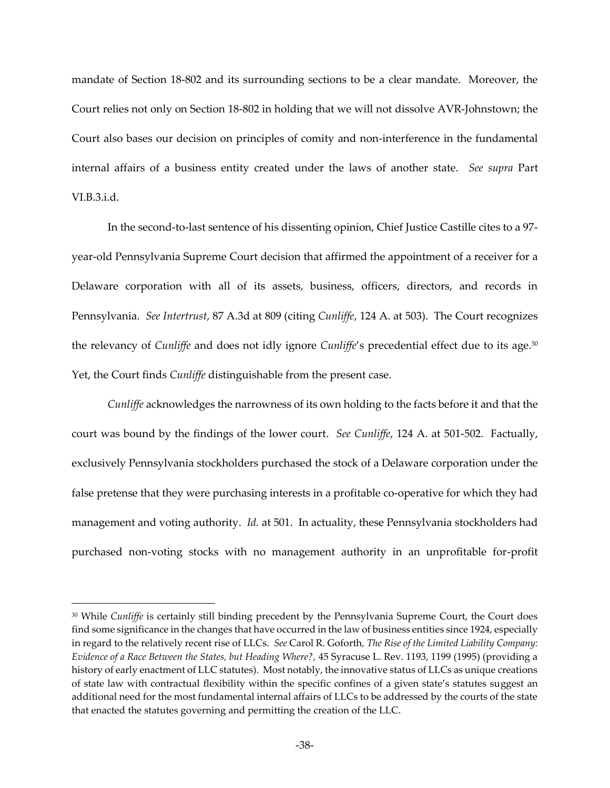mandate of Section 18-802 and its surrounding sections to be a clear mandate. Moreover, the Court relies not only on Section 18-802 in holding that we will not dissolve AVR-Johnstown; the Court also bases our decision on principles of comity and non-interference in the fundamental internal affairs of a business entity created under the laws of another state. *See supra* Part VI.B.3.i.d.

In the second-to-last sentence of his dissenting opinion, Chief Justice Castille cites to a 97 year-old Pennsylvania Supreme Court decision that affirmed the appointment of a receiver for a Delaware corporation with all of its assets, business, officers, directors, and records in Pennsylvania. *See Intertrust*, 87 A.3d at 809 (citing *Cunliffe*, 124 A. at 503). The Court recognizes the relevancy of *Cunliffe* and does not idly ignore *Cunliffe's* precedential effect due to its age.<sup>30</sup> Yet, the Court finds *Cunliffe* distinguishable from the present case.

*Cunliffe* acknowledges the narrowness of its own holding to the facts before it and that the court was bound by the findings of the lower court. *See Cunliffe*, 124 A. at 501-502. Factually, exclusively Pennsylvania stockholders purchased the stock of a Delaware corporation under the false pretense that they were purchasing interests in a profitable co-operative for which they had management and voting authority. *Id.* at 501. In actuality, these Pennsylvania stockholders had purchased non-voting stocks with no management authority in an unprofitable for-profit

<sup>30</sup> While *Cunliffe* is certainly still binding precedent by the Pennsylvania Supreme Court, the Court does find some significance in the changes that have occurred in the law of business entities since 1924, especially in regard to the relatively recent rise of LLCs. *See* Carol R. Goforth*, The Rise of the Limited Liability Company: Evidence of a Race Between the States, but Heading Where?,* 45 Syracuse L. Rev. 1193, 1199 (1995) (providing a history of early enactment of LLC statutes). Most notably, the innovative status of LLCs as unique creations of state law with contractual flexibility within the specific confines of a given state's statutes suggest an additional need for the most fundamental internal affairs of LLCs to be addressed by the courts of the state that enacted the statutes governing and permitting the creation of the LLC.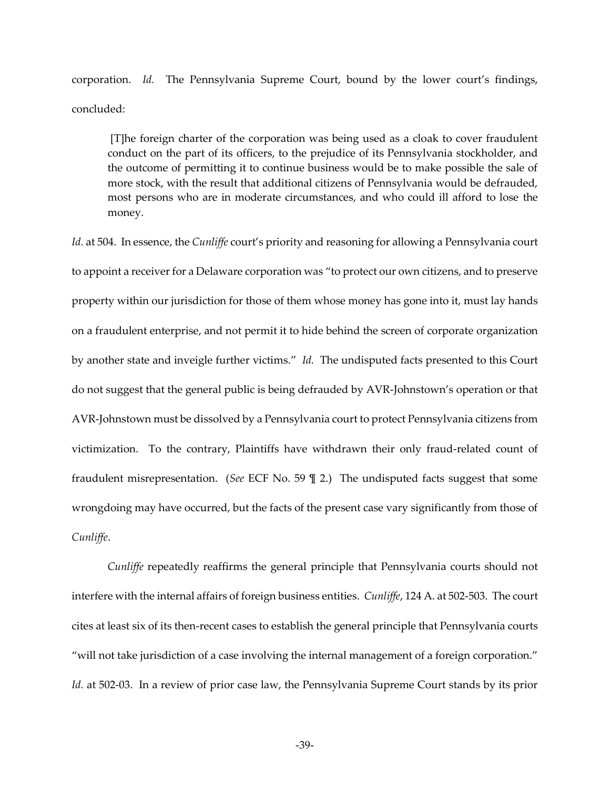corporation. *Id.* The Pennsylvania Supreme Court, bound by the lower court's findings, concluded:

 [T]he foreign charter of the corporation was being used as a cloak to cover fraudulent conduct on the part of its officers, to the prejudice of its Pennsylvania stockholder, and the outcome of permitting it to continue business would be to make possible the sale of more stock, with the result that additional citizens of Pennsylvania would be defrauded, most persons who are in moderate circumstances, and who could ill afford to lose the money.

*Id.* at 504. In essence, the *Cunliffe* court's priority and reasoning for allowing a Pennsylvania court to appoint a receiver for a Delaware corporation was "to protect our own citizens, and to preserve property within our jurisdiction for those of them whose money has gone into it, must lay hands on a fraudulent enterprise, and not permit it to hide behind the screen of corporate organization by another state and inveigle further victims." *Id.* The undisputed facts presented to this Court do not suggest that the general public is being defrauded by AVR-Johnstown's operation or that AVR-Johnstown must be dissolved by a Pennsylvania court to protect Pennsylvania citizens from victimization. To the contrary, Plaintiffs have withdrawn their only fraud-related count of fraudulent misrepresentation. (*See* ECF No. 59 ¶ 2.) The undisputed facts suggest that some wrongdoing may have occurred, but the facts of the present case vary significantly from those of *Cunliffe*.

*Cunliffe* repeatedly reaffirms the general principle that Pennsylvania courts should not interfere with the internal affairs of foreign business entities. *Cunliffe*, 124 A. at 502-503. The court cites at least six of its then-recent cases to establish the general principle that Pennsylvania courts "will not take jurisdiction of a case involving the internal management of a foreign corporation." Id. at 502-03. In a review of prior case law, the Pennsylvania Supreme Court stands by its prior

-39-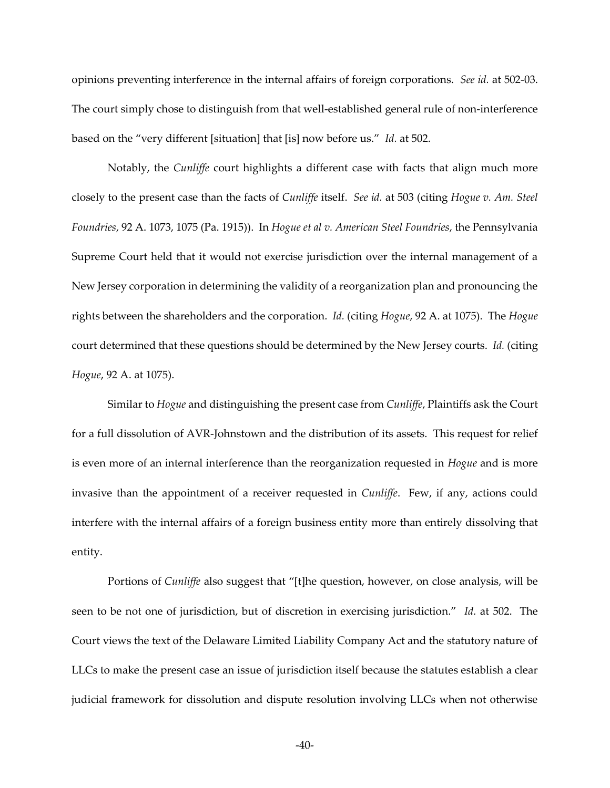opinions preventing interference in the internal affairs of foreign corporations. *See id.* at 502-03. The court simply chose to distinguish from that well-established general rule of non-interference based on the "very different [situation] that [is] now before us." *Id.* at 502.

Notably, the *Cunliffe* court highlights a different case with facts that align much more closely to the present case than the facts of *Cunliffe* itself. *See id.* at 503 (citing *Hogue v. Am. Steel Foundries*, 92 A. 1073, 1075 (Pa. 1915)). In *Hogue et al v. American Steel Foundries*, the Pennsylvania Supreme Court held that it would not exercise jurisdiction over the internal management of a New Jersey corporation in determining the validity of a reorganization plan and pronouncing the rights between the shareholders and the corporation. *Id.* (citing *Hogue*, 92 A. at 1075). The *Hogue*  court determined that these questions should be determined by the New Jersey courts. *Id.* (citing *Hogue*, 92 A. at 1075).

Similar to *Hogue* and distinguishing the present case from *Cunliffe*, Plaintiffs ask the Court for a full dissolution of AVR-Johnstown and the distribution of its assets. This request for relief is even more of an internal interference than the reorganization requested in *Hogue* and is more invasive than the appointment of a receiver requested in *Cunliffe*. Few, if any, actions could interfere with the internal affairs of a foreign business entity more than entirely dissolving that entity.

Portions of *Cunliffe* also suggest that "[t]he question, however, on close analysis, will be seen to be not one of jurisdiction, but of discretion in exercising jurisdiction." *Id.* at 502. The Court views the text of the Delaware Limited Liability Company Act and the statutory nature of LLCs to make the present case an issue of jurisdiction itself because the statutes establish a clear judicial framework for dissolution and dispute resolution involving LLCs when not otherwise

-40-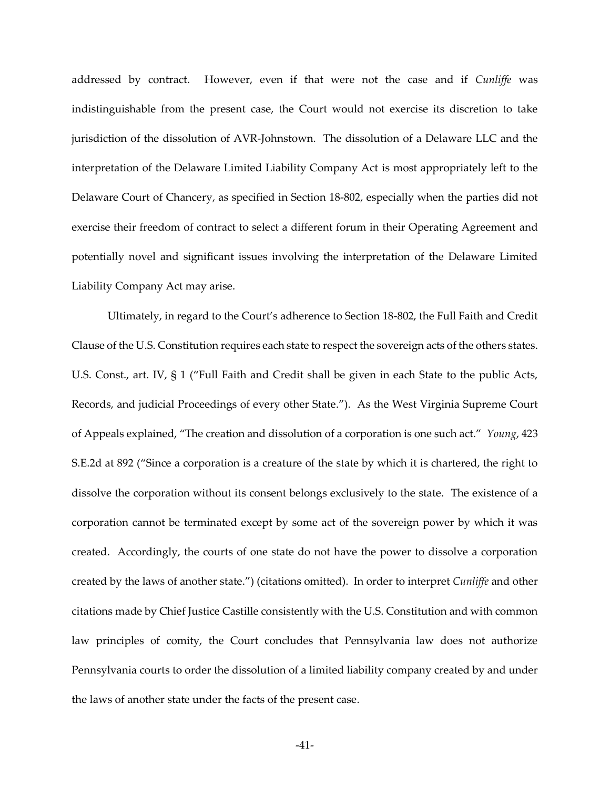addressed by contract. However, even if that were not the case and if *Cunliffe* was indistinguishable from the present case, the Court would not exercise its discretion to take jurisdiction of the dissolution of AVR-Johnstown. The dissolution of a Delaware LLC and the interpretation of the Delaware Limited Liability Company Act is most appropriately left to the Delaware Court of Chancery, as specified in Section 18-802, especially when the parties did not exercise their freedom of contract to select a different forum in their Operating Agreement and potentially novel and significant issues involving the interpretation of the Delaware Limited Liability Company Act may arise.

Ultimately, in regard to the Court's adherence to Section 18-802, the Full Faith and Credit Clause of the U.S. Constitution requires each state to respect the sovereign acts of the others states. U.S. Const., art. IV,  $\S 1$  ("Full Faith and Credit shall be given in each State to the public Acts, Records, and judicial Proceedings of every other State."). As the West Virginia Supreme Court of Appeals explained, "The creation and dissolution of a corporation is one such act." *Young*, 423 S.E.2d at 892 ("Since a corporation is a creature of the state by which it is chartered, the right to dissolve the corporation without its consent belongs exclusively to the state. The existence of a corporation cannot be terminated except by some act of the sovereign power by which it was created. Accordingly, the courts of one state do not have the power to dissolve a corporation created by the laws of another state.") (citations omitted). In order to interpret *Cunliffe* and other citations made by Chief Justice Castille consistently with the U.S. Constitution and with common law principles of comity, the Court concludes that Pennsylvania law does not authorize Pennsylvania courts to order the dissolution of a limited liability company created by and under the laws of another state under the facts of the present case.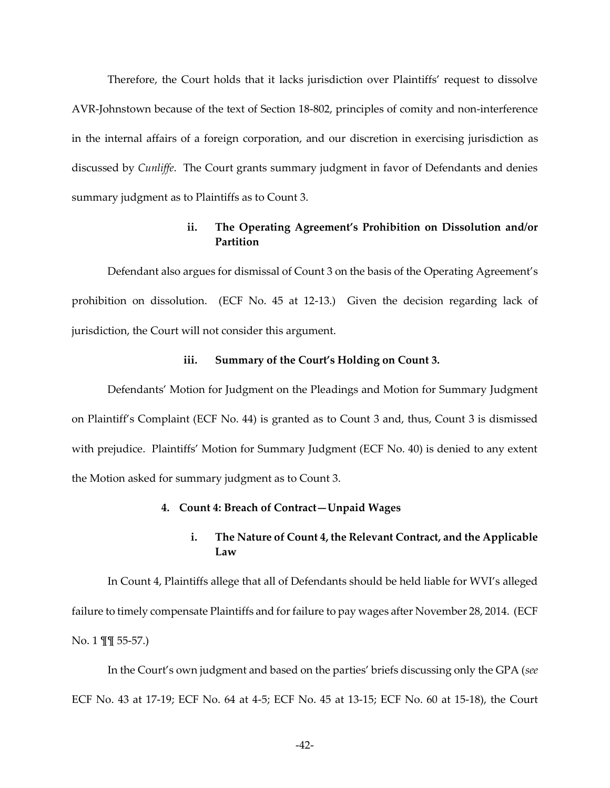Therefore, the Court holds that it lacks jurisdiction over Plaintiffs' request to dissolve AVR-Johnstown because of the text of Section 18-802, principles of comity and non-interference in the internal affairs of a foreign corporation, and our discretion in exercising jurisdiction as discussed by *Cunliffe*. The Court grants summary judgment in favor of Defendants and denies summary judgment as to Plaintiffs as to Count 3.

# **ii. The Operating Agreement's Prohibition on Dissolution and/or Partition**

Defendant also argues for dismissal of Count 3 on the basis of the Operating Agreement's prohibition on dissolution. (ECF No. 45 at 12-13.) Given the decision regarding lack of jurisdiction, the Court will not consider this argument.

### iii. Summary of the Court's Holding on Count 3.

Defendants' Motion for Judgment on the Pleadings and Motion for Summary Judgment on Plaintiff's Complaint (ECF No. 44) is granted as to Count 3 and, thus, Count 3 is dismissed with prejudice. Plaintiffs' Motion for Summary Judgment (ECF No. 40) is denied to any extent the Motion asked for summary judgment as to Count 3.

### **4. Count 4: Breach of Contract—Unpaid Wages**

# **i. The Nature of Count 4, the Relevant Contract, and the Applicable Law**

In Count 4, Plaintiffs allege that all of Defendants should be held liable for WVI's alleged failure to timely compensate Plaintiffs and for failure to pay wages after November 28, 2014. (ECF No. 1 ¶¶ 55-57.)

In the Court's own judgment and based on the parties' briefs discussing only the GPA (see ECF No. 43 at 17-19; ECF No. 64 at 4-5; ECF No. 45 at 13-15; ECF No. 60 at 15-18), the Court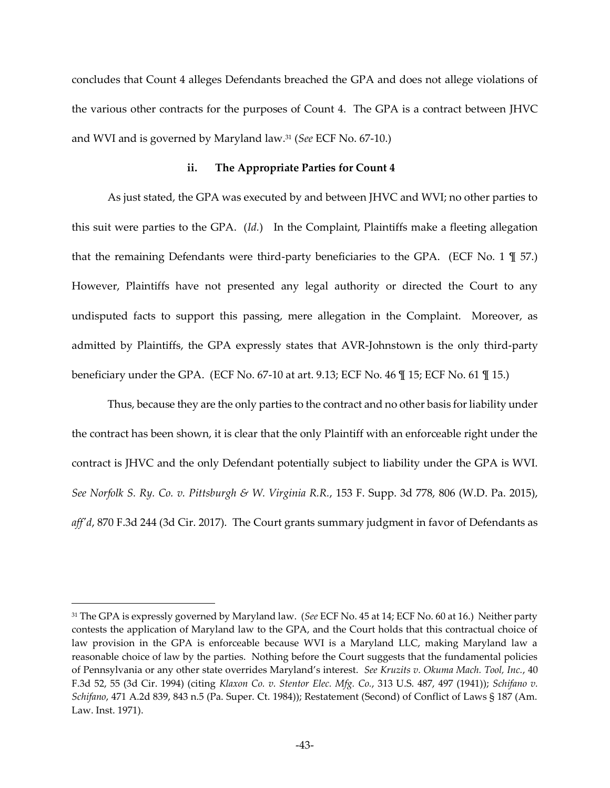concludes that Count 4 alleges Defendants breached the GPA and does not allege violations of the various other contracts for the purposes of Count 4. The GPA is a contract between JHVC and WVI and is governed by Maryland law.31 (*See* ECF No. 67-10.)

### **ii. The Appropriate Parties for Count 4**

As just stated, the GPA was executed by and between JHVC and WVI; no other parties to this suit were parties to the GPA. (*Id.*) In the Complaint, Plaintiffs make a fleeting allegation that the remaining Defendants were third-party beneficiaries to the GPA. (ECF No. 1 ¶ 57.) However, Plaintiffs have not presented any legal authority or directed the Court to any undisputed facts to support this passing, mere allegation in the Complaint. Moreover, as admitted by Plaintiffs, the GPA expressly states that AVR-Johnstown is the only third-party beneficiary under the GPA. (ECF No. 67-10 at art. 9.13; ECF No. 46 ¶ 15; ECF No. 61 ¶ 15.)

Thus, because they are the only parties to the contract and no other basis for liability under the contract has been shown, it is clear that the only Plaintiff with an enforceable right under the contract is JHVC and the only Defendant potentially subject to liability under the GPA is WVI. *See Norfolk S. Ry. Co. v. Pittsburgh & W. Virginia R.R.*, 153 F. Supp. 3d 778, 806 (W.D. Pa. 2015), *aff'd*, 870 F.3d 244 (3d Cir. 2017). The Court grants summary judgment in favor of Defendants as

<sup>31</sup> The GPA is expressly governed by Maryland law. (*See* ECF No. 45 at 14; ECF No. 60 at 16.) Neither party contests the application of Maryland law to the GPA, and the Court holds that this contractual choice of law provision in the GPA is enforceable because WVI is a Maryland LLC, making Maryland law a reasonable choice of law by the parties. Nothing before the Court suggests that the fundamental policies of Pennsylvania or any other state overrides Maryland's interest. *See Kruzits v. Okuma Mach. Tool, Inc.*, 40 F.3d 52, 55 (3d Cir. 1994) (citing *Klaxon Co. v. Stentor Elec. Mfg. Co.*, 313 U.S. 487, 497 (1941)); *Schifano v. Schifano*, 471 A.2d 839, 843 n.5 (Pa. Super. Ct. 1984)); Restatement (Second) of Conflict of Laws § 187 (Am. Law. Inst. 1971).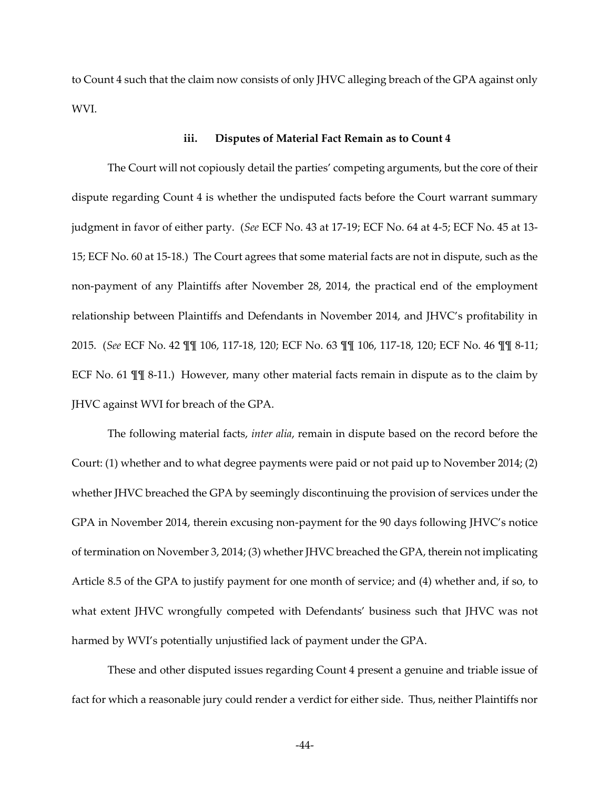to Count 4 such that the claim now consists of only JHVC alleging breach of the GPA against only WVI.

## **iii. Disputes of Material Fact Remain as to Count 4**

The Court will not copiously detail the parties' competing arguments, but the core of their dispute regarding Count 4 is whether the undisputed facts before the Court warrant summary judgment in favor of either party. (*See* ECF No. 43 at 17-19; ECF No. 64 at 4-5; ECF No. 45 at 13- 15; ECF No. 60 at 15-18.) The Court agrees that some material facts are not in dispute, such as the non-payment of any Plaintiffs after November 28, 2014, the practical end of the employment relationship between Plaintiffs and Defendants in November 2014, and JHVC's profitability in 2015. (*See* ECF No. 42 ¶¶ 106, 117-18, 120; ECF No. 63 ¶¶ 106, 117-18, 120; ECF No. 46 ¶¶ 8-11; ECF No. 61  $\mathbb{I}$  [ 8-11.) However, many other material facts remain in dispute as to the claim by JHVC against WVI for breach of the GPA.

The following material facts, *inter alia*, remain in dispute based on the record before the Court: (1) whether and to what degree payments were paid or not paid up to November 2014; (2) whether JHVC breached the GPA by seemingly discontinuing the provision of services under the GPA in November 2014, therein excusing non-payment for the 90 days following JHVC's notice of termination on November 3, 2014; (3) whether JHVC breached the GPA, therein not implicating Article 8.5 of the GPA to justify payment for one month of service; and (4) whether and, if so, to what extent JHVC wrongfully competed with Defendants' business such that JHVC was not harmed by WVI's potentially unjustified lack of payment under the GPA.

These and other disputed issues regarding Count 4 present a genuine and triable issue of fact for which a reasonable jury could render a verdict for either side. Thus, neither Plaintiffs nor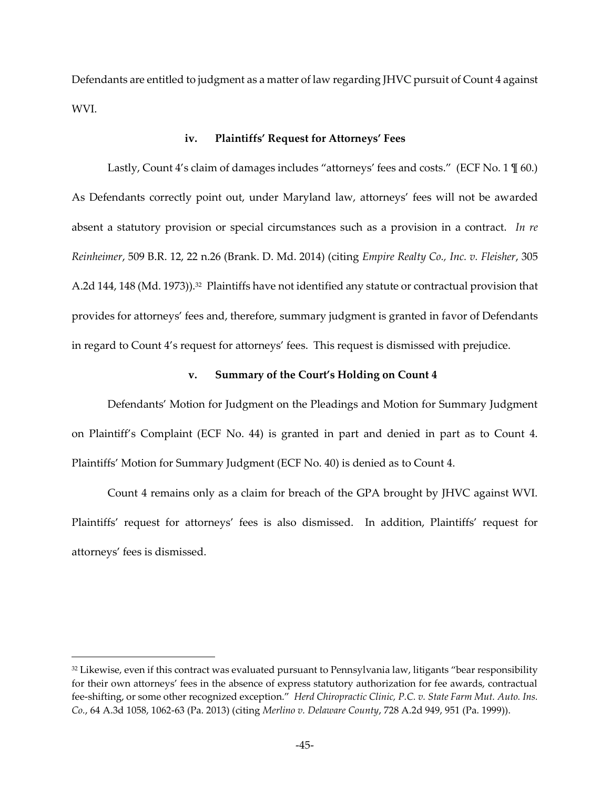Defendants are entitled to judgment as a matter of law regarding JHVC pursuit of Count 4 against WVI.

#### **iv. Plaintiffs' Request for Attorneys' Fees**

Lastly, Count  $4$ 's claim of damages includes "attorneys' fees and costs." (ECF No.  $1 \text{ } \mathcal{I}$  60.) As Defendants correctly point out, under Maryland law, attorneys' fees will not be awarded absent a statutory provision or special circumstances such as a provision in a contract. *In re Reinheimer*, 509 B.R. 12, 22 n.26 (Brank. D. Md. 2014) (citing *Empire Realty Co., Inc. v. Fleisher*, 305 A.2d 144, 148 (Md. 1973)).<sup>32</sup> Plaintiffs have not identified any statute or contractual provision that provides for attorneys' fees and, therefore, summary judgment is granted in favor of Defendants in regard to Count 4's request for attorneys' fees. This request is dismissed with prejudice.

## **v. Summary of the Court's Holding on Count 4**

Defendants' Motion for Judgment on the Pleadings and Motion for Summary Judgment on Plaintiff's Complaint (ECF No. 44) is granted in part and denied in part as to Count 4. Plaintiffs' Motion for Summary Judgment (ECF No. 40) is denied as to Count 4.

Count 4 remains only as a claim for breach of the GPA brought by JHVC against WVI. Plaintiffs' request for attorneys' fees is also dismissed. In addition, Plaintiffs' request for attorneys' fees is dismissed.

<sup>32</sup> Likewise, even if this contract was evaluated pursuant to Pennsylvania law, litigants "bear responsibility for their own attorneys' fees in the absence of express statutory authorization for fee awards, contractual fee-shifting, or some other recognized exception." *Herd Chiropractic Clinic, P.C. v. State Farm Mut. Auto. Ins. Co.*, 64 A.3d 1058, 1062-63 (Pa. 2013) (citing *Merlino v. Delaware County*, 728 A.2d 949, 951 (Pa. 1999)).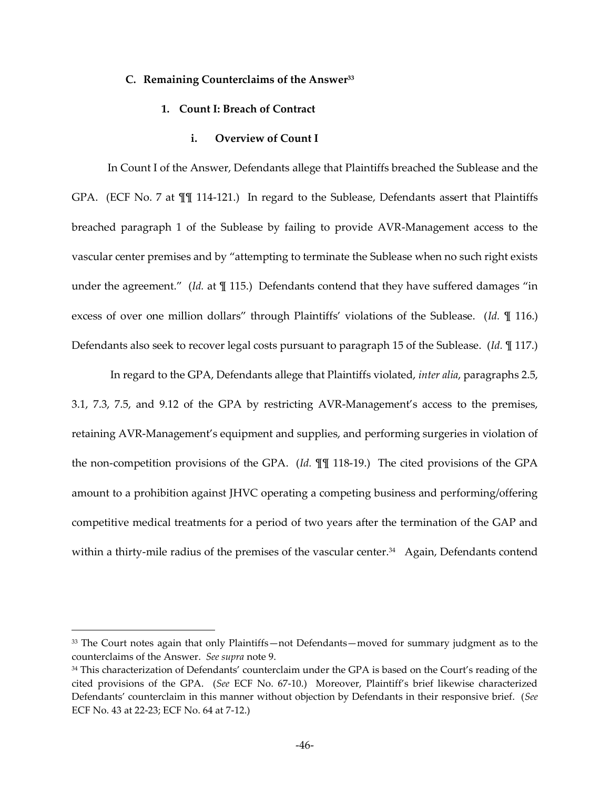#### **C. Remaining Counterclaims of the Answer<sup>33</sup>**

## **1. Count I: Breach of Contract**

# **i. Overview of Count I**

In Count I of the Answer, Defendants allege that Plaintiffs breached the Sublease and the GPA. (ECF No. 7 at ¶¶ 114-121.) In regard to the Sublease, Defendants assert that Plaintiffs breached paragraph 1 of the Sublease by failing to provide AVR-Management access to the vascular center premises and by "attempting to terminate the Sublease when no such right exists under the agreement." (Id. at \| 115.) Defendants contend that they have suffered damages "in excess of over one million dollars" through Plaintiffs' violations of the Sublease. (Id. *¶* 116.) Defendants also seek to recover legal costs pursuant to paragraph 15 of the Sublease. (*Id.* ¶ 117.)

 In regard to the GPA, Defendants allege that Plaintiffs violated, *inter alia*, paragraphs 2.5, 3.1, 7.3, 7.5, and 9.12 of the GPA by restricting AVR-Management's access to the premises, retaining AVR-Management's equipment and supplies, and performing surgeries in violation of the non-competition provisions of the GPA. (*Id.* ¶¶ 118-19.) The cited provisions of the GPA amount to a prohibition against JHVC operating a competing business and performing/offering competitive medical treatments for a period of two years after the termination of the GAP and within a thirty-mile radius of the premises of the vascular center.<sup>34</sup> Again, Defendants contend

 $33$  The Court notes again that only Plaintiffs—not Defendants—moved for summary judgment as to the counterclaims of the Answer. *See supra* note 9.

<sup>34</sup> This characterization of Defendants' counterclaim under the GPA is based on the Court's reading of the cited provisions of the GPA. (*See* ECF No. 67-10.) Moreover, Plaintiff's brief likewise characterized Defendants‒ counterclaim in this manner without objection by Defendants in their responsive brief. (*See*  ECF No. 43 at 22-23; ECF No. 64 at 7-12.)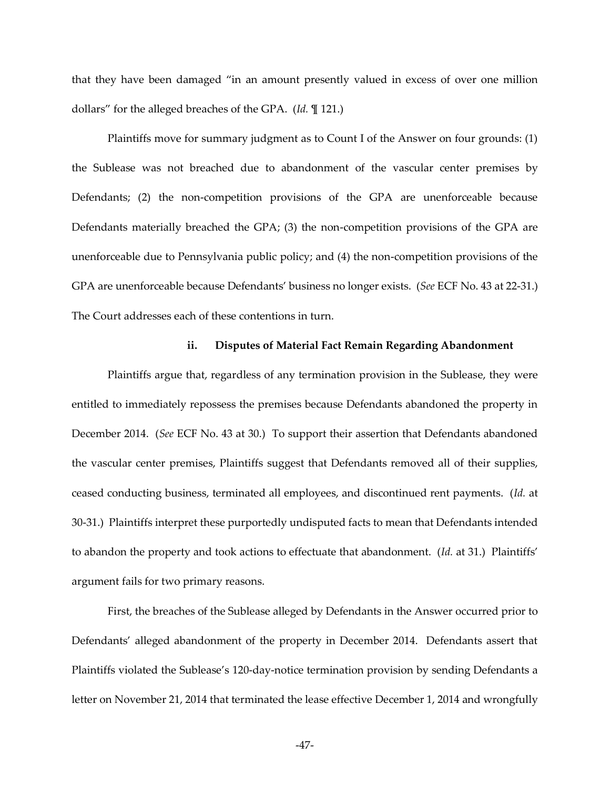that they have been damaged "in an amount presently valued in excess of over one million dollars" for the alleged breaches of the GPA. (*Id.*  $[$  121.)

Plaintiffs move for summary judgment as to Count I of the Answer on four grounds: (1) the Sublease was not breached due to abandonment of the vascular center premises by Defendants; (2) the non-competition provisions of the GPA are unenforceable because Defendants materially breached the GPA; (3) the non-competition provisions of the GPA are unenforceable due to Pennsylvania public policy; and (4) the non-competition provisions of the GPA are unenforceable because Defendants' business no longer exists. (See ECF No. 43 at 22-31.) The Court addresses each of these contentions in turn.

## **ii. Disputes of Material Fact Remain Regarding Abandonment**

Plaintiffs argue that, regardless of any termination provision in the Sublease, they were entitled to immediately repossess the premises because Defendants abandoned the property in December 2014. (*See* ECF No. 43 at 30.) To support their assertion that Defendants abandoned the vascular center premises, Plaintiffs suggest that Defendants removed all of their supplies, ceased conducting business, terminated all employees, and discontinued rent payments. (*Id.* at 30-31.) Plaintiffs interpret these purportedly undisputed facts to mean that Defendants intended to abandon the property and took actions to effectuate that abandonment. (Id. at 31.) Plaintiffs' argument fails for two primary reasons.

First, the breaches of the Sublease alleged by Defendants in the Answer occurred prior to Defendants' alleged abandonment of the property in December 2014. Defendants assert that Plaintiffs violated the Sublease's 120-day-notice termination provision by sending Defendants a letter on November 21, 2014 that terminated the lease effective December 1, 2014 and wrongfully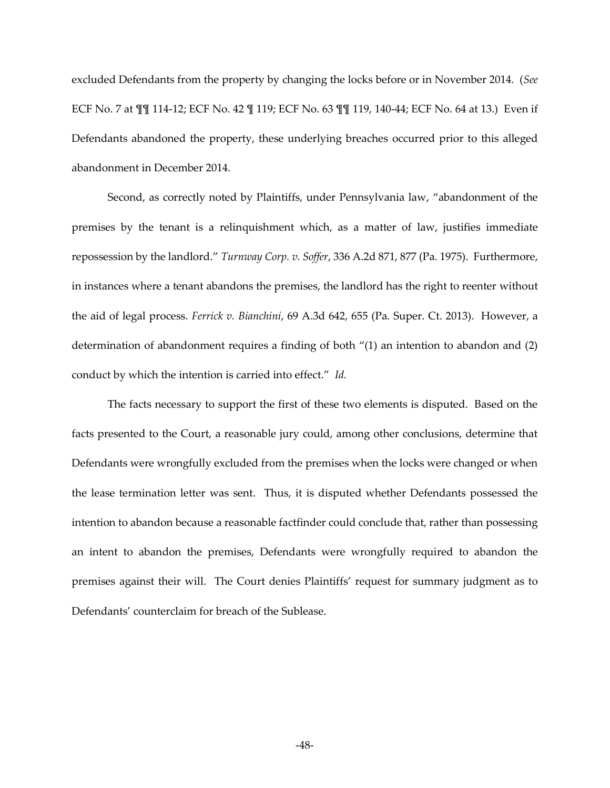excluded Defendants from the property by changing the locks before or in November 2014. (*See*  ECF No. 7 at ¶¶ 114-12; ECF No. 42 ¶ 119; ECF No. 63 ¶¶ 119, 140-44; ECF No. 64 at 13.) Even if Defendants abandoned the property, these underlying breaches occurred prior to this alleged abandonment in December 2014.

Second, as correctly noted by Plaintiffs, under Pennsylvania law, "abandonment of the premises by the tenant is a relinquishment which, as a matter of law, justifies immediate repossession by the landlord." Turnway Corp. v. Soffer, 336 A.2d 871, 877 (Pa. 1975). Furthermore, in instances where a tenant abandons the premises, the landlord has the right to reenter without the aid of legal process. *Ferrick v. Bianchini*, 69 A.3d 642, 655 (Pa. Super. Ct. 2013). However, a determination of abandonment requires a finding of both  $\degree$ (1) an intention to abandon and (2) conduct by which the intention is carried into effect." *Id.* 

The facts necessary to support the first of these two elements is disputed. Based on the facts presented to the Court, a reasonable jury could, among other conclusions, determine that Defendants were wrongfully excluded from the premises when the locks were changed or when the lease termination letter was sent. Thus, it is disputed whether Defendants possessed the intention to abandon because a reasonable factfinder could conclude that, rather than possessing an intent to abandon the premises, Defendants were wrongfully required to abandon the premises against their will. The Court denies Plaintiffs' request for summary judgment as to Defendants' counterclaim for breach of the Sublease.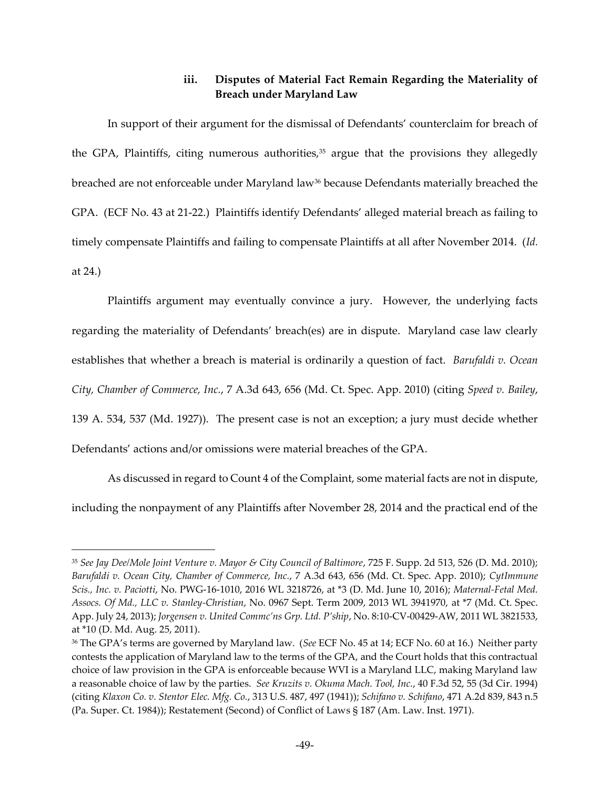# **iii. Disputes of Material Fact Remain Regarding the Materiality of Breach under Maryland Law**

In support of their argument for the dismissal of Defendants' counterclaim for breach of the GPA, Plaintiffs, citing numerous authorities, $35$  argue that the provisions they allegedly breached are not enforceable under Maryland law<sup>36</sup> because Defendants materially breached the GPA. (ECF No. 43 at 21-22.) Plaintiffs identify Defendants' alleged material breach as failing to timely compensate Plaintiffs and failing to compensate Plaintiffs at all after November 2014. (*Id.* at 24.)

Plaintiffs argument may eventually convince a jury. However, the underlying facts regarding the materiality of Defendants' breach(es) are in dispute. Maryland case law clearly establishes that whether a breach is material is ordinarily a question of fact. *Barufaldi v. Ocean City, Chamber of Commerce, Inc.*, 7 A.3d 643, 656 (Md. Ct. Spec. App. 2010) (citing *Speed v. Bailey*, 139 A. 534, 537 (Md. 1927)). The present case is not an exception; a jury must decide whether Defendants' actions and/or omissions were material breaches of the GPA.

As discussed in regard to Count 4 of the Complaint, some material facts are not in dispute, including the nonpayment of any Plaintiffs after November 28, 2014 and the practical end of the

<sup>35</sup> *See Jay Dee/Mole Joint Venture v. Mayor & City Council of Baltimore*, 725 F. Supp. 2d 513, 526 (D. Md. 2010); *Barufaldi v. Ocean City, Chamber of Commerce, Inc.*, 7 A.3d 643, 656 (Md. Ct. Spec. App. 2010); *CytImmune Scis., Inc. v. Paciotti*, No. PWG-16-1010, 2016 WL 3218726, at \*3 (D. Md. June 10, 2016); *Maternal-Fetal Med. Assocs. Of Md., LLC v. Stanley-Christian*, No. 0967 Sept. Term 2009, 2013 WL 3941970, at \*7 (Md. Ct. Spec. App. July 24, 2013); *Jorgensen v. United Commc'ns Grp. Ltd. P'ship*, No. 8:10-CV-00429-AW, 2011 WL 3821533, at \*10 (D. Md. Aug. 25, 2011).

<sup>&</sup>lt;sup>36</sup> The GPA's terms are governed by Maryland law. (See ECF No. 45 at 14; ECF No. 60 at 16.) Neither party contests the application of Maryland law to the terms of the GPA, and the Court holds that this contractual choice of law provision in the GPA is enforceable because WVI is a Maryland LLC, making Maryland law a reasonable choice of law by the parties. *See Kruzits v. Okuma Mach. Tool, Inc.*, 40 F.3d 52, 55 (3d Cir. 1994) (citing *Klaxon Co. v. Stentor Elec. Mfg. Co.*, 313 U.S. 487, 497 (1941)); *Schifano v. Schifano*, 471 A.2d 839, 843 n.5 (Pa. Super. Ct. 1984)); Restatement (Second) of Conflict of Laws § 187 (Am. Law. Inst. 1971).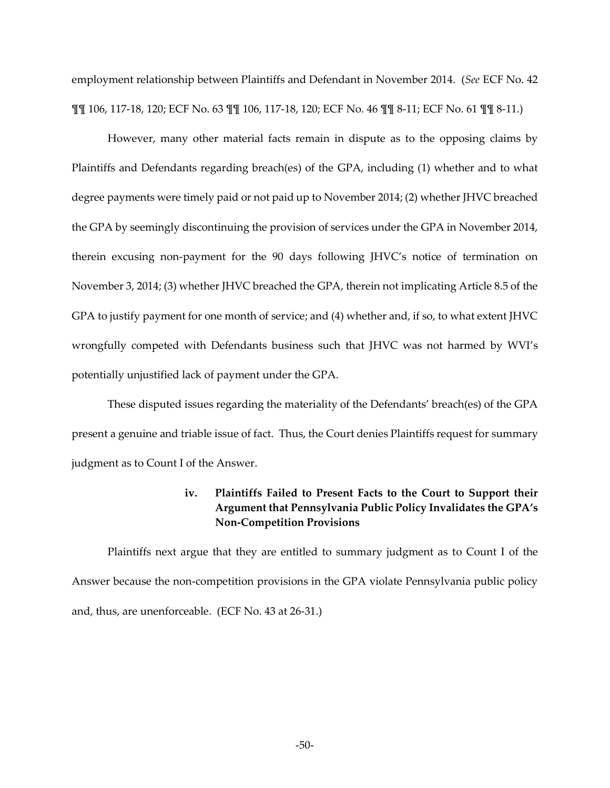employment relationship between Plaintiffs and Defendant in November 2014. (*See* ECF No. 42 ¶¶ 106, 117-18, 120; ECF No. 63 ¶¶ 106, 117-18, 120; ECF No. 46 ¶¶ 8-11; ECF No. 61 ¶¶ 8-11.)

However, many other material facts remain in dispute as to the opposing claims by Plaintiffs and Defendants regarding breach(es) of the GPA, including (1) whether and to what degree payments were timely paid or not paid up to November 2014; (2) whether JHVC breached the GPA by seemingly discontinuing the provision of services under the GPA in November 2014, therein excusing non-payment for the 90 days following JHVC's notice of termination on November 3, 2014; (3) whether JHVC breached the GPA, therein not implicating Article 8.5 of the GPA to justify payment for one month of service; and (4) whether and, if so, to what extent JHVC wrongfully competed with Defendants business such that JHVC was not harmed by WVI's potentially unjustified lack of payment under the GPA.

These disputed issues regarding the materiality of the Defendants' breach(es) of the GPA present a genuine and triable issue of fact. Thus, the Court denies Plaintiffs request for summary judgment as to Count I of the Answer.

# **iv. Plaintiffs Failed to Present Facts to the Court to Support their Argument that Pennsylvania Public Policy Invalidates the GPA's Non-Competition Provisions**

Plaintiffs next argue that they are entitled to summary judgment as to Count I of the Answer because the non-competition provisions in the GPA violate Pennsylvania public policy and, thus, are unenforceable. (ECF No. 43 at 26-31.)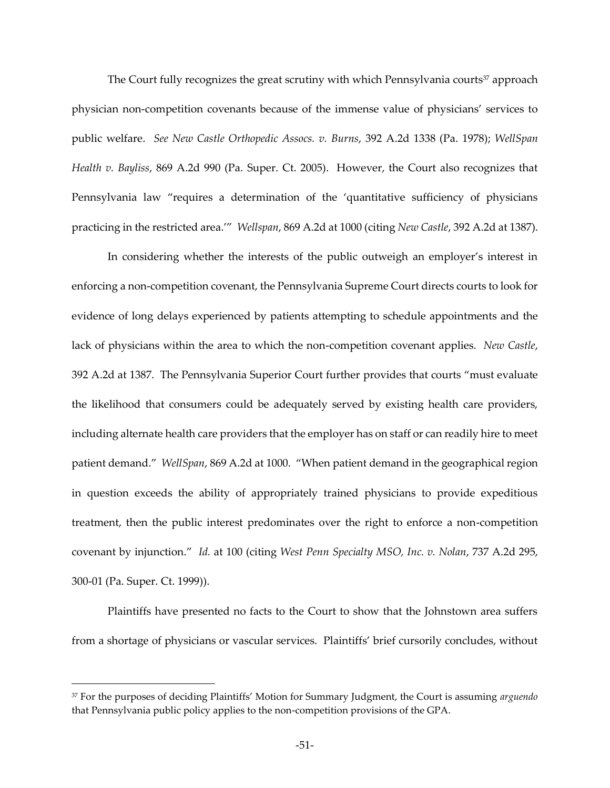The Court fully recognizes the great scrutiny with which Pennsylvania courts<sup>37</sup> approach physician non-competition covenants because of the immense value of physicians' services to public welfare. *See New Castle Orthopedic Assocs. v. Burns*, 392 A.2d 1338 (Pa. 1978); *WellSpan Health v. Bayliss*, 869 A.2d 990 (Pa. Super. Ct. 2005). However, the Court also recognizes that Pennsylvania law "requires a determination of the 'quantitative sufficiency of physicians practicing in the restricted area.<sup>77</sup> Wellspan, 869 A.2d at 1000 (citing *New Castle*, 392 A.2d at 1387).

In considering whether the interests of the public outweigh an employer's interest in enforcing a non-competition covenant, the Pennsylvania Supreme Court directs courts to look for evidence of long delays experienced by patients attempting to schedule appointments and the lack of physicians within the area to which the non-competition covenant applies. *New Castle*, 392 A.2d at 1387. The Pennsylvania Superior Court further provides that courts "must evaluate the likelihood that consumers could be adequately served by existing health care providers, including alternate health care providers that the employer has on staff or can readily hire to meet patient demand." WellSpan, 869 A.2d at 1000. "When patient demand in the geographical region in question exceeds the ability of appropriately trained physicians to provide expeditious treatment, then the public interest predominates over the right to enforce a non-competition covenant by injunction." *Id.* at 100 (citing West Penn Specialty MSO, Inc. v. Nolan, 737 A.2d 295, 300-01 (Pa. Super. Ct. 1999)).

Plaintiffs have presented no facts to the Court to show that the Johnstown area suffers from a shortage of physicians or vascular services. Plaintiffs' brief cursorily concludes, without

<sup>&</sup>lt;sup>37</sup> For the purposes of deciding Plaintiffs' Motion for Summary Judgment, the Court is assuming *arguendo* that Pennsylvania public policy applies to the non-competition provisions of the GPA.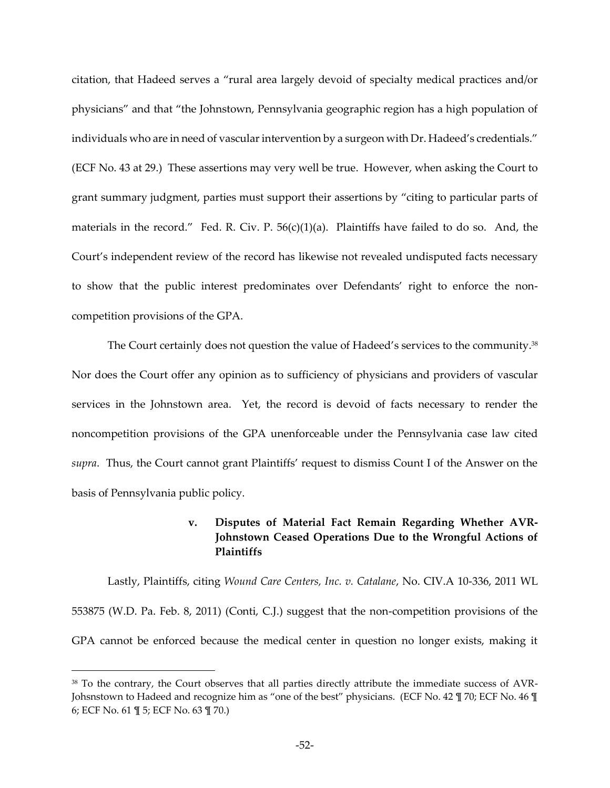citation, that Hadeed serves a ⦆rural area largely devoid of specialty medical practices and/or physicians" and that "the Johnstown, Pennsylvania geographic region has a high population of individuals who are in need of vascular intervention by a surgeon with Dr. Hadeed's credentials." (ECF No. 43 at 29.) These assertions may very well be true. However, when asking the Court to grant summary judgment, parties must support their assertions by "citing to particular parts of materials in the record." Fed. R. Civ. P.  $56(c)(1)(a)$ . Plaintiffs have failed to do so. And, the Court's independent review of the record has likewise not revealed undisputed facts necessary to show that the public interest predominates over Defendants' right to enforce the noncompetition provisions of the GPA.

The Court certainly does not question the value of Hadeed's services to the community. $38$ Nor does the Court offer any opinion as to sufficiency of physicians and providers of vascular services in the Johnstown area. Yet, the record is devoid of facts necessary to render the noncompetition provisions of the GPA unenforceable under the Pennsylvania case law cited supra. Thus, the Court cannot grant Plaintiffs' request to dismiss Count I of the Answer on the basis of Pennsylvania public policy.

# **v. Disputes of Material Fact Remain Regarding Whether AVR-Johnstown Ceased Operations Due to the Wrongful Actions of Plaintiffs**

Lastly, Plaintiffs, citing *Wound Care Centers, Inc. v. Catalane*, No. CIV.A 10-336, 2011 WL 553875 (W.D. Pa. Feb. 8, 2011) (Conti, C.J.) suggest that the non-competition provisions of the GPA cannot be enforced because the medical center in question no longer exists, making it

<sup>&</sup>lt;sup>38</sup> To the contrary, the Court observes that all parties directly attribute the immediate success of AVR-Johsnstown to Hadeed and recognize him as "one of the best" physicians. (ECF No. 42 \limes 70; ECF No. 46 \limes 6; ECF No. 61 ¶ 5; ECF No. 63 ¶ 70.)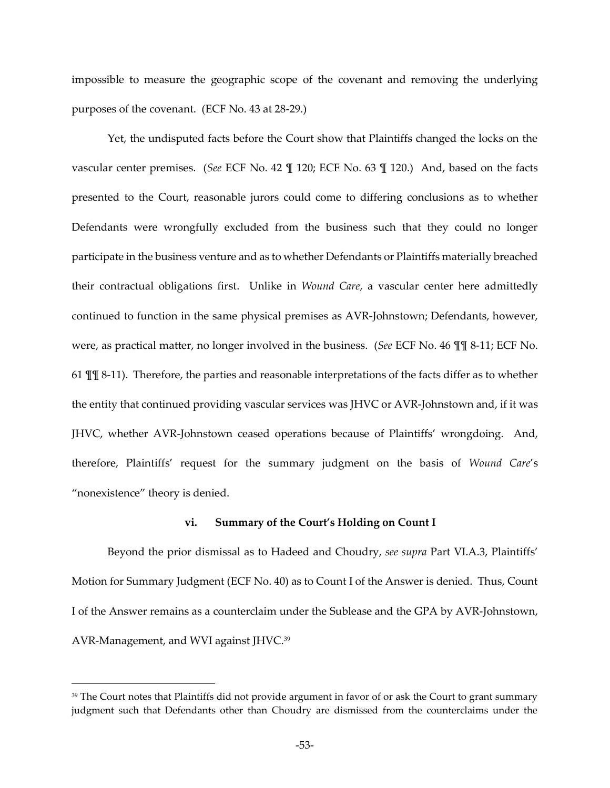impossible to measure the geographic scope of the covenant and removing the underlying purposes of the covenant. (ECF No. 43 at 28-29.)

Yet, the undisputed facts before the Court show that Plaintiffs changed the locks on the vascular center premises. (*See* ECF No. 42 ¶ 120; ECF No. 63 ¶ 120.) And, based on the facts presented to the Court, reasonable jurors could come to differing conclusions as to whether Defendants were wrongfully excluded from the business such that they could no longer participate in the business venture and as to whether Defendants or Plaintiffs materially breached their contractual obligations first. Unlike in *Wound Care*, a vascular center here admittedly continued to function in the same physical premises as AVR-Johnstown; Defendants, however, were, as practical matter, no longer involved in the business. (*See* ECF No. 46 ¶¶ 8-11; ECF No. 61 ¶¶ 8-11). Therefore, the parties and reasonable interpretations of the facts differ as to whether the entity that continued providing vascular services was JHVC or AVR-Johnstown and, if it was JHVC, whether AVR-Johnstown ceased operations because of Plaintiffs' wrongdoing. And, therefore, Plaintiffs' request for the summary judgment on the basis of *Wound Care's* "nonexistence" theory is denied.

### **vi. Summary of the Court's Holding on Count I**

Beyond the prior dismissal as to Hadeed and Choudry, see supra Part VI.A.3, Plaintiffs' Motion for Summary Judgment (ECF No. 40) as to Count I of the Answer is denied. Thus, Count I of the Answer remains as a counterclaim under the Sublease and the GPA by AVR-Johnstown, AVR-Management, and WVI against JHVC.<sup>39</sup>

<sup>&</sup>lt;sup>39</sup> The Court notes that Plaintiffs did not provide argument in favor of or ask the Court to grant summary judgment such that Defendants other than Choudry are dismissed from the counterclaims under the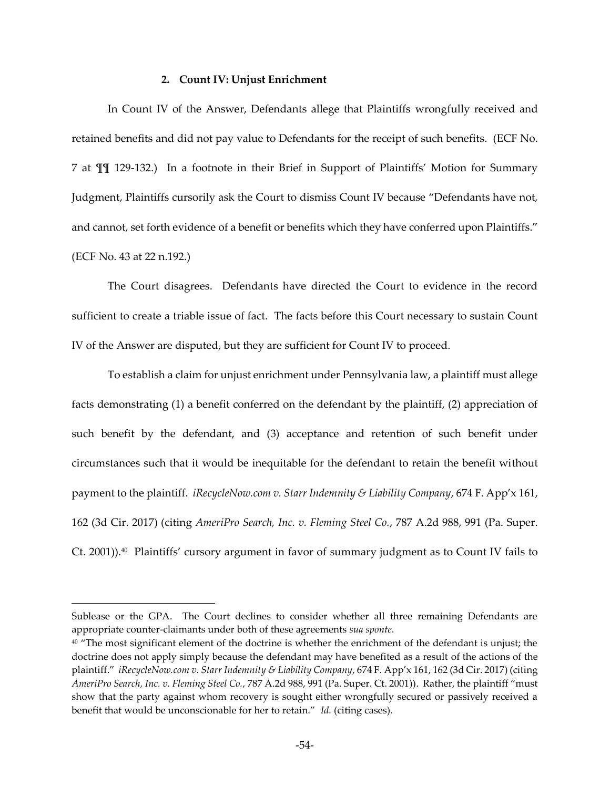### **2. Count IV: Unjust Enrichment**

In Count IV of the Answer, Defendants allege that Plaintiffs wrongfully received and retained benefits and did not pay value to Defendants for the receipt of such benefits. (ECF No. 7 at  $\P$ [ 129-132.) In a footnote in their Brief in Support of Plaintiffs' Motion for Summary Judgment, Plaintiffs cursorily ask the Court to dismiss Count IV because "Defendants have not, and cannot, set forth evidence of a benefit or benefits which they have conferred upon Plaintiffs." (ECF No. 43 at 22 n.192.)

The Court disagrees. Defendants have directed the Court to evidence in the record sufficient to create a triable issue of fact. The facts before this Court necessary to sustain Count IV of the Answer are disputed, but they are sufficient for Count IV to proceed.

To establish a claim for unjust enrichment under Pennsylvania law, a plaintiff must allege facts demonstrating (1) a benefit conferred on the defendant by the plaintiff, (2) appreciation of such benefit by the defendant, and (3) acceptance and retention of such benefit under circumstances such that it would be inequitable for the defendant to retain the benefit without payment to the plaintiff. *iRecycleNow.com v. Starr Indemnity & Liability Company*, 674 F. App'x 161, 162 (3d Cir. 2017) (citing *AmeriPro Search, Inc. v. Fleming Steel Co.*, 787 A.2d 988, 991 (Pa. Super. Ct. 2001)).<sup>40</sup> Plaintiffs' cursory argument in favor of summary judgment as to Count IV fails to

Sublease or the GPA. The Court declines to consider whether all three remaining Defendants are appropriate counter-claimants under both of these agreements *sua sponte*.

<sup>40 &</sup>quot;The most significant element of the doctrine is whether the enrichment of the defendant is unjust; the doctrine does not apply simply because the defendant may have benefited as a result of the actions of the plaintiff." *iRecycleNow.com v. Starr Indemnity & Liability Company*, 674 F. App<sup>y</sup>x 161, 162 (3d Cir. 2017) (citing *AmeriPro Search, Inc. v. Fleming Steel Co.*, 787 A.2d 988, 991 (Pa. Super. Ct. 2001)). Rather, the plaintiff ⦆must show that the party against whom recovery is sought either wrongfully secured or passively received a benefit that would be unconscionable for her to retain." *Id.* (citing cases).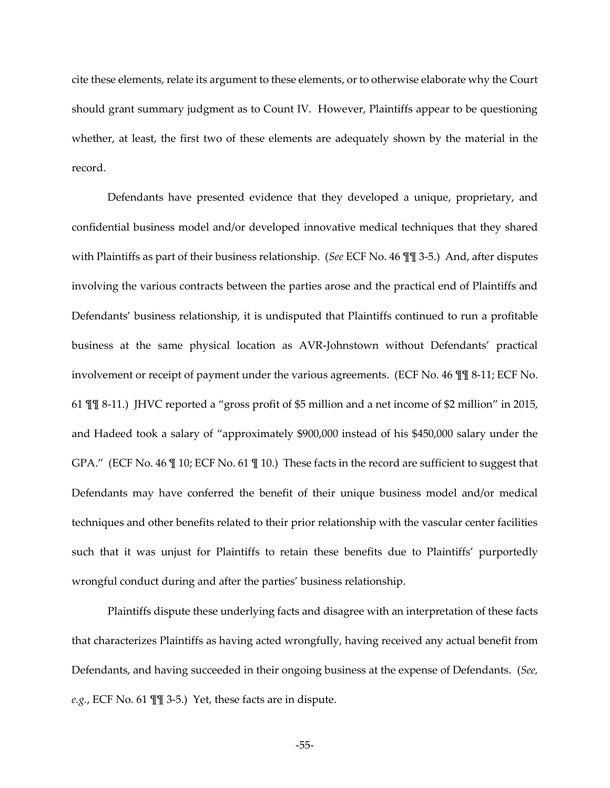cite these elements, relate its argument to these elements, or to otherwise elaborate why the Court should grant summary judgment as to Count IV. However, Plaintiffs appear to be questioning whether, at least, the first two of these elements are adequately shown by the material in the record.

Defendants have presented evidence that they developed a unique, proprietary, and confidential business model and/or developed innovative medical techniques that they shared with Plaintiffs as part of their business relationship. (*See* ECF No. 46 ¶¶ 3-5.) And, after disputes involving the various contracts between the parties arose and the practical end of Plaintiffs and Defendants' business relationship, it is undisputed that Plaintiffs continued to run a profitable business at the same physical location as AVR-Johnstown without Defendants' practical involvement or receipt of payment under the various agreements. (ECF No. 46 ¶¶ 8-11; ECF No. 61  $\P$  $\P$  8-11.) JHVC reported a "gross profit of \$5 million and a net income of \$2 million" in 2015, and Hadeed took a salary of "approximately \$900,000 instead of his \$450,000 salary under the GPA." (ECF No. 46  $\mathbb{I}$  10; ECF No. 61  $\mathbb{I}$  10.) These facts in the record are sufficient to suggest that Defendants may have conferred the benefit of their unique business model and/or medical techniques and other benefits related to their prior relationship with the vascular center facilities such that it was unjust for Plaintiffs to retain these benefits due to Plaintiffs' purportedly wrongful conduct during and after the parties' business relationship.

Plaintiffs dispute these underlying facts and disagree with an interpretation of these facts that characterizes Plaintiffs as having acted wrongfully, having received any actual benefit from Defendants, and having succeeded in their ongoing business at the expense of Defendants. (*See, e.g.*, ECF No. 61 ¶¶ 3-5.) Yet, these facts are in dispute.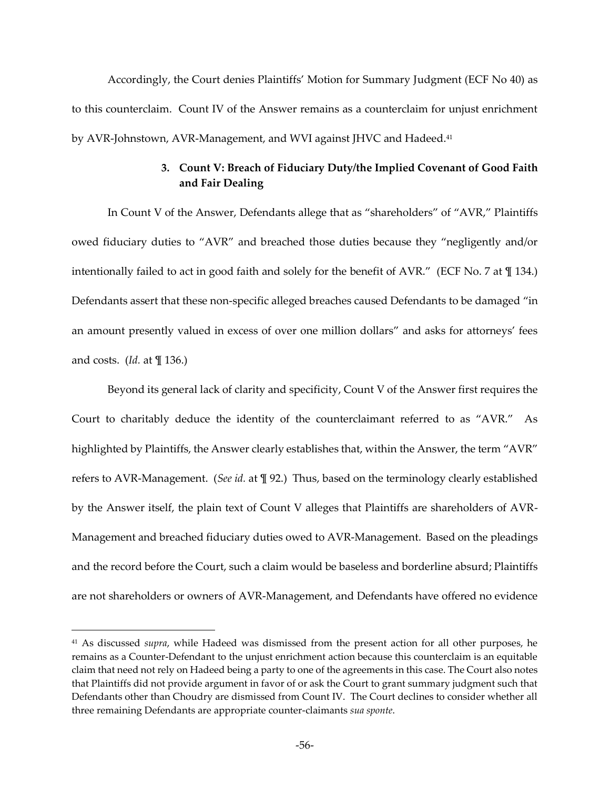Accordingly, the Court denies Plaintiffs' Motion for Summary Judgment (ECF No 40) as to this counterclaim. Count IV of the Answer remains as a counterclaim for unjust enrichment by AVR-Johnstown, AVR-Management, and WVI against JHVC and Hadeed.<sup>41</sup>

# **3. Count V: Breach of Fiduciary Duty/the Implied Covenant of Good Faith and Fair Dealing**

In Count V of the Answer, Defendants allege that as "shareholders" of "AVR," Plaintiffs owed fiduciary duties to "AVR" and breached those duties because they "negligently and/or intentionally failed to act in good faith and solely for the benefit of  $AVR."$  (ECF No. 7 at  $\mathbb{I}$  134.) Defendants assert that these non-specific alleged breaches caused Defendants to be damaged "in an amount presently valued in excess of over one million dollars" and asks for attorneys' fees and costs. (*Id.* at ¶ 136.)

Beyond its general lack of clarity and specificity, Count V of the Answer first requires the Court to charitably deduce the identity of the counterclaimant referred to as "AVR." As highlighted by Plaintiffs, the Answer clearly establishes that, within the Answer, the term "AVR" refers to AVR-Management. (*See id.* at ¶ 92.) Thus, based on the terminology clearly established by the Answer itself, the plain text of Count V alleges that Plaintiffs are shareholders of AVR-Management and breached fiduciary duties owed to AVR-Management. Based on the pleadings and the record before the Court, such a claim would be baseless and borderline absurd; Plaintiffs are not shareholders or owners of AVR-Management, and Defendants have offered no evidence

<sup>41</sup> As discussed *supra*, while Hadeed was dismissed from the present action for all other purposes, he remains as a Counter-Defendant to the unjust enrichment action because this counterclaim is an equitable claim that need not rely on Hadeed being a party to one of the agreements in this case. The Court also notes that Plaintiffs did not provide argument in favor of or ask the Court to grant summary judgment such that Defendants other than Choudry are dismissed from Count IV. The Court declines to consider whether all three remaining Defendants are appropriate counter-claimants *sua sponte*.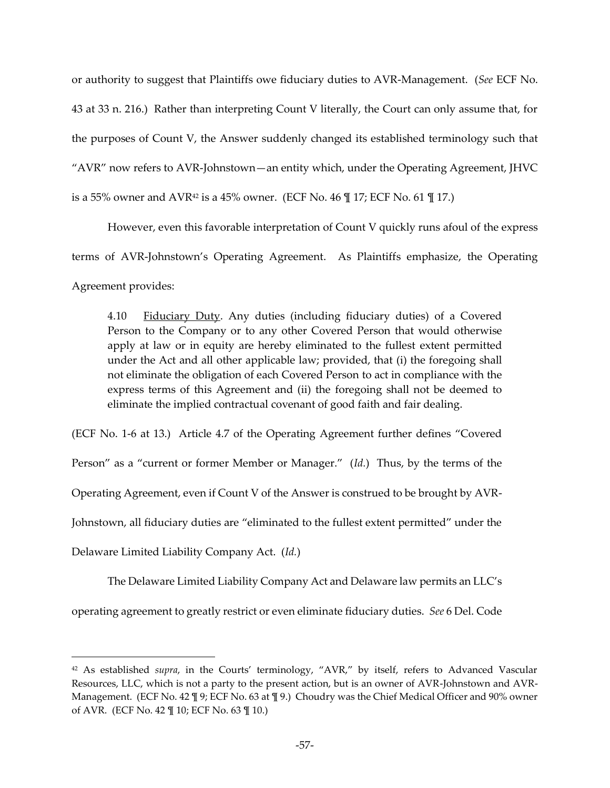or authority to suggest that Plaintiffs owe fiduciary duties to AVR-Management. (*See* ECF No. 43 at 33 n. 216.) Rather than interpreting Count V literally, the Court can only assume that, for the purposes of Count V, the Answer suddenly changed its established terminology such that " $AVR$ " now refers to  $AVR$ -Johnstown — an entity which, under the Operating Agreement, JHVC is a 55% owner and AVR<sup>42</sup> is a 45% owner. (ECF No. 46  $\parallel$  17; ECF No. 61  $\parallel$  17.)

However, even this favorable interpretation of Count V quickly runs afoul of the express terms of AVR-Johnstown's Operating Agreement. As Plaintiffs emphasize, the Operating Agreement provides:

4.10 Fiduciary Duty. Any duties (including fiduciary duties) of a Covered Person to the Company or to any other Covered Person that would otherwise apply at law or in equity are hereby eliminated to the fullest extent permitted under the Act and all other applicable law; provided, that (i) the foregoing shall not eliminate the obligation of each Covered Person to act in compliance with the express terms of this Agreement and (ii) the foregoing shall not be deemed to eliminate the implied contractual covenant of good faith and fair dealing.

(ECF No. 1-6 at 13.) Article 4.7 of the Operating Agreement further defines "Covered" Person" as a "current or former Member or Manager." (Id.) Thus, by the terms of the Operating Agreement, even if Count V of the Answer is construed to be brought by AVR-Johnstown, all fiduciary duties are "eliminated to the fullest extent permitted" under the Delaware Limited Liability Company Act. (*Id.*)

The Delaware Limited Liability Company Act and Delaware law permits an LLC's operating agreement to greatly restrict or even eliminate fiduciary duties. *See* 6 Del. Code

<sup>&</sup>lt;sup>42</sup> As established *supra*, in the Courts' terminology, "AVR," by itself, refers to Advanced Vascular Resources, LLC, which is not a party to the present action, but is an owner of AVR-Johnstown and AVR-Management. (ECF No. 42  $\P$  9; ECF No. 63 at  $\P$  9.) Choudry was the Chief Medical Officer and 90% owner of AVR. (ECF No. 42 ¶ 10; ECF No. 63 ¶ 10.)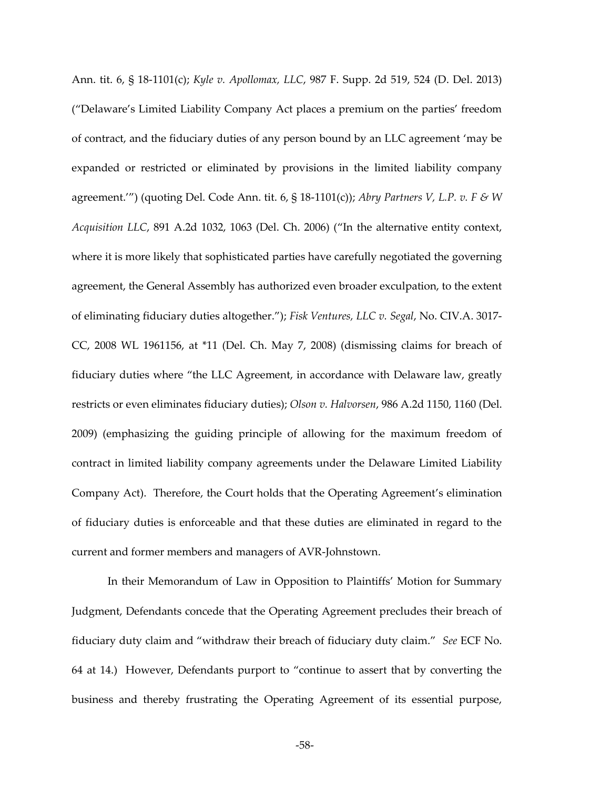Ann. tit. 6, § 18-1101(c); *Kyle v. Apollomax, LLC*, 987 F. Supp. 2d 519, 524 (D. Del. 2013) ("Delaware's Limited Liability Company Act places a premium on the parties' freedom of contract, and the fiduciary duties of any person bound by an LLC agreement 'may be expanded or restricted or eliminated by provisions in the limited liability company agreement."") (quoting Del. Code Ann. tit. 6,  $\S$  18-1101(c)); *Abry Partners V, L.P. v. F & W Acquisition LLC*, 891 A.2d 1032, 1063 (Del. Ch. 2006) ("In the alternative entity context, where it is more likely that sophisticated parties have carefully negotiated the governing agreement, the General Assembly has authorized even broader exculpation, to the extent of eliminating fiduciary duties altogether."); *Fisk Ventures, LLC v. Segal*, No. CIV.A. 3017-CC, 2008 WL 1961156, at \*11 (Del. Ch. May 7, 2008) (dismissing claims for breach of fiduciary duties where "the LLC Agreement, in accordance with Delaware law, greatly restricts or even eliminates fiduciary duties); *Olson v. Halvorsen*, 986 A.2d 1150, 1160 (Del. 2009) (emphasizing the guiding principle of allowing for the maximum freedom of contract in limited liability company agreements under the Delaware Limited Liability Company Act). Therefore, the Court holds that the Operating Agreement's elimination of fiduciary duties is enforceable and that these duties are eliminated in regard to the current and former members and managers of AVR-Johnstown.

In their Memorandum of Law in Opposition to Plaintiffs' Motion for Summary Judgment, Defendants concede that the Operating Agreement precludes their breach of fiduciary duty claim and "withdraw their breach of fiduciary duty claim." See ECF No. 64 at 14.) However, Defendants purport to "continue to assert that by converting the business and thereby frustrating the Operating Agreement of its essential purpose,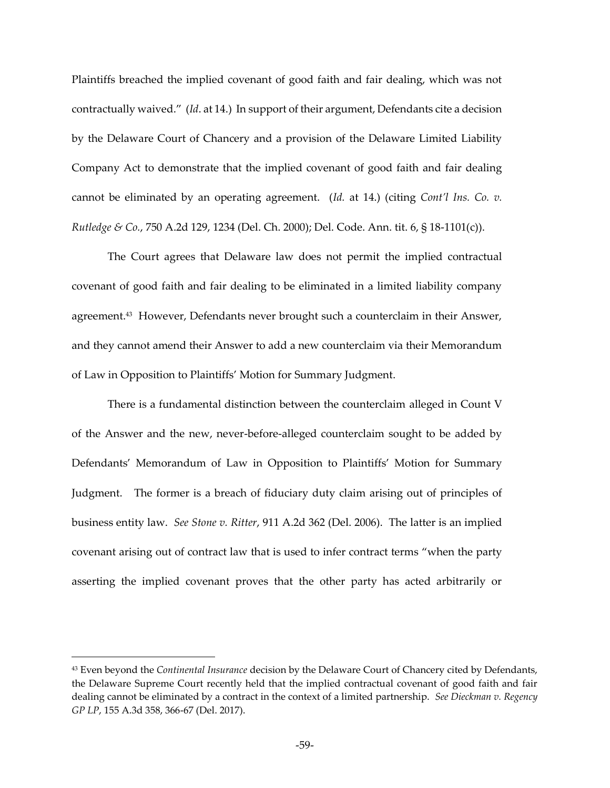Plaintiffs breached the implied covenant of good faith and fair dealing, which was not contractually waived." (Id. at 14.) In support of their argument, Defendants cite a decision by the Delaware Court of Chancery and a provision of the Delaware Limited Liability Company Act to demonstrate that the implied covenant of good faith and fair dealing cannot be eliminated by an operating agreement. (*Id.* at 14.) (citing *Cont'l Ins. Co. v. Rutledge & Co.*, 750 A.2d 129, 1234 (Del. Ch. 2000); Del. Code. Ann. tit. 6, § 18-1101(c)).

The Court agrees that Delaware law does not permit the implied contractual covenant of good faith and fair dealing to be eliminated in a limited liability company agreement.<sup>43</sup> However, Defendants never brought such a counterclaim in their Answer, and they cannot amend their Answer to add a new counterclaim via their Memorandum of Law in Opposition to Plaintiffs' Motion for Summary Judgment.

There is a fundamental distinction between the counterclaim alleged in Count V of the Answer and the new, never-before-alleged counterclaim sought to be added by Defendants' Memorandum of Law in Opposition to Plaintiffs' Motion for Summary Judgment. The former is a breach of fiduciary duty claim arising out of principles of business entity law. *See Stone v. Ritter*, 911 A.2d 362 (Del. 2006). The latter is an implied covenant arising out of contract law that is used to infer contract terms "when the party asserting the implied covenant proves that the other party has acted arbitrarily or

<sup>43</sup> Even beyond the *Continental Insurance* decision by the Delaware Court of Chancery cited by Defendants, the Delaware Supreme Court recently held that the implied contractual covenant of good faith and fair dealing cannot be eliminated by a contract in the context of a limited partnership. *See Dieckman v. Regency GP LP*, 155 A.3d 358, 366-67 (Del. 2017).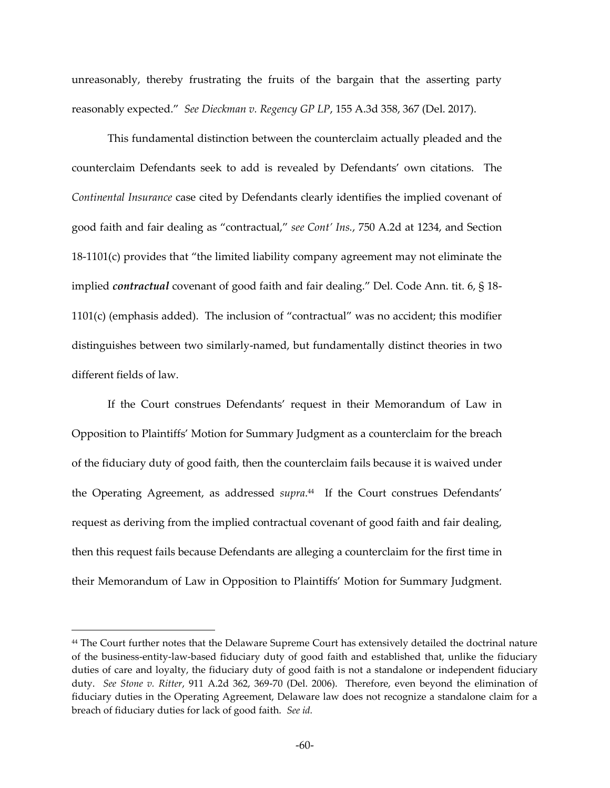unreasonably, thereby frustrating the fruits of the bargain that the asserting party reasonably expected." See Dieckman v. Regency GP LP, 155 A.3d 358, 367 (Del. 2017).

This fundamental distinction between the counterclaim actually pleaded and the counterclaim Defendants seek to add is revealed by Defendants' own citations. The *Continental Insurance* case cited by Defendants clearly identifies the implied covenant of good faith and fair dealing as "contractual," see Cont' Ins., 750 A.2d at 1234, and Section  $18-1101(c)$  provides that "the limited liability company agreement may not eliminate the implied *contractual* covenant of good faith and fair dealing." Del. Code Ann. tit. 6, § 18- $1101(c)$  (emphasis added). The inclusion of "contractual" was no accident; this modifier distinguishes between two similarly-named, but fundamentally distinct theories in two different fields of law.

If the Court construes Defendants' request in their Memorandum of Law in Opposition to Plaintiffs‒ Motion for Summary Judgment as a counterclaim for the breach of the fiduciary duty of good faith, then the counterclaim fails because it is waived under the Operating Agreement, as addressed supra.<sup>44</sup> If the Court construes Defendants' request as deriving from the implied contractual covenant of good faith and fair dealing, then this request fails because Defendants are alleging a counterclaim for the first time in their Memorandum of Law in Opposition to Plaintiffs' Motion for Summary Judgment.

<sup>44</sup> The Court further notes that the Delaware Supreme Court has extensively detailed the doctrinal nature of the business-entity-law-based fiduciary duty of good faith and established that, unlike the fiduciary duties of care and loyalty, the fiduciary duty of good faith is not a standalone or independent fiduciary duty. *See Stone v. Ritter*, 911 A.2d 362, 369-70 (Del. 2006). Therefore, even beyond the elimination of fiduciary duties in the Operating Agreement, Delaware law does not recognize a standalone claim for a breach of fiduciary duties for lack of good faith. *See id.*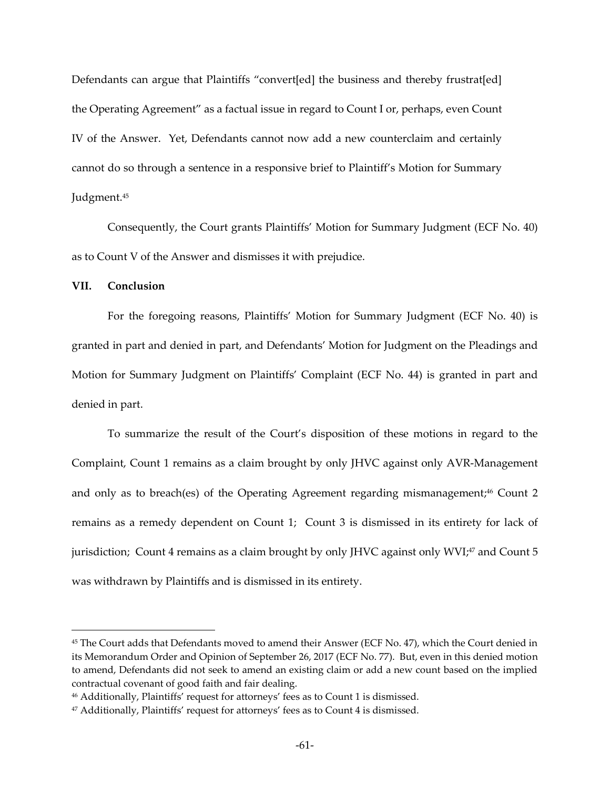Defendants can argue that Plaintiffs "convert[ed] the business and thereby frustrat[ed] the Operating Agreement" as a factual issue in regard to Count I or, perhaps, even Count IV of the Answer. Yet, Defendants cannot now add a new counterclaim and certainly cannot do so through a sentence in a responsive brief to Plaintiff's Motion for Summary Judgment.<sup>45</sup>

Consequently, the Court grants Plaintiffs' Motion for Summary Judgment (ECF No. 40) as to Count V of the Answer and dismisses it with prejudice.

## **VII. Conclusion**

 $\overline{a}$ 

For the foregoing reasons, Plaintiffs' Motion for Summary Judgment (ECF No. 40) is granted in part and denied in part, and Defendants' Motion for Judgment on the Pleadings and Motion for Summary Judgment on Plaintiffs' Complaint (ECF No. 44) is granted in part and denied in part.

To summarize the result of the Court's disposition of these motions in regard to the Complaint, Count 1 remains as a claim brought by only JHVC against only AVR-Management and only as to breach(es) of the Operating Agreement regarding mismanagement;<sup>46</sup> Count 2 remains as a remedy dependent on Count 1; Count 3 is dismissed in its entirety for lack of jurisdiction; Count 4 remains as a claim brought by only JHVC against only WVI;<sup>47</sup> and Count 5 was withdrawn by Plaintiffs and is dismissed in its entirety.

<sup>45</sup> The Court adds that Defendants moved to amend their Answer (ECF No. 47), which the Court denied in its Memorandum Order and Opinion of September 26, 2017 (ECF No. 77). But, even in this denied motion to amend, Defendants did not seek to amend an existing claim or add a new count based on the implied contractual covenant of good faith and fair dealing.

<sup>&</sup>lt;sup>46</sup> Additionally, Plaintiffs' request for attorneys' fees as to Count 1 is dismissed.

<sup>&</sup>lt;sup>47</sup> Additionally, Plaintiffs' request for attorneys' fees as to Count 4 is dismissed.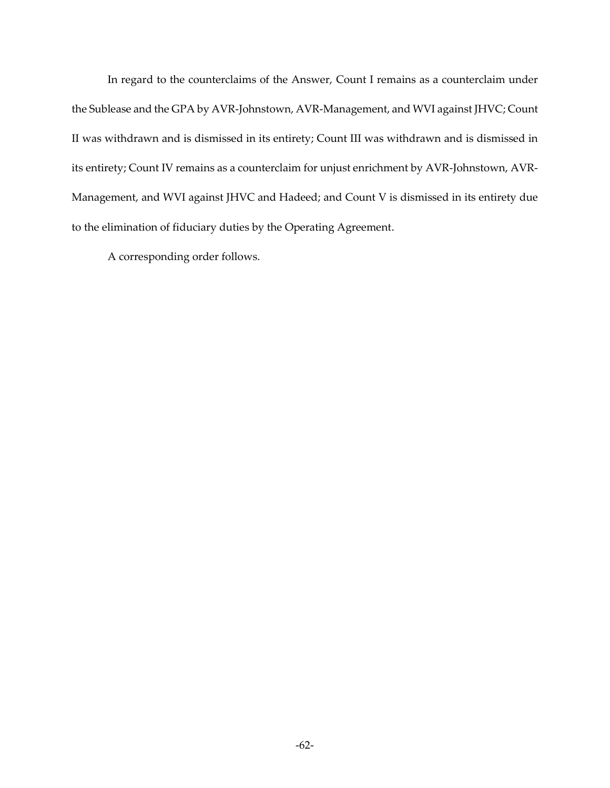In regard to the counterclaims of the Answer, Count I remains as a counterclaim under the Sublease and the GPA by AVR-Johnstown, AVR-Management, and WVI against JHVC; Count II was withdrawn and is dismissed in its entirety; Count III was withdrawn and is dismissed in its entirety; Count IV remains as a counterclaim for unjust enrichment by AVR-Johnstown, AVR-Management, and WVI against JHVC and Hadeed; and Count V is dismissed in its entirety due to the elimination of fiduciary duties by the Operating Agreement.

A corresponding order follows.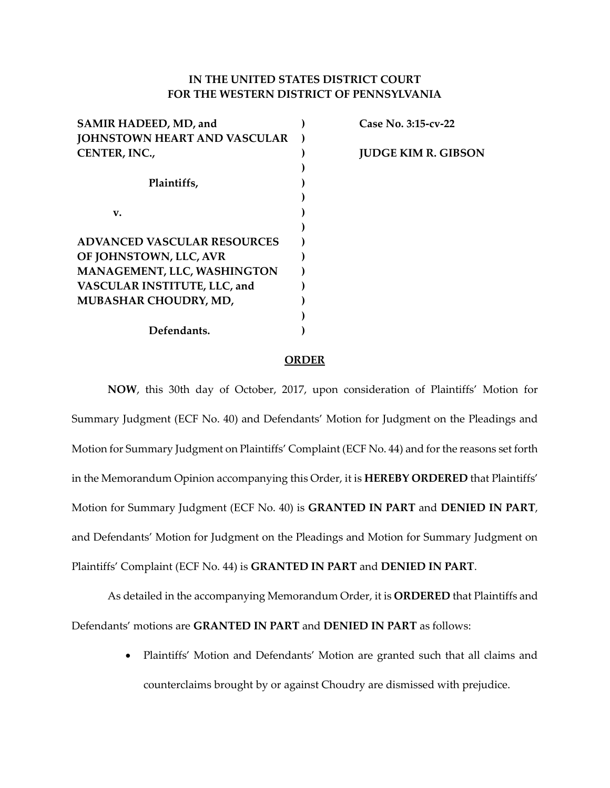# **IN THE UNITED STATES DISTRICT COURT FOR THE WESTERN DISTRICT OF PENNSYLVANIA**

| SAMIR HADEED, MD, and               | Case No. 3:15-cv-22        |
|-------------------------------------|----------------------------|
| <b>JOHNSTOWN HEART AND VASCULAR</b> |                            |
| CENTER, INC.,                       | <b>JUDGE KIM R. GIBSON</b> |
|                                     |                            |
| Plaintiffs,                         |                            |
|                                     |                            |
| v.                                  |                            |
|                                     |                            |
| <b>ADVANCED VASCULAR RESOURCES</b>  |                            |
| OF JOHNSTOWN, LLC, AVR              |                            |
| MANAGEMENT, LLC, WASHINGTON         |                            |
| VASCULAR INSTITUTE, LLC, and        |                            |
| MUBASHAR CHOUDRY, MD,               |                            |
|                                     |                            |
| Defendants.                         |                            |
|                                     |                            |

#### **ORDER**

**NOW**, this 30th day of October, 2017, upon consideration of Plaintiffs' Motion for Summary Judgment (ECF No. 40) and Defendants' Motion for Judgment on the Pleadings and Motion for Summary Judgment on Plaintiffs' Complaint (ECF No. 44) and for the reasons set forth in the Memorandum Opinion accompanying this Order, it is HEREBY ORDERED that Plaintiffs' Motion for Summary Judgment (ECF No. 40) is **GRANTED IN PART** and **DENIED IN PART**, and Defendants' Motion for Judgment on the Pleadings and Motion for Summary Judgment on Plaintiffs' Complaint (ECF No. 44) is **GRANTED IN PART** and **DENIED IN PART**.

As detailed in the accompanying Memorandum Order, it is ORDERED that Plaintiffs and Defendants' motions are **GRANTED IN PART** and **DENIED IN PART** as follows:

> • Plaintiffs' Motion and Defendants' Motion are granted such that all claims and counterclaims brought by or against Choudry are dismissed with prejudice.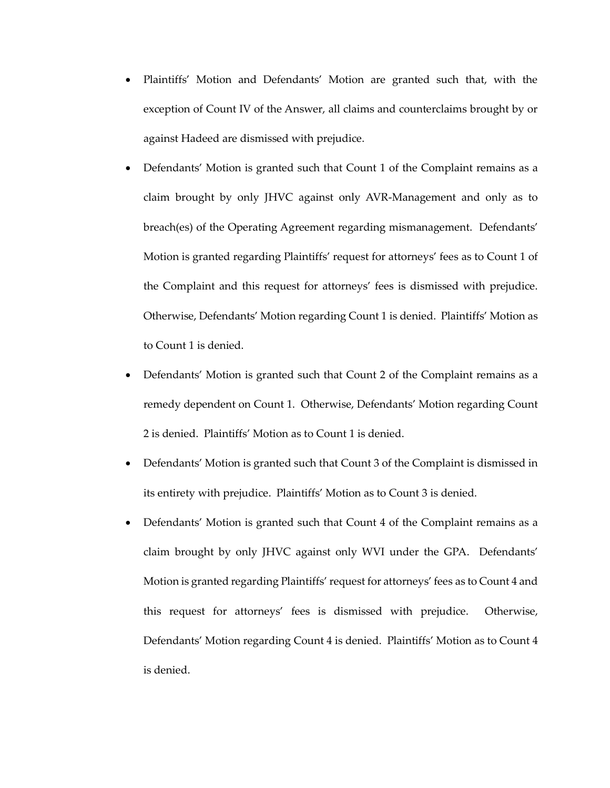- Plaintiffs' Motion and Defendants' Motion are granted such that, with the exception of Count IV of the Answer, all claims and counterclaims brought by or against Hadeed are dismissed with prejudice.
- Defendants' Motion is granted such that Count 1 of the Complaint remains as a claim brought by only JHVC against only AVR-Management and only as to breach(es) of the Operating Agreement regarding mismanagement. Defendants' Motion is granted regarding Plaintiffs' request for attorneys' fees as to Count 1 of the Complaint and this request for attorneys' fees is dismissed with prejudice. Otherwise, Defendants' Motion regarding Count 1 is denied. Plaintiffs' Motion as to Count 1 is denied.
- Defendants' Motion is granted such that Count 2 of the Complaint remains as a remedy dependent on Count 1. Otherwise, Defendants' Motion regarding Count 2 is denied. Plaintiffs' Motion as to Count 1 is denied.
- Defendants' Motion is granted such that Count 3 of the Complaint is dismissed in its entirety with prejudice. Plaintiffs' Motion as to Count 3 is denied.
- Defendants' Motion is granted such that Count 4 of the Complaint remains as a claim brought by only JHVC against only WVI under the GPA. Defendants' Motion is granted regarding Plaintiffs' request for attorneys' fees as to Count 4 and this request for attorneys' fees is dismissed with prejudice. Otherwise, Defendants' Motion regarding Count 4 is denied. Plaintiffs' Motion as to Count 4 is denied.